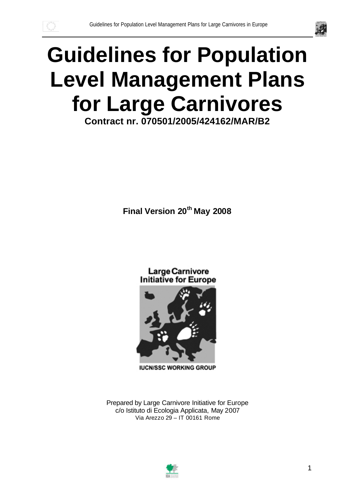



# **Guidelines for Population Level Management Plans for Large Carnivores**

**Contract nr. 070501/2005/424162/MAR/B2**

**Final Version 20 th May 2008**

Large Carnivore **Initiative for Europe** 



**IUCN/SSC WORKING GROUP** 

Prepared by Large Carnivore Initiative for Europe c/o Istituto di Ecologia Applicata, May 2007 Via Arezzo 29 – IT 00161 Rome

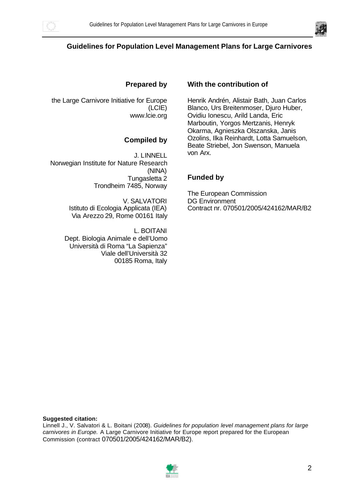



#### **Guidelines for Population Level Management Plans for Large Carnivores**

#### **Prepared by**

the Large Carnivore Initiative for Europe (LCIE) www.lcie.org

#### **Compiled by**

J. LINNELL Norwegian Institute for Nature Research (NINA) Tungasletta 2 Trondheim 7485, Norway

> V. SALVATORI Istituto di Ecologia Applicata (IEA) Via Arezzo 29, Rome 00161 Italy

L. BOITANI Dept. Biologia Animale e dell'Uomo Università di Roma "La Sapienza" Viale dell'Università 32 00185 Roma, Italy

#### **With the contribution of**

Henrik Andrén, Alistair Bath, Juan Carlos Blanco, Urs Breitenmoser, Djuro Huber, Ovidiu Ionescu, Arild Landa, Eric Marboutin, Yorgos Mertzanis, Henryk Okarma, Agnieszka Olszanska, Janis Ozolins, Ilka Reinhardt, Lotta Samuelson, Beate Striebel, Jon Swenson, Manuela von Arx.

#### **Funded by**

The European Commission DG Environment Contract nr. 070501/2005/424162/MAR/B2

#### **Suggested citation:**

Linnell J., V. Salvatori & L. Boitani (2008). *Guidelines for population level management plans for large carnivores in Europe.* A Large Carnivore Initiative for Europe report prepared for the European Commission (contract 070501/2005/424162/MAR/B2).

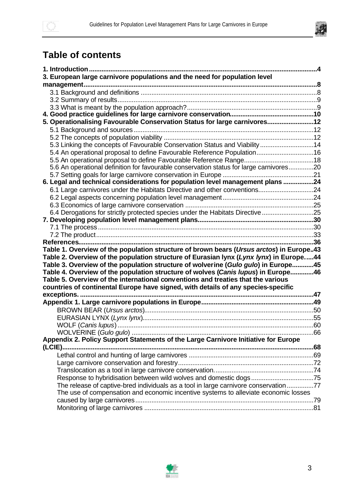

# **Table of contents**

| 3. European large carnivore populations and the need for population level                                                                                             |  |
|-----------------------------------------------------------------------------------------------------------------------------------------------------------------------|--|
|                                                                                                                                                                       |  |
|                                                                                                                                                                       |  |
|                                                                                                                                                                       |  |
|                                                                                                                                                                       |  |
|                                                                                                                                                                       |  |
| 5. Operationalising Favourable Conservation Status for large carnivores12                                                                                             |  |
|                                                                                                                                                                       |  |
|                                                                                                                                                                       |  |
| 5.3 Linking the concepts of Favourable Conservation Status and Viability 14                                                                                           |  |
| 5.4 An operational proposal to define Favourable Reference Population16                                                                                               |  |
|                                                                                                                                                                       |  |
| 5.6 An operational definition for favourable conservation status for large carnivores20                                                                               |  |
|                                                                                                                                                                       |  |
| 6. Legal and technical considerations for population level management plans 24                                                                                        |  |
| 6.1 Large carnivores under the Habitats Directive and other conventions24                                                                                             |  |
|                                                                                                                                                                       |  |
|                                                                                                                                                                       |  |
| 6.4 Derogations for strictly protected species under the Habitats Directive 25                                                                                        |  |
|                                                                                                                                                                       |  |
|                                                                                                                                                                       |  |
|                                                                                                                                                                       |  |
|                                                                                                                                                                       |  |
| Table 1. Overview of the population structure of brown bears (Ursus arctos) in Europe43                                                                               |  |
| Table 2. Overview of the population structure of Eurasian lynx (Lynx lynx) in Europe44                                                                                |  |
| Table 3. Overview of the population structure of wolverine (Gulo gulo) in Europe45                                                                                    |  |
| Table 4. Overview of the population structure of wolves (Canis lupus) in Europe46<br>Table 5. Overview of the international conventions and treaties that the various |  |
| countries of continental Europe have signed, with details of any species-specific                                                                                     |  |
|                                                                                                                                                                       |  |
|                                                                                                                                                                       |  |
|                                                                                                                                                                       |  |
|                                                                                                                                                                       |  |
|                                                                                                                                                                       |  |
|                                                                                                                                                                       |  |
| Appendix 2. Policy Support Statements of the Large Carnivore Initiative for Europe                                                                                    |  |
|                                                                                                                                                                       |  |
|                                                                                                                                                                       |  |
|                                                                                                                                                                       |  |
|                                                                                                                                                                       |  |
| Response to hybridisation between wild wolves and domestic dogs75                                                                                                     |  |
| The release of captive-bred individuals as a tool in large carnivore conservation77                                                                                   |  |
| The use of compensation and economic incentive systems to alleviate economic losses                                                                                   |  |
|                                                                                                                                                                       |  |
|                                                                                                                                                                       |  |

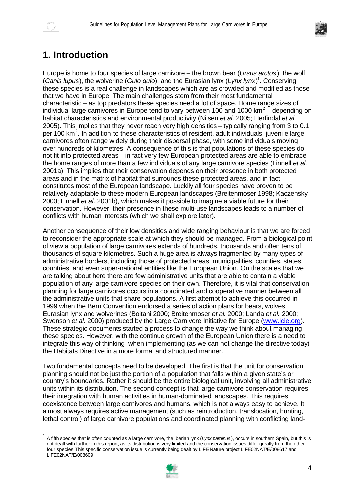



# **1. Introduction**

Europe is home to four species of large carnivore – the brown bear (*Ursus arctos*), the wolf (*Canis lupus*), the wolverine (*Gulo gulo*), and the Eurasian lynx (*Lynx lynx*) 1 . Conserving these species is a real challenge in landscapes which are as crowded and modified as those that we have in Europe. The main challenges stem from their most fundamental characteristic – as top predators these species need a lot of space. Home range sizes of individual large carnivores in Europe tend to vary between 100 and 1000 km<sup>2</sup> – depending on habitat characteristics and environmental productivity (Nilsen *et al.* 2005; Herfindal *et al.* 2005). This implies that they never reach very high densities – typically ranging from 3 to 0.1 per 100 km<sup>2</sup>. In addition to these characteristics of resident, adult individuals, juvenile large carnivores often range widely during their dispersal phase, with some individuals moving over hundreds of kilometres. A consequence of this is that populations of these species do not fit into protected areas – in fact very few European protected areas are able to embrace the home ranges of more than a few individuals of any large carnivore species (Linnell *et al.* 2001a). This implies that their conservation depends on their presence in both protected areas and in the matrix of habitat that surrounds these protected areas, and in fact constitutes most of the European landscape. Luckily all four species have proven to be relatively adaptable to these modern European landscapes (Breitenmoser 1998; Kaczensky 2000; Linnell *et al*. 2001b), which makes it possible to imagine a viable future for their conservation. However, their presence in these multi-use landscapes leads to a number of conflicts with human interests (which we shall explore later).

Another consequence of their low densities and wide ranging behaviour is that we are forced to reconsider the appropriate scale at which they should be managed. From a biological point of view a population of large carnivores extends of hundreds, thousands and often tens of thousands of square kilometres. Such a huge area is always fragmented by many types of administrative borders, including those of protected areas, municipalities, counties, states, countries, and even super-national entities like the European Union. On the scales that we are talking about here there are few administrative units that are able to contain a viable population of any large carnivore species on their own. Therefore, it is vital that conservation planning for large carnivores occurs in a coordinated and cooperative manner between all the administrative units that share populations. A first attempt to achieve this occurred in 1999 when the Bern Convention endorsed a series of action plans for bears, wolves, Eurasian lynx and wolverines (Boitani 2000; Breitenmoser *et al.* 2000; Landa *et al.* 2000; Swenson *et al.* 2000) produced by the Large Carnivore Initiative for Europe (www.lcie.org). These strategic documents started a process to change the way we think about managing these species. However, with the continue growth of the European Union there is a need to integrate this way of thinking when implementing (as we can not change the directive today) the Habitats Directive in a more formal and structured manner.

Two fundamental concepts need to be developed. The first is that the unit for conservation planning should not be just the portion of a population that falls within a given state's or country's boundaries. Rather it should be the entire biological unit, involving all administrative units within its distribution. The second concept is that large carnivore conservation requires their integration with human activities in human-dominated landscapes. This requires coexistence between large carnivores and humans, which is not always easy to achieve. It almost always requires active management (such as reintroduction, translocation, hunting, lethal control) of large carnivore populations and coordinated planning with conflicting land-

<sup>1</sup> A fifth species that is often counted as a large carnivore, the Iberian lynx (*Lynx pardinus* ), occurs in southern Spain, but this is not dealt with further in this report, as its distribution is very limited and the conservation issues differ greatly from the other four species. This specific conservation issue is currently being dealt by LIFE-Nature project LIFE02NAT/E/008617 and LIFE02NAT/E/008609

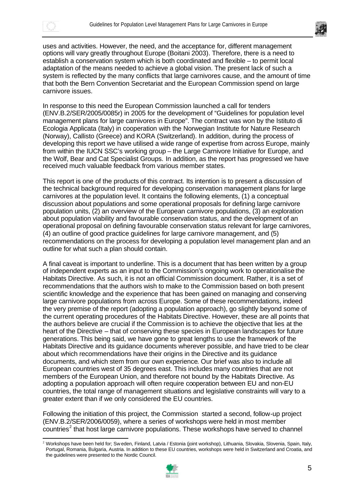



uses and activities. However, the need, and the acceptance for, different management options will vary greatly throughout Europe (Boitani 2003). Therefore, there is a need to establish a conservation system which is both coordinated and flexible – to permit local adaptation of the means needed to achieve a global vision. The present lack of such a system is reflected by the many conflicts that large carnivores cause, and the amount of time that both the Bern Convention Secretariat and the European Commission spend on large carnivore issues.

In response to this need the European Commission launched a call for tenders (ENV.B.2/SER/2005/0085r) in 2005 for the development of "Guidelines for population level management plans for large carnivores in Europe". The contract was won by the Istituto di Ecologia Applicata (Italy) in cooperation with the Norwegian Institute for Nature Research (Norway), Callisto (Greece) and KORA (Switzerland). In addition, during the process of developing this report we have utilised a wide range of expertise from across Europe, mainly from within the IUCN SSC's working group – the Large Carnivore Initiative for Europe, and the Wolf, Bear and Cat Specialist Groups. In addition, as the report has progressed we have received much valuable feedback from various member states.

This report is one of the products of this contract. Its intention is to present a discussion of the technical background required for developing conservation management plans for large carnivores at the population level. It contains the following elements, (1) a conceptual discussion about populations and some operational proposals for defining large carnivore population units, (2) an overview of the European carnivore populations, (3) an exploration about population viability and favourable conservation status, and the development of an operational proposal on defining favourable conservation status relevant for large carnivores, (4) an outline of good practice guidelines for large carnivore management, and (5) recommendations on the process for developing a population level management plan and an outline for what such a plan should contain.

A final caveat is important to underline. This is a document that has been written by a group of independent experts as an input to the Commission's ongoing work to operationalise the Habitats Directive. As such, it is not an official Commission document. Rather, it is a set of recommendations that the authors wish to make to the Commission based on both present scientific knowledge and the experience that has been gained on managing and conserving large carnivore populations from across Europe. Some of these recommendations, indeed the very premise of the report (adopting a population approach), go slightly beyond some of the current operating procedures of the Habitats Directive. However, these are all points that the authors believe are crucial if the Commission is to achieve the objective that lies at the heart of the Directive – that of conserving these species in European landscapes for future generations. This being said, we have gone to great lengths to use the framework of the Habitats Directive and its guidance documents wherever possible, and have tried to be clear about which recommendations have their origins in the Directive and its guidance documents, and which stem from our own experience. Our brief was also to include all European countries west of 35 degrees east. This includes many countries that are not members of the European Union, and therefore not bound by the Habitats Directive. As adopting a population approach will often require cooperation between EU and non-EU countries, the total range of management situations and legislative constraints will vary to a greater extent than if we only considered the EU countries.

Following the initiation of this project, the Commission started a second, follow-up project (ENV.B.2/SER/2006/0059), where a series of workshops were held in most member countries<sup>2</sup> that host large carnivore populations. These workshops have served to channel

l <sup>2</sup> Workshops have been held for; Sw eden, Finland, Latvia / Estonia (joint workshop), Lithuania, Slovakia, Slovenia, Spain, Italy, Portugal, Romania, Bulgaria, Austria. In addition to these EU countries, workshops were held in Switzerland and Croatia, and the guidelines were presented to the Nordic Council.

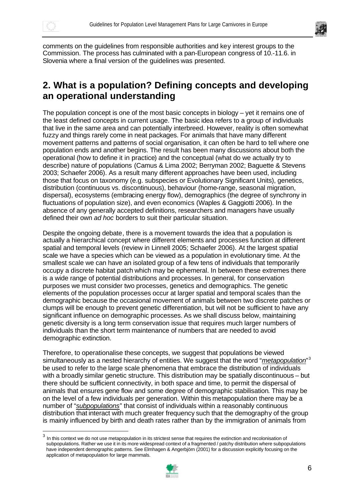



comments on the guidelines from responsible authorities and key interest groups to the Commission. The process has culminated with a pan-European congress of 10.-11.6. in Slovenia where a final version of the guidelines was presented.

## **2. What is a population? Defining concepts and developing an operational understanding**

The population concept is one of the most basic concepts in biology – yet it remains one of the least defined concepts in current usage. The basic idea refers to a group of individuals that live in the same area and can potentially interbreed. However, reality is often somewhat fuzzy and things rarely come in neat packages. For animals that have many different movement patterns and patterns of social organisation, it can often be hard to tell where one population ends and another begins. The result has been many discussions about both the operational (how to define it in practice) and the conceptual (what do we actually try to describe) nature of populations (Camus & Lima 2002; Berryman 2002; Baguette & Stevens 2003; Schaefer 2006). As a result many different approaches have been used, including those that focus on taxonomy (e.g. subspecies or Evolutionary Significant Units), genetics, distribution (continuous vs. discontinuous), behaviour (home-range, seasonal migration, dispersal), ecosystems (embracing energy flow), demographics (the degree of synchrony in fluctuations of population size), and even economics (Waples & Gaggiotti 2006). In the absence of any generally accepted definitions, researchers and managers have usually defined their own *ad hoc* borders to suit their particular situation.

Despite the ongoing debate, there is a movement towards the idea that a population is actually a hierarchical concept where different elements and processes function at different spatial and temporal levels (review in Linnell 2005; Schaefer 2006). At the largest spatial scale we have a species which can be viewed as a population in evolutionary time. At the smallest scale we can have an isolated group of a few tens of individuals that temporarily occupy a discrete habitat patch which may be ephemeral. In between these extremes there is a wide range of potential distributions and processes. In general, for conservation purposes we must consider two processes, genetics and demographics. The genetic elements of the population processes occur at larger spatial and temporal scales than the demographic because the occasional movement of animals between two discrete patches or clumps will be enough to prevent genetic differentiation, but will not be sufficient to have any significant influence on demographic processes. As we shall discuss below, maintaining genetic diversity is a long term conservation issue that requires much larger numbers of individuals than the short term maintenance of numbers that are needed to avoid demographic extinction.

Therefore, to operationalise these concepts, we suggest that populations be viewed simultaneously as a nested hierarchy of entities. We suggest that the word "*metapopulation*" 3 be used to refer to the large scale phenomena that embrace the distribution of individuals with a broadly similar genetic structure. This distribution may be spatially discontinuous – but there should be sufficient connectivity, in both space and time, to permit the dispersal of animals that ensures gene flow and some degree of demographic stabilisation. This may be on the level of a few individuals per generation. Within this metapopulation there may be a number of "*subpopulations*" that consist of individuals within a reasonably continuous distribution that interact with much greater frequency such that the demography of the group is mainly influenced by birth and death rates rather than by the immigration of animals from

 $^3$  In this context we do not use metapopulation in its strictest sense that requires the extinction and recolonisation of subpopulations. Rather we use it in its more widespread context of a fragmented / patchy distribution where subpopulations have independent demographic patterns. See Elmhagen & Angerbjörn (2001) for a discussion explicitly focusing on the application of metapopulation for large mammals.

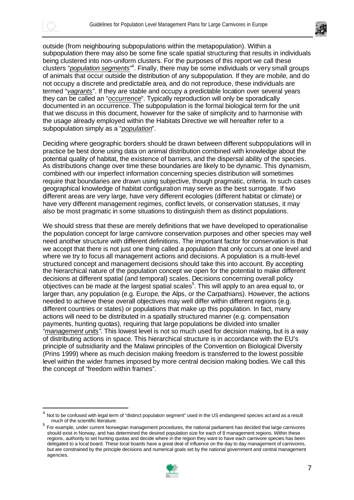



outside (from neighbouring subpopulations within the metapopulation). Within a subpopulation there may also be some fine scale spatial structuring that results in individuals being clustered into non-uniform clusters. For the purposes of this report we call these clusters "*population segments*"<sup>4</sup>. Finally, there may be some individuals or very small groups of animals that occur outside the distribution of any subpopulation. If they are mobile, and do not occupy a discrete and predictable area, and do not reproduce, these individuals are termed "*vagrants*". If they are stable and occupy a predictable location over several years they can be called an "*occurrence*". Typically reproduction will only be sporadically documented in an occurrence. The subpopulation is the formal biological term for the unit that we discuss in this document, however for the sake of simplicity and to harmonise with the usage already employed within the Habitats Directive we will hereafter refer to a subpopulation simply as a "*population*".

Deciding where geographic borders should be drawn between different subpopulations will in practice be best done using data on animal distribution combined with knowledge about the potential quality of habitat, the existence of barriers, and the dispersal ability of the species. As distributions change over time these boundaries are likely to be dynamic. This dynamism, combined with our imperfect information concerning species distribution will sometimes require that boundaries are drawn using subjective, though pragmatic, criteria. In such cases geographical knowledge of habitat configuration may serve as the best surrogate. If two different areas are very large, have very different ecologies (different habitat or climate) or have very different management regimes, conflict levels, or conservation statuses, it may also be most pragmatic in some situations to distinguish them as distinct populations.

We should stress that these are merely definitions that we have developed to operationalise the population concept for large carnivore conservation purposes and other species may well need another structure with different definitions. The important factor for conservation is that we accept that there is not just one thing called a population that only occurs at one level and where we try to focus all management actions and decisions. A population is a multi-level structured concept and management decisions should take this into account. By accepting the hierarchical nature of the population concept we open for the potential to make different decisions at different spatial (and temporal) scales. Decisions concerning overall policy objectives can be made at the largest spatial scales<sup>5</sup>. This will apply to an area equal to, or larger than, any population (e.g. Europe, the Alps, or the Carpathians). However, the actions needed to achieve these overall objectives may well differ within different regions (e.g. different countries or states) or populations that make up this population. In fact, many actions will need to be distributed in a spatially structured manner (e.g. compensation payments, hunting quotas), requiring that large populations be divided into smaller "*management units"*. This lowest level is not so much used for decision making, but is a way of distributing actions in space. This hierarchical structure is in accordance with the EU's principle of subsidiarity and the Malawi principles of the Convention on Biological Diversity (Prins 1999) where as much decision making freedom is transferred to the lowest possible level within the wider frames imposed by more central decision making bodies. We call this the concept of "freedom within frames".

<sup>&</sup>lt;sup>5</sup> For example, under current Norwegian management procedures, the national parliament has decided that large carnivores should exist in Norway, and has determined the desired population size for each of 8 management regions. Within these regions, authority to set hunting quotas and decide where in the region they want to have each carnivore species has been delegated to a local board. These local boards have a great deal of influence on the day to day management of carnivores, but are constrained by the principle decisions and numerical goals set by the national government and central management agencies.



<sup>4</sup> Not to be confused with legal term of "distinct population segment" used in the US endangered species act and as a result much of the scientific literature.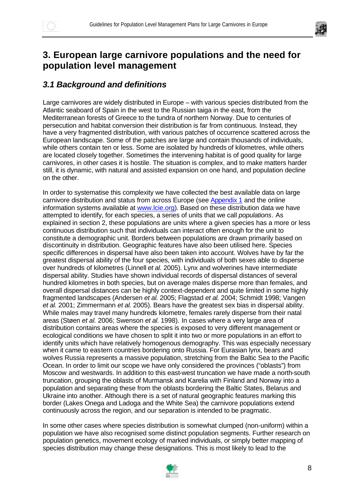

# **3. European large carnivore populations and the need for population level management**

## *3.1 Background and definitions*

Large carnivores are widely distributed in Europe – with various species distributed from the Atlantic seaboard of Spain in the west to the Russian taiga in the east, from the Mediterranean forests of Greece to the tundra of northern Norway. Due to centuries of persecution and habitat conversion their distribution is far from continuous. Instead, they have a very fragmented distribution, with various patches of occurrence scattered across the European landscape. Some of the patches are large and contain thousands of individuals, while others contain ten or less. Some are isolated by hundreds of kilometres, while others are located closely together. Sometimes the intervening habitat is of good quality for large carnivores, in other cases it is hostile. The situation is complex, and to make matters harder still, it is dynamic, with natural and assisted expansion on one hand, and population decline on the other.

In order to systematise this complexity we have collected the best available data on large carnivore distribution and status from across Europe (see Appendix 1 and the online information systems available at www.lcie.org). Based on these distribution data we have attempted to identify, for each species, a series of units that we call *populations*. As explained in section 2, these populations are units where a given species has a more or less continuous distribution such that individuals can interact often enough for the unit to constitute a demographic unit. Borders between populations are drawn primarily based on discontinuity in distribution. Geographic features have also been utilised here. Species specific differences in dispersal have also been taken into account. Wolves have by far the greatest dispersal ability of the four species, with individuals of both sexes able to disperse over hundreds of kilometres (Linnell *et al.* 2005). Lynx and wolverines have intermediate dispersal ability. Studies have shown individual records of dispersal distances of several hundred kilometres in both species, but on average males disperse more than females, and overall dispersal distances can be highly context-dependent and quite limited in some highly fragmented landscapes (Andersen *et al.* 2005; Flagstad *et al.* 2004; Schmidt 1998; Vangen *et al.* 2001; Zimmermann *et al.* 2005). Bears have the greatest sex bias in dispersal ability. While males may travel many hundreds kilometre, females rarely disperse from their natal areas (Støen *et al.* 2006; Swenson *et al.* 1998). In cases where a very large area of distribution contains areas where the species is exposed to very different management or ecological conditions we have chosen to split it into two or more populations in an effort to identify units which have relatively homogenous demography. This was especially necessary when it came to eastern countries bordering onto Russia. For Eurasian lynx, bears and wolves Russia represents a massive population, stretching from the Baltic Sea to the Pacific Ocean. In order to limit our scope we have only considered the provinces ("oblasts") from Moscow and westwards. In addition to this east-west truncation we have made a north-south truncation, grouping the oblasts of Murmansk and Karelia with Finland and Norway into a population and separating these from the oblasts bordering the Baltic States, Belarus and Ukraine into another. Although there is a set of natural geographic features marking this border (Lakes Onega and Ladoga and the White Sea) the carnivore populations extend continuously across the region, and our separation is intended to be pragmatic.

In some other cases where species distribution is somewhat clumped (non-uniform) within a population we have also recognised some distinct population segments. Further research on population genetics, movement ecology of marked individuals, or simply better mapping of species distribution may change these designations. This is most likely to lead to the

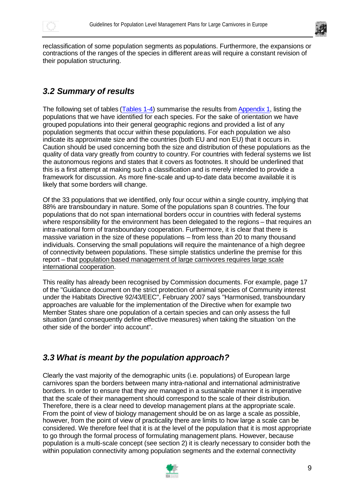



reclassification of some population segments as populations. Furthermore, the expansions or contractions of the ranges of the species in different areas will require a constant revision of their population structuring.

## *3.2 Summary of results*

The following set of tables (Tables 1-4) summarise the results from Appendix 1, listing the populations that we have identified for each species. For the sake of orientation we have grouped populations into their general geographic regions and provided a list of any population segments that occur within these populations. For each population we also indicate its approximate size and the countries (both EU and non EU) that it occurs in. Caution should be used concerning both the size and distribution of these populations as the quality of data vary greatly from country to country. For countries with federal systems we list the autonomous regions and states that it covers as footnotes. It should be underlined that this is a first attempt at making such a classification and is merely intended to provide a framework for discussion. As more fine-scale and up-to-date data become available it is likely that some borders will change.

Of the 33 populations that we identified, only four occur within a single country, implying that 88% are transboundary in nature. Some of the populations span 8 countries. The four populations that do not span international borders occur in countries with federal systems where responsibility for the environment has been delegated to the regions – that requires an intra-national form of transboundary cooperation. Furthermore, it is clear that there is massive variation in the size of these populations – from less than 20 to many thousand individuals. Conserving the small populations will require the maintenance of a high degree of connectivity between populations. These simple statistics underline the premise for this report – that population based management of large carnivores requires large scale international cooperation.

This reality has already been recognised by Commission documents. For example, page 17 of the "Guidance document on the strict protection of animal species of Community interest under the Habitats Directive 92/43/EEC", February 2007 says "Harmonised, transboundary approaches are valuable for the implementation of the Directive when for example two Member States share one population of a certain species and can only assess the full situation (and consequently define effective measures) when taking the situation 'on the other side of the border' into account".

## *3.3 What is meant by the population approach?*

Clearly the vast majority of the demographic units (i.e. populations) of European large carnivores span the borders between many intra-national and international administrative borders. In order to ensure that they are managed in a sustainable manner it is imperative that the scale of their management should correspond to the scale of their distribution. Therefore, there is a clear need to develop management plans at the appropriate scale. From the point of view of biology management should be on as large a scale as possible, however, from the point of view of practicality there are limits to how large a scale can be considered. We therefore feel that it is at the level of the population that it is most appropriate to go through the formal process of formulating management plans. However, because population is a multi-scale concept (see section 2) it is clearly necessary to consider both the within population connectivity among population segments and the external connectivity

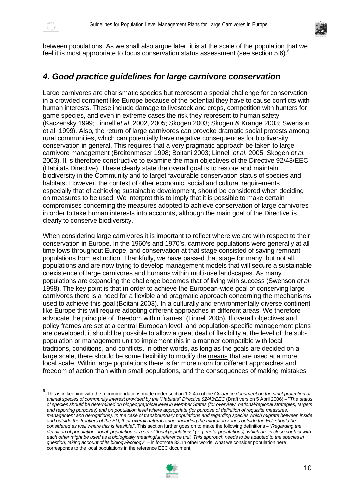



between populations. As we shall also argue later, it is at the scale of the population that we feel it is most appropriate to focus conservation status assessment (see section 5.6).<sup>6</sup>

### *4. Good practice guidelines for large carnivore conservation*

Large carnivores are charismatic species but represent a special challenge for conservation in a crowded continent like Europe because of the potential they have to cause conflicts with human interests. These include damage to livestock and crops, competition with hunters for game species, and even in extreme cases the risk they represent to human safety (Kaczensky 1999; Linnell *et al.* 2002, 2005; Skogen 2003; Skogen & Krange 2003; Swenson et al. 1999). Also, the return of large carnivores can provoke dramatic social protests among rural communities, which can potentially have negative consequences for biodiversity conservation in general. This requires that a very pragmatic approach be taken to large carnivore management (Breitenmoser 1998; Boitani 2003; Linnell *et al*. 2005; Skogen *et al.* 2003). It is therefore constructive to examine the main objectives of the Directive 92/43/EEC (Habitats Directive). These clearly state the overall goal is to restore and maintain biodiversity in the Community and to target favourable conservation status of species and habitats. However, the context of other economic, social and cultural requirements, especially that of achieving sustainable development, should be considered when deciding on measures to be used. We interpret this to imply that it is possible to make certain compromises concerning the measures adopted to achieve conservation of large carnivores in order to take human interests into accounts, although the main goal of the Directive is clearly to conserve biodiversity.

When considering large carnivores it is important to reflect where we are with respect to their conservation in Europe. In the 1960's and 1970's, carnivore populations were generally at all time lows throughout Europe, and conservation at that stage consisted of saving remnant populations from extinction. Thankfully, we have passed that stage for many, but not all, populations and are now trying to develop management models that will secure a sustainable coexistence of large carnivores and humans within multi-use landscapes. As many populations are expanding the challenge becomes that of living with success (Swenson *et al*. 1998). The key point is that in order to achieve the European-wide goal of conserving large carnivores there is a need for a flexible and pragmatic approach concerning the mechanisms used to achieve this goal (Boitani 2003). In a culturally and environmentally diverse continent like Europe this will require adopting different approaches in different areas. We therefore advocate the principle of "freedom within frames" (Linnell 2005). If overall objectives and policy frames are set at a central European level, and population-specific management plans are developed, it should be possible to allow a great deal of flexibility at the level of the subpopulation or management unit to implement this in a manner compatible with local traditions, conditions, and conflicts. In other words, as long as the goals are decided on a large scale, there should be some flexibility to modify the means that are used at a more local scale. Within large populations there is far more room for different approaches and freedom of action than within small populations, and the consequences of making mistakes

<sup>6</sup> This is in keeping with the recommendations made under section 1.2.4a) of the *Guidance document on the strict protection of animal species of community interest provided by the "Habitats" Directive 92/43/EEC* (Draft version 5 April 2006) – "*The status of species should be determined on biogeographical level in Member States (for overview, national/regional strategies, targets and reporting purposes) and on population level where appropriate (for purpose of definition of requisite measures, management and derogations). In the case of transboundary populations and regarding species which migrate between inside and outside the frontiers of the EU, their overall natural range, including the migration zones outside the EU, should be considered as well where this is feasible*.". This section further goes on to make the following definitions – "*Regarding the definition of population, 'local' population or a set of 'local populations' (e.g. meta-populations), which are in close contact with*  each other might be used as a biologically meaningful reference unit. This approach needs to be adapted to the species in *question, taking account of its biology/ecology*" – in footnote 33. In other words, what we consider population here corresponds to the local populations in the reference EEC document.

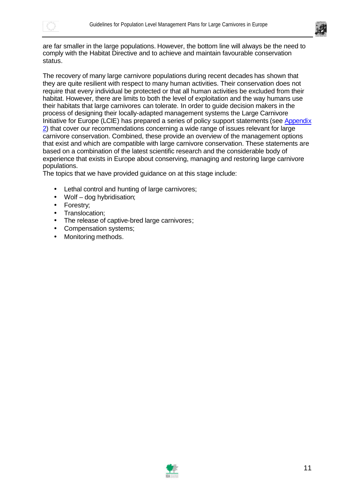



are far smaller in the large populations. However, the bottom line will always be the need to comply with the Habitat Directive and to achieve and maintain favourable conservation status.

The recovery of many large carnivore populations during recent decades has shown that they are quite resilient with respect to many human activities. Their conservation does not require that every individual be protected or that all human activities be excluded from their habitat. However, there are limits to both the level of exploitation and the way humans use their habitats that large carnivores can tolerate. In order to guide decision makers in the process of designing their locally-adapted management systems the Large Carnivore Initiative for Europe (LCIE) has prepared a series of policy support statements (see Appendix 2) that cover our recommendations concerning a wide range of issues relevant for large carnivore conservation. Combined, these provide an overview of the management options that exist and which are compatible with large carnivore conservation. These statements are based on a combination of the latest scientific research and the considerable body of experience that exists in Europe about conserving, managing and restoring large carnivore populations.

The topics that we have provided guidance on at this stage include:

- Lethal control and hunting of large carnivores;
- Wolf dog hybridisation;
- Forestry;
- Translocation:
- The release of captive-bred large carnivores;
- Compensation systems;
- Monitoring methods.

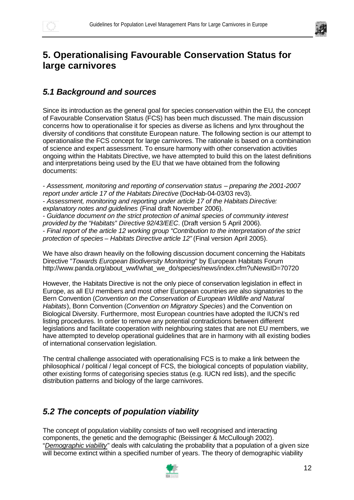

# **5. Operationalising Favourable Conservation Status for large carnivores**

## *5.1 Background and sources*

Since its introduction as the general goal for species conservation within the EU, the concept of Favourable Conservation Status (FCS) has been much discussed. The main discussion concerns how to operationalise it for species as diverse as lichens and lynx throughout the diversity of conditions that constitute European nature. The following section is our attempt to operationalise the FCS concept for large carnivores. The rationale is based on a combination of science and expert assessment. To ensure harmony with other conservation activities ongoing within the Habitats Directive, we have attempted to build this on the latest definitions and interpretations being used by the EU that we have obtained from the following documents:

- *Assessment, monitoring and reporting of conservation status – preparing the 2001-2007 report under article 17 of the Habitats Directive* (DocHab-04-03/03 rev3). - *Assessment, monitoring and reporting under article 17 of the Habitats Directive: explanatory notes and guidelines* (Final draft November 2006). - *Guidance document on the strict protection of animal species of community interest provided by the "Habitats" Directive 92/43/EEC*. (Draft version 5 April 2006). - *Final report of the article 12 working group "Contribution to the interpretation of the strict protection of species – Habitats Directive article 12"* (Final version April 2005).

We have also drawn heavily on the following discussion document concerning the Habitats Directive "*Towards European Biodiversity Monitoring*" by European Habitats Forum http://www.panda.org/about\_wwf/what\_we\_do/species/news/index.cfm?uNewsID=70720

However, the Habitats Directive is not the only piece of conservation legislation in effect in Europe, as all EU members and most other European countries are also signatories to the Bern Convention (*Convention on the Conservation of European Wildlife and Natural Habitats*), Bonn Convention (*Convention on Migratory Species*) and the Convention on Biological Diversity. Furthermore, most European countries have adopted the IUCN's red listing procedures. In order to remove any potential contradictions between different legislations and facilitate cooperation with neighbouring states that are not EU members, we have attempted to develop operational guidelines that are in harmony with all existing bodies of international conservation legislation.

The central challenge associated with operationalising FCS is to make a link between the philosophical / political / legal concept of FCS, the biological concepts of population viability, other existing forms of categorising species status (e.g. IUCN red lists), and the specific distribution patterns and biology of the large carnivores.

## *5.2 The concepts of population viability*

The concept of population viability consists of two well recognised and interacting components, the genetic and the demographic (Beissinger & McCullough 2002). "*Demographic viability*" deals with calculating the probability that a population of a given size will become extinct within a specified number of years. The theory of demographic viability

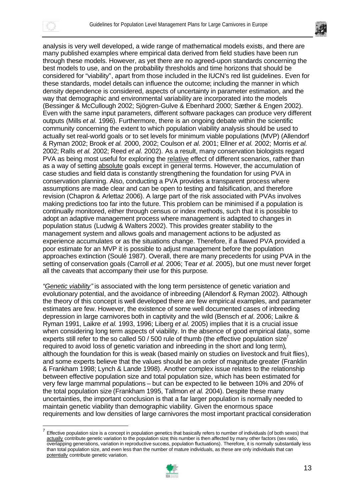



analysis is very well developed, a wide range of mathematical models exists, and there are many published examples where empirical data derived from field studies have been run through these models. However, as yet there are no agreed-upon standards concerning the best models to use, and on the probability thresholds and time horizons that should be considered for "viability", apart from those included in the IUCN's red list guidelines. Even for these standards, model details can influence the outcome; including the manner in which density dependence is considered, aspects of uncertainty in parameter estimation, and the way that demographic and environmental variability are incorporated into the models (Bessinger & McCullough 2002; Sjögren-Gulve & Ebenhard 2000; Sæther & Engen 2002). Even with the same input parameters, different software packages can produce very different outputs (Mills *et al*. 1996). Furthermore, there is an ongoing debate within the scientific community concerning the extent to which population viability analysis should be used to actually set real-world goals or to set levels for minimum viable populations (MVP) (Allendorf & Ryman 2002; Brook *et al.* 2000, 2002; Coulson *et al.* 2001; Ellner *et al.* 2002; Morris *et al.* 2002; Ralls *et al.* 2002; Reed *et al.* 2002). As a result, many conservation biologists regard PVA as being most useful for exploring the relative effect of different scenarios, rather than as a way of setting absolute goals except in general terms. However, the accumulation of case studies and field data is constantly strengthening the foundation for using PVA in conservation planning. Also, conducting a PVA provides a transparent process where assumptions are made clear and can be open to testing and falsification, and therefore revision (Chapron & Arlettaz 2006). A large part of the risk associated with PVAs involves making predictions too far into the future. This problem can be minimised if a population is continually monitored, either through census or index methods, such that it is possible to adopt an adaptive management process where management is adapted to changes in population status (Ludwig & Walters 2002). This provides greater stability to the management system and allows goals and management actions to be adjusted as experience accumulates or as the situations change. Therefore, if a flawed PVA provided a poor estimate for an MVP it is possible to adjust management before the population approaches extinction (Soulé 1987). Overall, there are many precedents for using PVA in the setting of conservation goals (Carroll *et al.* 2006; Tear *et al*. 2005), but one must never forget all the caveats that accompany their use for this purpose.

*"Genetic viability"* is associated with the long term persistence of genetic variation and evolutionary potential, and the avoidance of inbreeding (Allendorf & Ryman 2002). Although the theory of this concept is well developed there are few empirical examples, and parameter estimates are few. However, the existence of some well documented cases of inbreeding depression in large carnivores both in captivity and the wild (Bensch *et al*. 2006; Laikre & Ryman 1991, Laikre *et al.* 1993, 1996; Liberg *et al.* 2005) implies that it is a crucial issue when considering long term aspects of viability. In the absence of good empirical data, some experts still refer to the so called 50 / 500 rule of thumb (the effective population size<sup>7</sup> required to avoid loss of genetic variation and inbreeding in the short and long term), although the foundation for this is weak (based mainly on studies on livestock and fruit flies), and some experts believe that the values should be an order of magnitude greater (Franklin & Frankham 1998; Lynch & Lande 1998). Another complex issue relates to the relationship between effective population size and total population size, which has been estimated for very few large mammal populations – but can be expected to lie between 10% and 20% of the total population size (Frankham 1995, Tallmon *et al.* 2004). Despite these many uncertainties, the important conclusion is that a far larger population is normally needed to maintain genetic viability than demographic viability. Given the enormous space requirements and low densities of large carnivores the most important practical consideration

<sup>7</sup> Effective population size is a concept in population genetics that basically refers to number of individuals (of both sexes) that actually contribute genetic variation to the population size this number is then affected by many other factors (sex ratio, overlapping generations, variation in reproductive success, population fluctuations). Therefore, it is normally substantially less than total population size, and even less than the number of mature individuals, as these are only individuals that can potentially contribute genetic variation.

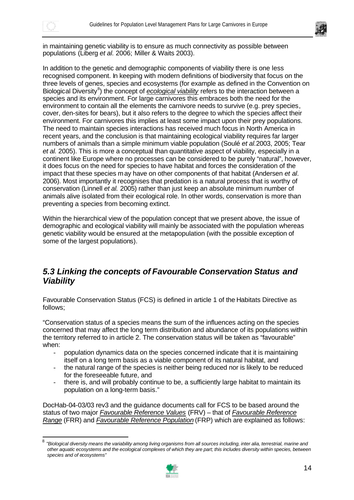

in maintaining genetic viability is to ensure as much connectivity as possible between populations (Liberg *et al.* 2006; Miller & Waits 2003).

In addition to the genetic and demographic components of viability there is one less recognised component. In keeping with modern definitions of biodiversity that focus on the three levels of genes, species and ecosystems (for example as defined in the Convention on Biological Diversity<sup>8</sup>) the concept of *ecological viability* refers to the interaction between a species and its environment. For large carnivores this embraces both the need for the environment to contain all the elements the carnivore needs to survive (e.g. prey species, cover, den-sites for bears), but it also refers to the degree to which the species affect their environment. For carnivores this implies at least some impact upon their prey populations. The need to maintain species interactions has received much focus in North America in recent years, and the conclusion is that maintaining ecological viability requires far larger numbers of animals than a simple minimum viable population (Soulé *et al.*2003, 2005; Tear *et al.* 2005). This is more a conceptual than quantitative aspect of viability, especially in a continent like Europe where no processes can be considered to be purely "natural", however, it does focus on the need for species to have habitat and forces the consideration of the impact that these species may have on other components of that habitat (Andersen *et al*. 2006). Most importantly it recognises that predation is a natural process that is worthy of conservation (Linnell *et al.* 2005) rather than just keep an absolute minimum number of animals alive isolated from their ecological role. In other words, conservation is more than preventing a species from becoming extinct.

Within the hierarchical view of the population concept that we present above, the issue of demographic and ecological viability will mainly be associated with the population whereas genetic viability would be ensured at the metapopulation (with the possible exception of some of the largest populations).

#### *5.3 Linking the concepts of Favourable Conservation Status and Viability*

Favourable Conservation Status (FCS) is defined in article 1 of the Habitats Directive as follows;

"Conservation status of a species means the sum of the influences acting on the species concerned that may affect the long term distribution and abundance of its populations within the territory referred to in article 2. The conservation status will be taken as "favourable" when:

- population dynamics data on the species concerned indicate that it is maintaining itself on a long term basis as a viable component of its natural habitat, and
- the natural range of the species is neither being reduced nor is likely to be reduced for the foreseeable future, and
- there is, and will probably continue to be, a sufficiently large habitat to maintain its population on a long-term basis."

DocHab-04-03/03 rev3 and the guidance documents call for FCS to be based around the status of two major *Favourable Reference Values* (FRV) – that of *Favourable Reference Range* (FRR) and *Favourable Reference Population* (FRP) which are explained as follows:

<sup>-&</sup>lt;br>8 *"Biological diversity means the variability among living organisms from all sources including, inter alia, terrestrial, marine and other aquatic ecosystems and the ecological complexes of which they are part; this includes diversity within species, between species and of ecosystems"*

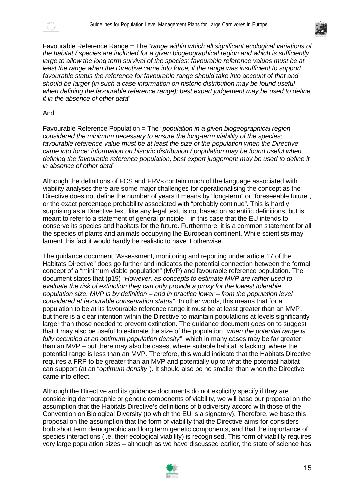



Favourable Reference Range = The "*range within which all significant ecological variations of the habitat / species are included for a given biogeographical region and which is sufficiently large to allow the long term survival of the species; favourable reference values must be at*  least the range when the Directive came into force, if the range was insufficient to support *favourable status the reference for favourable range should take into account of that and should be larger (in such a case information on historic distribution may be found useful when defining the favourable reference range); best expert judgement may be used to define it in the absence of other data*"

#### And,

Favourable Reference Population = The "*population in a given biogeographical region considered the minimum necessary to ensure the long-term viability of the species; favourable reference value must be at least the size of the population when the Directive came into force; information on historic distribution / population may be found useful when defining the favourable reference population; best expert judgement may be used to define it in absence of other data*"

Although the definitions of FCS and FRVs contain much of the language associated with viability analyses there are some major challenges for operationalising the concept as the Directive does not define the number of years it means by "long-term" or "foreseeable future", or the exact percentage probability associated with "probably continue". This is hardly surprising as a Directive text, like any legal text, is not based on scientific definitions, but is meant to refer to a statement of general principle – in this case that the EU intends to conserve its species and habitats for the future. Furthermore, it is a common statement for all the species of plants and animals occupying the European continent. While scientists may lament this fact it would hardly be realistic to have it otherwise.

The guidance document "Assessment, monitoring and reporting under article 17 of the Habitats Directive" does go further and indicates the potential connection between the formal concept of a "minimum viable population" (MVP) and favourable reference population. The document states that (p19) "*However, as concepts to estimate MVP are rather used to evaluate the risk of extinction they can only provide a proxy for the lowest tolerable population size. MVP is by definition – and in practice lower – from the population level considered at favourable conservation status*". In other words, this means that for a population to be at its favourable reference range it must be at least greater than an MVP, but there is a clear intention within the Directive to maintain populations at levels significantly larger than those needed to prevent extinction. The guidance document goes on to suggest that it may also be useful to estimate the size of the population "*when the potential range is fully occupied at an optimum population density*", which in many cases may be far greater than an MVP – but there may also be cases, where suitable habitat is lacking, where the potential range is less than an MVP. Therefore, this would indicate that the Habitats Directive requires a FRP to be greater than an MVP and potentially up to what the potential habitat can support (at an "*optimum density*"). It should also be no smaller than when the Directive came into effect.

Although the Directive and its guidance documents do not explicitly specify if they are considering demographic or genetic components of viability, we will base our proposal on the assumption that the Habitats Directive's definitions of biodiversity accord with those of the Convention on Biological Diversity (to which the EU is a signatory). Therefore, we base this proposal on the assumption that the form of viability that the Directive aims for considers both short term demographic and long term genetic components, and that the importance of species interactions (i.e. their ecological viability) is recognised. This form of viability requires very large population sizes – although as we have discussed earlier, the state of science has

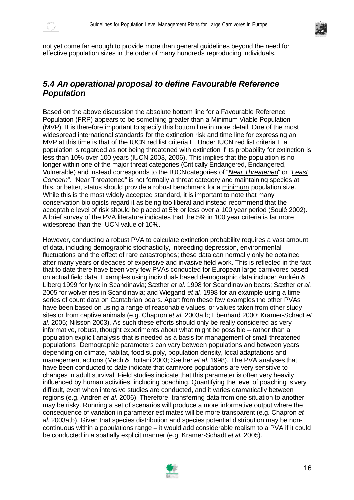



not yet come far enough to provide more than general guidelines beyond the need for effective population sizes in the order of many hundreds reproducing individuals.

#### *5.4 An operational proposal to define Favourable Reference Population*

Based on the above discussion the absolute bottom line for a Favourable Reference Population (FRP) appears to be something greater than a Minimum Viable Population (MVP). It is therefore important to specify this bottom line in more detail. One of the most widespread international standards for the extinction risk and time line for expressing an MVP at this time is that of the IUCN red list criteria E. Under IUCN red list criteria E a population is regarded as not being threatened with extinction if its probability for extinction is less than 10% over 100 years (IUCN 2003, 2006). This implies that the population is no longer within one of the major threat categories (Critically Endangered, Endangered, Vulnerable) and instead corresponds to the IUCNcategories of "*Near Threatened*" or "*Least Concern*". "Near Threatened" is not formally a threat category and maintaining species at this, or better, status should provide a robust benchmark for a minimum population size. While this is the most widely accepted standard, it is important to note that many conservation biologists regard it as being too liberal and instead recommend that the acceptable level of risk should be placed at 5% or less over a 100 year period (Soulé 2002). A brief survey of the PVA literature indicates that the 5% in 100 year criteria is far more widespread than the IUCN value of 10%.

However, conducting a robust PVA to calculate extinction probability requires a vast amount of data, including demographic stochasticity, inbreeding depression, environmental fluctuations and the effect of rare catastrophes; these data can normally only be obtained after many years or decades of expensive and invasive field work. This is reflected in the fact that to date there have been very few PVAs conducted for European large carnivores based on actual field data. Examples using individual- based demographic data include: Andrén & Liberg 1999 for lynx in Scandinavia; Sæther *et al.* 1998 for Scandinavian bears; Sæther *et al.* 2005 for wolverines in Scandinavia; and Wiegand *et al.* 1998 for an example using a time series of count data on Cantabrian bears. Apart from these few examples the other PVAs have been based on using a range of reasonable values, or values taken from other study sites or from captive animals (e.g. Chapron *et al.* 2003a,b; Ebenhard 2000; Kramer-Schadt *et al.* 2005; Nilsson 2003). As such these efforts should only be really considered as very informative, robust, thought experiments about what might be possible – rather than a population explicit analysis that is needed as a basis for management of small threatened populations. Demographic parameters can vary between populations and between years depending on climate, habitat, food supply, population density, local adaptations and management actions (Mech & Boitani 2003; Sæther *et al*. 1998). The PVA analyses that have been conducted to date indicate that carnivore populations are very sensitive to changes in adult survival. Field studies indicate that this parameter is often very heavily influenced by human activities, including poaching. Quantifying the level of poaching is very difficult, even when intensive studies are conducted, and it varies dramatically between regions (e.g. Andrén *et al.* 2006). Therefore, transferring data from one situation to another may be risky. Running a set of scenarios will produce a more informative output where the consequence of variation in parameter estimates will be more transparent (e.g. Chapron *et al.* 2003a,b). Given that species distribution and species potential distribution may be noncontinuous within a populations range – it would add considerable realism to a PVA if it could be conducted in a spatially explicit manner (e.g. Kramer-Schadt *et al.* 2005).

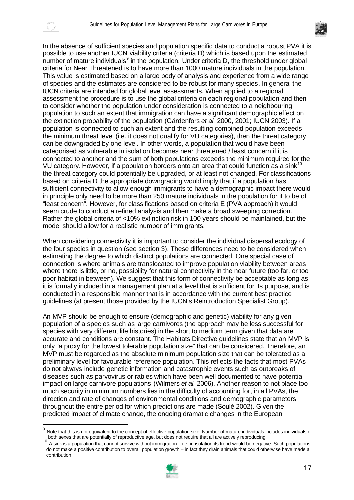



In the absence of sufficient species and population specific data to conduct a robust PVA it is possible to use another IUCN viability criteria (criteria D) which is based upon the estimated number of mature individuals<sup>9</sup> in the population. Under criteria D, the threshold under global criteria for Near Threatened is to have more than 1000 mature individuals in the population. This value is estimated based on a large body of analysis and experience from a wide range of species and the estimates are considered to be robust for many species. In general the IUCN criteria are intended for global level assessments. When applied to a regional assessment the procedure is to use the global criteria on each regional population and then to consider whether the population under consideration is connected to a neighbouring population to such an extent that immigration can have a significant demographic effect on the extinction probability of the population (Gärdenfors *et al.* 2000, 2001; IUCN 2003). If a population is connected to such an extent and the resulting combined population exceeds the minimum threat level (i.e. it does not qualify for VU categories), then the threat category can be downgraded by one level. In other words, a population that would have been categorised as vulnerable in isolation becomes near threatened / least concern if it is connected to another and the sum of both populations exceeds the minimum required for the VU category. However, if a population borders onto an area that could function as a sink<sup>10</sup> the threat category could potentially be upgraded, or at least not changed. For classifications based on criteria D the appropriate downgrading would imply that if a population has sufficient connectivity to allow enough immigrants to have a demographic impact there would in principle only need to be more than 250 mature individuals in the population for it to be of "least concern". However, for classifications based on criteria E (PVA approach) it would seem crude to conduct a refined analysis and then make a broad sweeping correction. Rather the global criteria of <10% extinction risk in 100 years should be maintained, but the model should allow for a realistic number of immigrants.

When considering connectivity it is important to consider the individual dispersal ecology of the four species in question (see section 3). These differences need to be considered when estimating the degree to which distinct populations are connected. One special case of connection is where animals are translocated to improve population viability between areas where there is little, or no, possibility for natural connectivity in the near future (too far, or too poor habitat in between). We suggest that this form of connectivity be acceptable as long as it is formally included in a management plan at a level that is sufficient for its purpose, and is conducted in a responsible manner that is in accordance with the current best practice guidelines (at present those provided by the IUCN's Reintroduction Specialist Group).

An MVP should be enough to ensure (demographic and genetic) viability for any given population of a species such as large carnivores (the approach may be less successful for species with very different life histories) in the short to medium term given that data are accurate and conditions are constant. The Habitats Directive guidelines state that an MVP is only "a proxy for the lowest tolerable population size" that can be considered. Therefore, an MVP must be regarded as the absolute minimum population size that can be tolerated as a preliminary level for favourable reference population. This reflects the facts that most PVAs do not always include genetic information and catastrophic events such as outbreaks of diseases such as parvovirus or rabies which have been well documented to have potential impact on large carnivore populations (Wilmers *et al.* 2006). Another reason to not place too much security in minimum numbers lies in the difficulty of accounting for, in all PVAs, the direction and rate of changes of environmental conditions and demographic parameters throughout the entire period for which predictions are made (Soulé 2002). Given the predicted impact of climate change, the ongoing dramatic changes in the European

<sup>10</sup> A sink is a population that cannot survive without immigration – i.e. in isolation its trend would be negative. Such populations do not make a positive contribution to overall population growth – in fact they drain animals that could otherwise have made a contribution.



<sup>9</sup> Note that this is not equivalent to the concept of effective population size. Number of mature individuals includes individuals of both sexes that are potentially of reproductive age, but does not require that all are actively reproducing.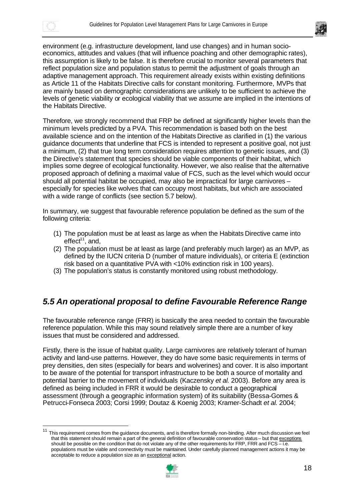



environment (e.g. infrastructure development, land use changes) and in human socioeconomics, attitudes and values (that will influence poaching and other demographic rates), this assumption is likely to be false. It is therefore crucial to monitor several parameters that reflect population size and population status to permit the adjustment of goals through an adaptive management approach. This requirement already exists within existing definitions as Article 11 of the Habitats Directive calls for constant monitoring. Furthermore, MVPs that are mainly based on demographic considerations are unlikely to be sufficient to achieve the levels of genetic viability or ecological viability that we assume are implied in the intentions of the Habitats Directive.

Therefore, we strongly recommend that FRP be defined at significantly higher levels than the minimum levels predicted by a PVA. This recommendation is based both on the best available science and on the intention of the Habitats Directive as clarified in (1) the various guidance documents that underline that FCS is intended to represent a positive goal, not just a minimum, (2) that true long term consideration requires attention to genetic issues, and (3) the Directive's statement that species should be viable components of their habitat, which implies some degree of ecological functionality. However, we also realise that the alternative proposed approach of defining a maximal value of FCS, such as the level which would occur should all potential habitat be occupied, may also be impractical for large carnivores – especially for species like wolves that can occupy most habitats, but which are associated with a wide range of conflicts (see section 5.7 below).

In summary, we suggest that favourable reference population be defined as the sum of the following criteria:

- (1) The population must be at least as large as when the Habitats Directive came into effect $11$ , and,
- (2) The population must be at least as large (and preferably much larger) as an MVP, as defined by the IUCN criteria D (number of mature individuals), or criteria E (extinction risk based on a quantitative PVA with <10% extinction risk in 100 years).
- (3) The population's status is constantly monitored using robust methodology.

#### *5.5 An operational proposal to define Favourable Reference Range*

The favourable reference range (FRR) is basically the area needed to contain the favourable reference population. While this may sound relatively simple there are a number of key issues that must be considered and addressed.

Firstly, there is the issue of habitat quality. Large carnivores are relatively tolerant of human activity and land-use patterns. However, they do have some basic requirements in terms of prey densities, den sites (especially for bears and wolverines) and cover. It is also important to be aware of the potential for transport infrastructure to be both a source of mortality and potential barrier to the movement of individuals (Kaczensky *et al.* 2003). Before any area is defined as being included in FRR it would be desirable to conduct a geographical assessment (through a geographic information system) of its suitability (Bessa-Gomes & Petrucci-Fonseca 2003; Corsi 1999; Doutaz & Koenig 2003; Kramer-Schadt *et al.* 2004;

<sup>11</sup> This requirement comes from the guidance documents, and is therefore formally non-binding. After much discussion we feel that this statement should remain a part of the general definition of favourable conservation status – but that exceptions should be possible on the condition that do not violate any of the other requirements for FRP, FRR and FCS $-$ i.e. populations must be viable and connectivity must be maintained. Under carefully planned management actions it may be acceptable to reduce a population size as an exceptional action.

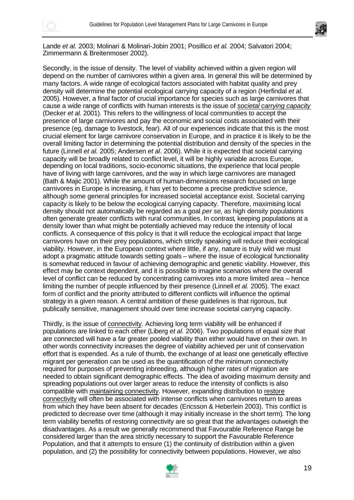



Lande *et al.* 2003; Molinari & Molinari-Jobin 2001; Posillico *et al.* 2004; Salvatori 2004; Zimmermann & Breitenmoser 2002).

Secondly, is the issue of density. The level of viability achieved within a given region will depend on the number of carnivores within a given area. In general this will be determined by many factors. A wide range of ecological factors associated with habitat quality and prey density will determine the potential ecological carrying capacity of a region (Herfindal *et al.* 2005). However, a final factor of crucial importance for species such as large carnivores that cause a wide range of conflicts with human interests is the issue of *societal carrying capacity* (Decker *et al.* 2001). This refers to the willingness of local communities to accept the presence of large carnivores and pay the economic and social costs associated with their presence (eg, damage to livestock, fear). All of our experiences indicate that this is the most crucial element for large carnivore conservation in Europe, and in practice it is likely to be the overall limiting factor in determining the potential distribution and density of the species in the future (Linnell *et al.* 2005; Andersen *et al*. 2006). While it is expected that societal carrying capacity will be broadly related to conflict level, it will be highly variable across Europe, depending on local traditions, socio-economic situations, the experience that local people have of living with large carnivores, and the way in which large carnivores are managed (Bath & Majic 2001). While the amount of human-dimensions research focused on large carnivores in Europe is increasing, it has yet to become a precise predictive science, although some general principles for increased societal acceptance exist. Societal carrying capacity is likely to be below the ecological carrying capacity. Therefore, maximising local density should not automatically be regarded as a goal *per se*, as high density populations often generate greater conflicts with rural communities. In contrast, keeping populations at a density lower than what might be potentially achieved may reduce the intensity of local conflicts. A consequence of this policy is that it will reduce the ecological impact that large carnivores have on their prey populations, which strictly speaking will reduce their ecological viability. However, in the European context where little, if any, nature is truly wild we must adopt a pragmatic attitude towards setting goals – where the issue of ecological functionality is somewhat reduced in favour of achieving demographic and genetic viability. However, this effect may be context dependent, and it is possible to imagine scenarios where the overall level of conflict can be reduced by concentrating carnivores into a more limited area – hence limiting the number of people influenced by their presence (Linnell *et al.* 2005). The exact form of conflict and the priority attributed to different conflicts will influence the optimal strategy in a given reason. A central ambition of these guidelines is that rigorous, but publically sensitive, management should over time increase societal carrying capacity.

Thirdly, is the issue of connectivity. Achieving long term viability will be enhanced if populations are linked to each other (Liberg *et al.* 2006). Two populations of equal size that are connected will have a far greater pooled viability than either would have on their own. In other words connectivity increases the degree of viability achieved per unit of conservation effort that is expended. As a rule of thumb, the exchange of at least one genetically effective migrant per generation can be used as the quantification of the minimum connectivity required for purposes of preventing inbreeding, although higher rates of migration are needed to obtain significant demographic effects. The idea of avoiding maximum density and spreading populations out over larger areas to reduce the intensity of conflicts is also compatible with maintaining connectivity. However, expanding distribution to restore connectivity will often be associated with intense conflicts when carnivores return to areas from which they have been absent for decades (Ericsson & Heberlein 2003). This conflict is predicted to decrease over time (although it may initially increase in the short term). The long term viability benefits of restoring connectivity are so great that the advantages outweigh the disadvantages. As a result we generally recommend that Favourable Reference Range be considered larger than the area strictly necessary to support the Favourable Reference Population, and that it attempts to ensure (1) the continuity of distribution within a given population, and (2) the possibility for connectivity between populations. However, we also

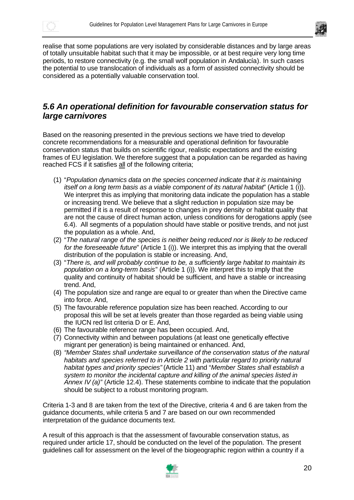



realise that some populations are very isolated by considerable distances and by large areas of totally unsuitable habitat such that it may be impossible, or at best require very long time periods, to restore connectivity (e.g. the small wolf population in Andalucía). In such cases the potential to use translocation of individuals as a form of assisted connectivity should be considered as a potentially valuable conservation tool.

#### *5.6 An operational definition for favourable conservation status for large carnivores*

Based on the reasoning presented in the previous sections we have tried to develop concrete recommendations for a measurable and operational definition for favourable conservation status that builds on scientific rigour, realistic expectations and the existing frames of EU legislation. We therefore suggest that a population can be regarded as having reached FCS if it satisfies all of the following criteria;

- (1) "*Population dynamics data on the species concerned indicate that it is maintaining itself on a long term basis as a viable component of its natural habitat*" (Article 1 (i)). We interpret this as implying that monitoring data indicate the population has a stable or increasing trend. We believe that a slight reduction in population size may be permitted if it is a result of response to changes in prey density or habitat quality that are not the cause of direct human action, unless conditions for derogations apply (see 6.4). All segments of a population should have stable or positive trends, and not just the population as a whole. And,
- (2) "*The natural range of the species is neither being reduced nor is likely to be reduced for the foreseeable future*" (Article 1 (i)). We interpret this as implying that the overall distribution of the population is stable or increasing. And,
- (3) "*There is, and will probably continue to be, a sufficiently large habitat to maintain its population on a long-term basis*" (Article 1 (i)). We interpret this to imply that the quality and continuity of habitat should be sufficient, and have a stable or increasing trend. And,
- (4) The population size and range are equal to or greater than when the Directive came into force. And,
- (5) The favourable reference population size has been reached. According to our proposal this will be set at levels greater than those regarded as being viable using the IUCN red list criteria D or E. And,
- (6) The favourable reference range has been occupied. And,
- (7) Connectivity within and between populations (at least one genetically effective migrant per generation) is being maintained or enhanced. And,
- (8) *"Member States shall undertake surveillance of the conservation status of the natural habitats and species referred to in Article 2 with particular regard to priority natural habitat types and priority species"* (Article 11) and "*Member States shall establish a system to monitor the incidental capture and killing of the animal species listed in Annex IV (a)"* (Article 12.4). These statements combine to indicate that the population should be subject to a robust monitoring program.

Criteria 1-3 and 8 are taken from the text of the Directive, criteria 4 and 6 are taken from the guidance documents, while criteria 5 and 7 are based on our own recommended interpretation of the guidance documents text.

A result of this approach is that the assessment of favourable conservation status, as required under article 17, should be conducted on the level of the population. The present guidelines call for assessment on the level of the biogeographic region within a country if a

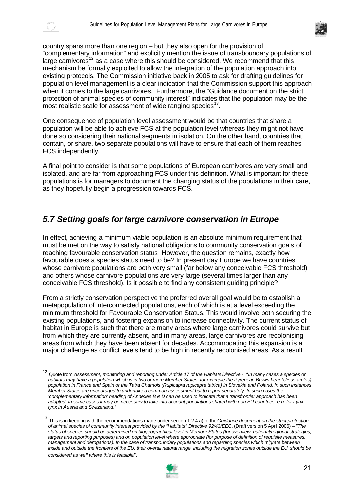



country spans more than one region – but they also open for the provision of "complementary information" and explicitly mention the issue of transboundary populations of large carnivores<sup>12</sup> as a case where this should be considered. We recommend that this mechanism be formally exploited to allow the integration of the population approach into existing protocols. The Commission initiative back in 2005 to ask for drafting guidelines for population level management is a clear indication that the Commission support this approach when it comes to the large carnivores. Furthermore, the "Guidance document on the strict protection of animal species of community interest" indicates that the population may be the most realistic scale for assessment of wide ranging species<sup>13</sup>.

One consequence of population level assessment would be that countries that share a population will be able to achieve FCS at the population level whereas they might not have done so considering their national segments in isolation. On the other hand, countries that contain, or share, two separate populations will have to ensure that each of them reaches FCS independently.

A final point to consider is that some populations of European carnivores are very small and isolated, and are far from approaching FCS under this definition. What is important for these populations is for managers to document the changing status of the populations in their care, as they hopefully begin a progression towards FCS.

### *5.7 Setting goals for large carnivore conservation in Europe*

In effect, achieving a minimum viable population is an absolute minimum requirement that must be met on the way to satisfy national obligations to community conservation goals of reaching favourable conservation status. However, the question remains, exactly how favourable does a species status need to be? In present day Europe we have countries whose carnivore populations are both very small (far below any conceivable FCS threshold) and others whose carnivore populations are very large (several times larger than any conceivable FCS threshold). Is it possible to find any consistent guiding principle?

From a strictly conservation perspective the preferred overall goal would be to establish a metapopulation of interconnected populations, each of which is at a level exceeding the minimum threshold for Favourable Conservation Status. This would involve both securing the existing populations, and fostering expansion to increase connectivity. The current status of habitat in Europe is such that there are many areas where large carnivores could survive but from which they are currently absent, and in many areas, large carnivores are recolonising areas from which they have been absent for decades. Accommodating this expansion is a major challenge as conflict levels tend to be high in recently recolonised areas. As a result

<sup>13</sup> This is in keeping with the recommendations made under section 1.2.4 a) of the *Guidance document on the strict protection of animal species of community interest provided by the "Habitats" Directive 92/43/EEC*. (Draft version 5 April 2006) – "*The status of species should be determined on biogeographical level in Member States (for overview, national/regional strategies, targets and reporting purposes) and on population level where appropriate (for purpose of definition of requisite measures, management and derogations). In the case of transboundary populations and regarding species which migrate between*  inside and outside the frontiers of the EU, their overall natural range, including the migration zones outside the EU, should be *considered as well where this is feasible*.".



<sup>12</sup> Quote from *Assessment, monitoring and reporting under Article 17 of the Habitats Directive* - "*In many cases a species or habitats may have a population which is in two or more Member States, for example the Pyrenean Brown bear (Ursus arctos) population in France and Spain or the Tatra Chamois (Rupicapra rupicapra tatrica) in Slovakia and Poland. In such instances Member States are encouraged to undertake a common assessment but to report separately. In such cases the 'complementary information' heading of Annexes B & D can be used to indicate that a transfrontier approach has been adopted. In some cases it may be necessary to take into account populations shared with non EU countries, e.g. for Lynx lynx in Austria and Switzerland*."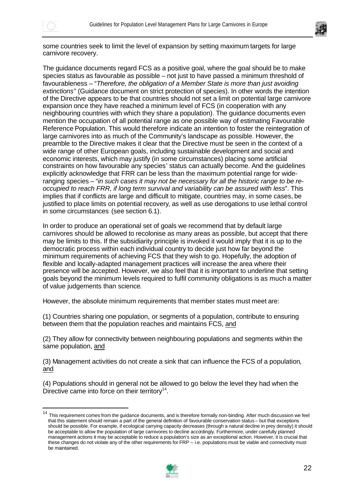



some countries seek to limit the level of expansion by setting maximum targets for large carnivore recovery.

The guidance documents regard FCS as a positive goal, where the goal should be to make species status as favourable as possible – not just to have passed a minimum threshold of favourableness – "*Therefore, the obligation of a Member State is more than just avoiding extinctions*" (Guidance document on strict protection of species). In other words the intention of the Directive appears to be that countries should not set a limit on potential large carnivore expansion once they have reached a minimum level of FCS (in cooperation with any neighbouring countries with which they share a population). The guidance documents even mention the occupation of all potential range as one possible way of estimating Favourable Reference Population. This would therefore indicate an intention to foster the reintegration of large carnivores into as much of the Community's landscape as possible. However, the preamble to the Directive makes it clear that the Directive must be seen in the context of a wide range of other European goals, including sustainable development and social and economic interests, which may justify (in some circumstances) placing some artificial constraints on how favourable any species' status can actually become. And the guidelines explicitly acknowledge that FRR can be less than the maximum potential range for wideranging species – "*in such cases it may not be necessary for all the historic range to be reoccupied to reach FRR, if long term survival and variability can be assured with less*". This implies that if conflicts are large and difficult to mitigate, countries may, in some cases, be justified to place limits on potential recovery, as well as use derogations to use lethal control in some circumstances (see section 6.1).

In order to produce an operational set of goals we recommend that by default large carnivores should be allowed to recolonise as many areas as possible, but accept that there may be limits to this. If the subsidiarity principle is invoked it would imply that it is up to the democratic process within each individual country to decide just how far beyond the minimum requirements of achieving FCS that they wish to go. Hopefully, the adoption of flexible and locally-adapted management practices will increase the area where their presence will be accepted. However, we also feel that it is important to underline that setting goals beyond the minimum levels required to fulfil community obligations is as much a matter of value judgements than science.

However, the absolute minimum requirements that member states must meet are:

(1) Countries sharing one population, or segments of a population, contribute to ensuring between them that the population reaches and maintains FCS, and

(2) They allow for connectivity between neighbouring populations and segments within the same population, and

(3) Management activities do not create a sink that can influence the FCS of a population, and

(4) Populations should in general not be allowed to go below the level they had when the Directive came into force on their territory<sup>14</sup>.

<sup>&</sup>lt;sup>14</sup> This requirement comes from the quidance documents, and is therefore formally non-binding. After much discussion we feel that this statement should remain a part of the general definition of favourable conservation status – but that exceptions should be possible. For example, if ecological carrying capacity decreases (through a natural decline in prey density) it should be acceptable to allow the population of large carnivores to decline accordingly. Furthermore, under carefully planned management actions it may be acceptable to reduce a population's size as an exceptional action. However, it is crucial that these changes do not violate any of the other requirements for FRP – i.e. populations must be viable and connectivity must be maintained.

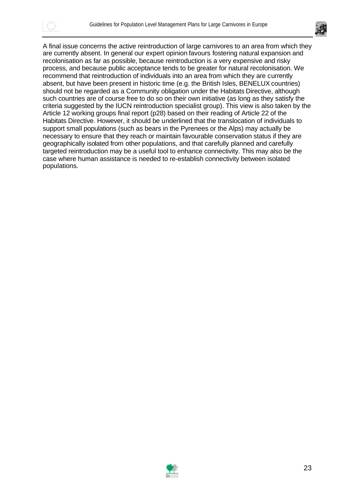



A final issue concerns the active reintroduction of large carnivores to an area from which they are currently absent. In general our expert opinion favours fostering natural expansion and recolonisation as far as possible, because reintroduction is a very expensive and risky process, and because public acceptance tends to be greater for natural recolonisation. We recommend that reintroduction of individuals into an area from which they are currently absent, but have been present in historic time (e.g. the British Isles, BENELUX countries) should not be regarded as a Community obligation under the Habitats Directive, although such countries are of course free to do so on their own initiative (as long as they satisfy the criteria suggested by the IUCN reintroduction specialist group). This view is also taken by the Article 12 working groups final report (p28) based on their reading of Article 22 of the Habitats Directive. However, it should be underlined that the translocation of individuals to support small populations (such as bears in the Pyrenees or the Alps) may actually be necessary to ensure that they reach or maintain favourable conservation status if they are geographically isolated from other populations, and that carefully planned and carefully targeted reintroduction may be a useful tool to enhance connectivity. This may also be the case where human assistance is needed to re-establish connectivity between isolated populations.

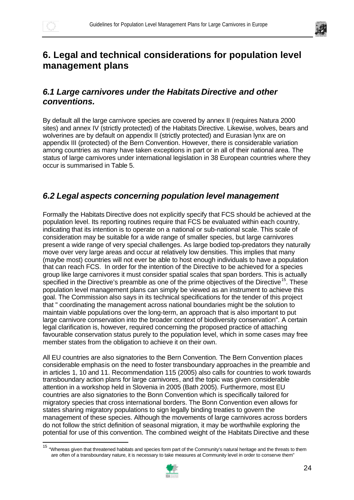$\overline{a}$ 



# **6. Legal and technical considerations for population level management plans**

### *6.1 Large carnivores under the Habitats Directive and other conventions.*

By default all the large carnivore species are covered by annex II (requires Natura 2000 sites) and annex IV (strictly protected) of the Habitats Directive. Likewise, wolves, bears and wolverines are by default on appendix II (strictly protected) and Eurasian lynx are on appendix III (protected) of the Bern Convention. However, there is considerable variation among countries as many have taken exceptions in part or in all of their national area. The status of large carnivores under international legislation in 38 European countries where they occur is summarised in Table 5.

### *6.2 Legal aspects concerning population level management*

Formally the Habitats Directive does not explicitly specify that FCS should be achieved at the population level. Its reporting routines require that FCS be evaluated within each country, indicating that its intention is to operate on a national or sub-national scale. This scale of consideration may be suitable for a wide range of smaller species, but large carnivores present a wide range of very special challenges. As large bodied top-predators they naturally move over very large areas and occur at relatively low densities. This implies that many (maybe most) countries will not ever be able to host enough individuals to have a population that can reach FCS. In order for the intention of the Directive to be achieved for a species group like large carnivores it must consider spatial scales that span borders. This is actually specified in the Directive's preamble as one of the prime objectives of the Directive<sup>15</sup>. These population level management plans can simply be viewed as an instrument to achieve this goal. The Commission also says in its technical specifications for the tender of this project that " coordinating the management across national boundaries might be the solution to maintain viable populations over the long-term, an approach that is also important to put large carnivore conservation into the broader context of biodiversity conservation". A certain legal clarification is, however, required concerning the proposed practice of attaching favourable conservation status purely to the population level, which in some cases may free member states from the obligation to achieve it on their own.

All EU countries are also signatories to the Bern Convention. The Bern Convention places considerable emphasis on the need to foster transboundary approaches in the preamble and in articles 1, 10 and 11. Recommendation 115 (2005) also calls for countries to work towards transboundary action plans for large carnivores, and the topic was given considerable attention in a workshop held in Slovenia in 2005 (Bath 2005). Furthermore, most EU countries are also signatories to the Bonn Convention which is specifically tailored for migratory species that cross international borders. The Bonn Convention even allows for states sharing migratory populations to sign legally binding treaties to govern the management of these species. Although the movements of large carnivores across borders do not follow the strict definition of seasonal migration, it may be worthwhile exploring the potential for use of this convention. The combined weight of the Habitats Directive and these

<sup>&</sup>lt;sup>15</sup> "Whereas given that threatened habitats and species form part of the Community's natural heritage and the threats to them are often of a transboundary nature, it is necessary to take measures at Community level in order to conserve them"

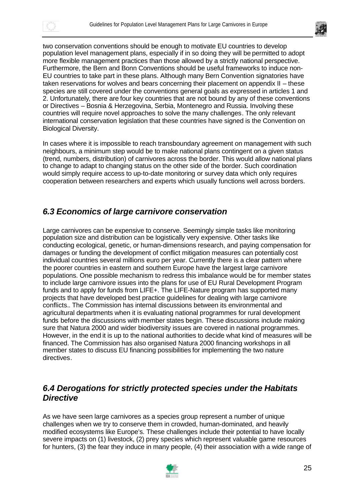



two conservation conventions should be enough to motivate EU countries to develop population level management plans, especially if in so doing they will be permitted to adopt more flexible management practices than those allowed by a strictly national perspective. Furthermore, the Bern and Bonn Conventions should be useful frameworks to induce non-EU countries to take part in these plans. Although many Bern Convention signatories have taken reservations for wolves and bears concerning their placement on appendix II – these species are still covered under the conventions general goals as expressed in articles 1 and 2. Unfortunately, there are four key countries that are not bound by any of these conventions or Directives – Bosnia & Herzegovina, Serbia, Montenegro and Russia. Involving these countries will require novel approaches to solve the many challenges. The only relevant international conservation legislation that these countries have signed is the Convention on Biological Diversity.

In cases where it is impossible to reach transboundary agreement on management with such neighbours, a minimum step would be to make national plans contingent on a given status (trend, numbers, distribution) of carnivores across the border. This would allow national plans to change to adapt to changing status on the other side of the border. Such coordination would simply require access to up-to-date monitoring or survey data which only requires cooperation between researchers and experts which usually functions well across borders.

#### *6.3 Economics of large carnivore conservation*

Large carnivores can be expensive to conserve. Seemingly simple tasks like monitoring population size and distribution can be logistically very expensive. Other tasks like conducting ecological, genetic, or human-dimensions research, and paying compensation for damages or funding the development of conflict mitigation measures can potentially cost individual countries several millions euro per year. Currently there is a clear pattern where the poorer countries in eastern and southern Europe have the largest large carnivore populations. One possible mechanism to redress this imbalance would be for member states to include large carnivore issues into the plans for use of EU Rural Development Program funds and to apply for funds from LIFE+. The LIFE-Nature program has supported many projects that have developed best practice guidelines for dealing with large carnivore conflicts.. The Commission has internal discussions between its environmental and agricultural departments when it is evaluating national programmes for rural development funds before the discussions with member states begin. These discussions include making sure that Natura 2000 and wider biodiversity issues are covered in national programmes. However, in the end it is up to the national authorities to decide what kind of measures will be financed. The Commission has also organised Natura 2000 financing workshops in all member states to discuss EU financing possibilities for implementing the two nature directives.

#### *6.4 Derogations for strictly protected species under the Habitats Directive*

As we have seen large carnivores as a species group represent a number of unique challenges when we try to conserve them in crowded, human-dominated, and heavily modified ecosystems like Europe's. These challenges include their potential to have locally severe impacts on (1) livestock, (2) prey species which represent valuable game resources for hunters, (3) the fear they induce in many people, (4) their association with a wide range of

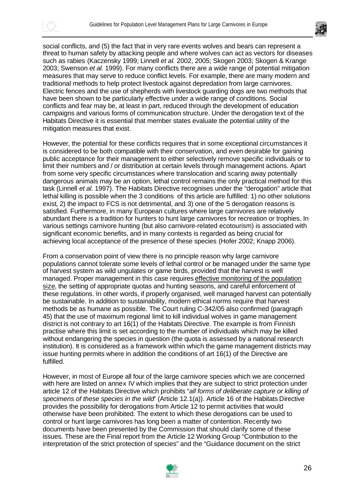



social conflicts, and (5) the fact that in very rare events wolves and bears can represent a threat to human safety by attacking people and where wolves can act as vectors for diseases such as rabies (Kaczensky 1999; Linnell *et al.* 2002, 2005; Skogen 2003; Skogen & Krange 2003; Swenson *et al.* 1999). For many conflicts there are a wide range of potential mitigation measures that may serve to reduce conflict levels. For example, there are many modern and traditional methods to help protect livestock against depredation from large carnivores. Electric fences and the use of shepherds with livestock guarding dogs are two methods that have been shown to be particularly effective under a wide range of conditions. Social conflicts and fear may be, at least in part, reduced through the development of education campaigns and various forms of communication structure. Under the derogation text of the Habitats Directive it is essential that member states evaluate the potential utility of the mitigation measures that exist.

However, the potential for these conflicts requires that in some exceptional circumstances it is considered to be both compatible with their conservation, and even desirable for gaining public acceptance for their management to either selectively remove specific individuals or to limit their numbers and / or distribution at certain levels through management actions. Apart from some very specific circumstances where translocation and scaring away potentially dangerous animals may be an option, lethal control remains the only practical method for this task (Linnell *et al.* 1997). The Habitats Directive recognises under the "derogation" article that lethal killing is possible when the 3 conditions of this article are fulfilled: 1) no other solutions exist, 2) the impact to FCS is not detrimental, and 3) one of the 5 derogation reasons is satisfied. Furthermore, in many European cultures where large carnivores are relatively abundant there is a tradition for hunters to hunt large carnivores for recreation or trophies. In various settings carnivore hunting (but also carnivore-related ecotourism) is associated with significant economic benefits, and in many contexts is regarded as being crucial for achieving local acceptance of the presence of these species (Hofer 2002; Knapp 2006).

From a conservation point of view there is no principle reason why large carnivore populations cannot tolerate some levels of lethal control or be managed under the same type of harvest system as wild ungulates or game birds, provided that the harvest is well managed. Proper management in this case requires effective monitoring of the population size, the setting of appropriate quotas and hunting seasons, and careful enforcement of these regulations. In other words, if properly organised, well managed harvest can potentially be sustainable. In addition to sustainability, modern ethical norms require that harvest methods be as humane as possible. The Court ruling C-342/05 also confirmed (paragraph 45) that the use of maximum regional limit to kill individual wolves in game management district is not contrary to art 16(1) of the Habitats Directive. The example is from Finnish practise where this limit is set according to the number of individuals which may be killed without endangering the species in question (the quota is assessed by a national research institution). It is considered as a framework within which the game management districts may issue hunting permits where in addition the conditions of art 16(1) of the Directive are fulfilled.

However, in most of Europe all four of the large carnivore species which we are concerned with here are listed on annex IV which implies that they are subject to strict protection under article 12 of the Habitats Directive which prohibits "*all forms of deliberate capture or killing of specimens of these species in the wild*" (Article 12.1(a)). Article 16 of the Habitats Directive provides the possibility for derogations from Article 12 to permit activities that would otherwise have been prohibited. The extent to which these derogations can be used to control or hunt large carnivores has long been a matter of contention. Recently two documents have been presented by the Commission that should clarify some of these issues. These are the Final report from the Article 12 Working Group "Contribution to the interpretation of the strict protection of species" and the "Guidance document on the strict

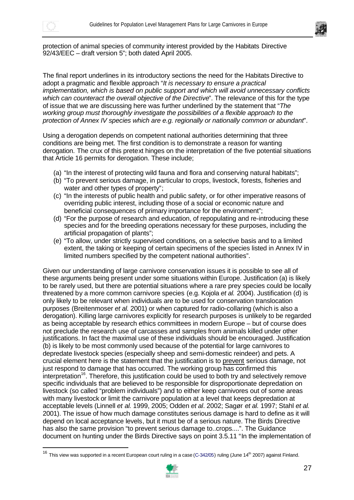



protection of animal species of community interest provided by the Habitats Directive 92/43/EEC – draft version 5"; both dated April 2005.

The final report underlines in its introductory sections the need for the Habitats Directive to adopt a pragmatic and flexible approach "*It is necessary to ensure a practical implementation, which is based on public support and which will avoid unnecessary conflicts which can counteract the overall objective of the Directive*". The relevance of this for the type of issue that we are discussing here was further underlined by the statement that "*The working group must thoroughly investigate the possibilities of a flexible approach to the protection of Annex IV species which are e.g. regionally or nationally common or abundant*".

Using a derogation depends on competent national authorities determining that three conditions are being met. The first condition is to demonstrate a reason for wanting derogation. The crux of this pretext hinges on the interpretation of the five potential situations that Article 16 permits for derogation. These include;

- (a) "In the interest of protecting wild fauna and flora and conserving natural habitats";
- (b) "To prevent serious damage, in particular to crops, livestock, forests, fisheries and water and other types of property";
- (c) "In the interests of public health and public safety, or for other imperative reasons of overriding public interest, including those of a social or economic nature and beneficial consequences of primary importance for the environment";
- (d) "For the purpose of research and education, of repopulating and re-introducing these species and for the breeding operations necessary for these purposes, including the artificial propagation of plants";
- (e) "To allow, under strictly supervised conditions, on a selective basis and to a limited extent, the taking or keeping of certain specimens of the species listed in Annex IV in limited numbers specified by the competent national authorities".

Given our understanding of large carnivore conservation issues it is possible to see all of these arguments being present under some situations within Europe. Justification (a) is likely to be rarely used, but there are potential situations where a rare prey species could be locally threatened by a more common carnivore species (e.g. Kojola *et al.* 2004). Justification (d) is only likely to be relevant when individuals are to be used for conservation translocation purposes (Breitenmoser *et al.* 2001) or when captured for radio-collaring (which is also a derogation). Killing large carnivores explicitly for research purposes is unlikely to be regarded as being acceptable by research ethics committees in modern Europe – but of course does not preclude the research use of carcasses and samples from animals killed under other justifications. In fact the maximal use of these individuals should be encouraged. Justification (b) is likely to be most commonly used because of the potential for large carnivores to depredate livestock species (especially sheep and semi-domestic reindeer) and pets. A crucial element here is the statement that the justification is to prevent serious damage, not just respond to damage that has occurred. The working group has confirmed this interpretation<sup>16</sup>. Therefore, this justification could be used to both try and selectively remove specific individuals that are believed to be responsible for disproportionate depredation on livestock (so called "problem individuals") and to either keep carnivores out of some areas with many livestock or limit the carnivore population at a level that keeps depredation at acceptable levels (Linnell *et al.* 1999, 2005; Odden *et al*. 2002; Sagør *et al.* 1997; Stahl *et al.* 2001). The issue of how much damage constitutes serious damage is hard to define as it will depend on local acceptance levels, but it must be of a serious nature. The Birds Directive has also the same provision "to prevent serious damage to..crops....". The Guidance document on hunting under the Birds Directive says on point 3.5.11 "In the implementation of

 $16$  This view was supported in a recent European court ruling in a case (C-342/05) ruling (June  $14<sup>th</sup>$  2007) against Finland.

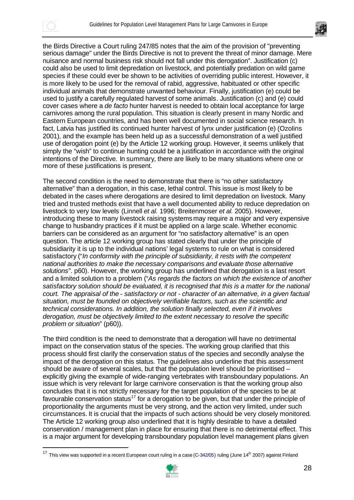



the Birds Directive a Court ruling 247/85 notes that the aim of the provision of "preventing serious damage" under the Birds Directive is not to prevent the threat of minor damage. Mere nuisance and normal business risk should not fall under this derogation". Justification (c) could also be used to limit depredation on livestock, and potentially predation on wild game species if these could ever be shown to be activities of overriding public interest. However, it is more likely to be used for the removal of rabid, aggressive, habituated or other specific individual animals that demonstrate unwanted behaviour. Finally, justification (e) could be used to justify a carefully regulated harvest of some animals. Justification (c) and (e) could cover cases where a *de facto* hunter harvest is needed to obtain local acceptance for large carnivores among the rural population. This situation is clearly present in many Nordic and Eastern European countries, and has been well documented in social science research. In fact, Latvia has justified its continued hunter harvest of lynx under justification (e) (Ozolins 2001), and the example has been held up as a successful demonstration of a well justified use of derogation point (e) by the Article 12 working group. However, it seems unlikely that simply the "wish" to continue hunting could be a justification in accordance with the original intentions of the Directive. In summary, there are likely to be many situations where one or more of these justifications is present.

The second condition is the need to demonstrate that there is "no other satisfactory alternative" than a derogation, in this case, lethal control. This issue is most likely to be debated in the cases where derogations are desired to limit depredation on livestock. Many tried and trusted methods exist that have a well documented ability to reduce depredation on livestock to very low levels (Linnell *et al.* 1996; Breitenmoser *et al.* 2005). However, introducing these to many livestock raising systems may require a major and very expensive change to husbandry practices if it must be applied on a large scale. Whether economic barriers can be considered as an argument for "no satisfactory alternative" is an open question. The article 12 working group has stated clearly that under the principle of subsidiarity it is up to the individual nations' legal systems to rule on what is considered satisfactory ("*In conformity with the principle of subsidiarity, it rests with the competent national authorities to make the necessary comparisons and evaluate those alternative solutions*". p60). However, the working group has underlined that derogation is a last resort and a limited solution to a problem ("*As regards the factors on which the existence of another satisfactory solution should be evaluated, it is recognised that this is a matter for the national court. The appraisal of the - satisfactory or not - character of an alternative, in a given factual situation, must be founded on objectively verifiable factors, such as the scientific and technical considerations. In addition, the solution finally selected, even if it involves derogation, must be objectively limited to the extent necessary to resolve the specific problem or situation*" (p60)).

The third condition is the need to demonstrate that a derogation will have no detrimental impact on the conservation status of the species. The working group clarified that this process should first clarify the conservation status of the species and secondly analyse the impact of the derogation on this status. The guidelines also underline that this assessment should be aware of several scales, but that the population level should be prioritised – explicitly giving the example of wide-ranging vertebrates with transboundary populations. An issue which is very relevant for large carnivore conservation is that the working group also concludes that it is not strictly necessary for the target population of the species to be at favourable conservation status<sup>17</sup> for a derogation to be given, but that under the principle of proportionality the arguments must be very strong, and the action very limited, under such circumstances. It is crucial that the impacts of such actions should be very closely monitored. The Article 12 working group also underlined that it is highly desirable to have a detailed conservation / management plan in place for ensuring that there is no detrimental effect. This is a major argument for developing transboundary population level management plans given

<sup>&</sup>lt;sup>17</sup> This view was supported in a recent European court ruling in a case (C-342/05) ruling (June 14<sup>th</sup> 2007) against Finland

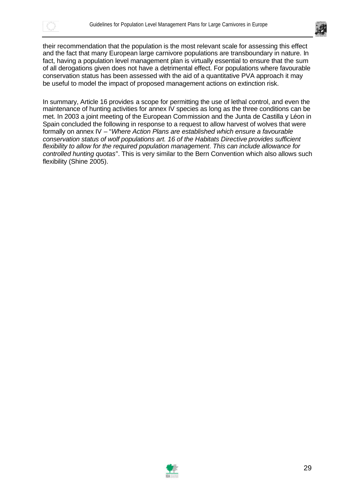



their recommendation that the population is the most relevant scale for assessing this effect and the fact that many European large carnivore populations are transboundary in nature. In fact, having a population level management plan is virtually essential to ensure that the sum of all derogations given does not have a detrimental effect. For populations where favourable conservation status has been assessed with the aid of a quantitative PVA approach it may be useful to model the impact of proposed management actions on extinction risk.

In summary, Article 16 provides a scope for permitting the use of lethal control, and even the maintenance of hunting activities for annex IV species as long as the three conditions can be met. In 2003 a joint meeting of the European Commission and the Junta de Castilla y Léon in Spain concluded the following in response to a request to allow harvest of wolves that were formally on annex IV – "*Where Action Plans are established which ensure a favourable conservation status of wolf populations art. 16 of the Habitats Directive provides sufficient flexibility to allow for the required population management*. *This can include allowance for controlled hunting quotas*". This is very similar to the Bern Convention which also allows such flexibility (Shine 2005).

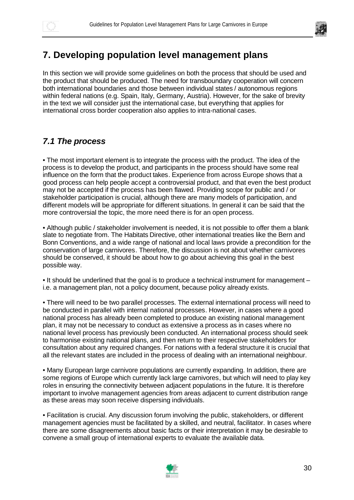

# **7. Developing population level management plans**

In this section we will provide some guidelines on both the process that should be used and the product that should be produced. The need for transboundary cooperation will concern both international boundaries and those between individual states / autonomous regions within federal nations (e.g. Spain, Italy, Germany, Austria). However, for the sake of brevity in the text we will consider just the international case, but everything that applies for international cross border cooperation also applies to intra-national cases.

## *7.1 The process*

• The most important element is to integrate the process with the product. The idea of the process is to develop the product, and participants in the process should have some real influence on the form that the product takes. Experience from across Europe shows that a good process can help people accept a controversial product, and that even the best product may not be accepted if the process has been flawed. Providing scope for public and / or stakeholder participation is crucial, although there are many models of participation, and different models will be appropriate for different situations. In general it can be said that the more controversial the topic, the more need there is for an open process.

• Although public / stakeholder involvement is needed, it is not possible to offer them a blank slate to negotiate from. The Habitats Directive, other international treaties like the Bern and Bonn Conventions, and a wide range of national and local laws provide a precondition for the conservation of large carnivores. Therefore, the discussion is not about whether carnivores should be conserved, it should be about how to go about achieving this goal in the best possible way.

• It should be underlined that the goal is to produce a technical instrument for management – i.e. a management plan, not a policy document, because policy already exists.

• There will need to be two parallel processes. The external international process will need to be conducted in parallel with internal national processes. However, in cases where a good national process has already been completed to produce an existing national management plan, it may not be necessary to conduct as extensive a process as in cases where no national level process has previously been conducted. An international process should seek to harmonise existing national plans, and then return to their respective stakeholders for consultation about any required changes. For nations with a federal structure it is crucial that all the relevant states are included in the process of dealing with an international neighbour.

• Many European large carnivore populations are currently expanding. In addition, there are some regions of Europe which currently lack large carnivores, but which will need to play key roles in ensuring the connectivity between adjacent populations in the future. It is therefore important to involve management agencies from areas adjacent to current distribution range as these areas may soon receive dispersing individuals.

• Facilitation is crucial. Any discussion forum involving the public, stakeholders, or different management agencies must be facilitated by a skilled, and neutral, facilitator. In cases where there are some disagreements about basic facts or their interpretation it may be desirable to convene a small group of international experts to evaluate the available data.

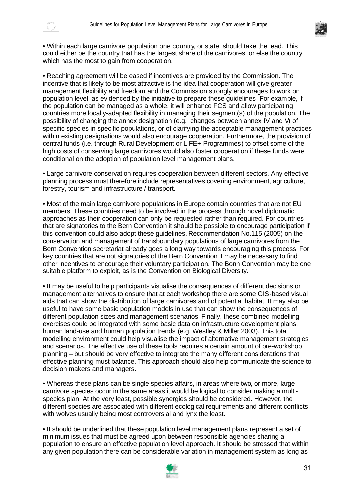



• Within each large carnivore population one country, or state, should take the lead. This could either be the country that has the largest share of the carnivores, or else the country which has the most to gain from cooperation.

• Reaching agreement will be eased if incentives are provided by the Commission. The incentive that is likely to be most attractive is the idea that cooperation will give greater management flexibility and freedom and the Commission strongly encourages to work on population level, as evidenced by the initiative to prepare these guidelines. For example, if the population can be managed as a whole, it will enhance FCS and allow participating countries more locally-adapted flexibility in managing their segment(s) of the population. The possibility of changing the annex designation (e.g. changes between annex IV and V) of specific species in specific populations, or of clarifying the acceptable management practices within existing designations would also encourage cooperation. Furthermore, the provision of central funds (i.e. through Rural Development or LIFE+ Programmes) to offset some of the high costs of conserving large carnivores would also foster cooperation if these funds were conditional on the adoption of population level management plans.

• Large carnivore conservation requires cooperation between different sectors. Any effective planning process must therefore include representatives covering environment, agriculture, forestry, tourism and infrastructure / transport.

• Most of the main large carnivore populations in Europe contain countries that are not EU members. These countries need to be involved in the process through novel diplomatic approaches as their cooperation can only be requested rather than required. For countries that are signatories to the Bern Convention it should be possible to encourage participation if this convention could also adopt these guidelines. Recommendation No.115 (2005) on the conservation and management of transboundary populations of large carnivores from the Bern Convention secretariat already goes a long way towards encouraging this process. For key countries that are not signatories of the Bern Convention it may be necessary to find other incentives to encourage their voluntary participation. The Bonn Convention may be one suitable platform to exploit, as is the Convention on Biological Diversity.

• It may be useful to help participants visualise the consequences of different decisions or management alternatives to ensure that at each workshop there are some GIS-based visual aids that can show the distribution of large carnivores and of potential habitat. It may also be useful to have some basic population models in use that can show the consequences of different population sizes and management scenarios. Finally, these combined modelling exercises could be integrated with some basic data on infrastructure development plans, human land-use and human population trends (e.g. Westley & Miller 2003). This total modelling environment could help visualise the impact of alternative management strategies and scenarios. The effective use of these tools requires a certain amount of pre-workshop planning – but should be very effective to integrate the many different considerations that effective planning must balance. This approach should also help communicate the science to decision makers and managers.

• Whereas these plans can be single species affairs, in areas where two, or more, large carnivore species occur in the same areas it would be logical to consider making a multispecies plan. At the very least, possible synergies should be considered. However, the different species are associated with different ecological requirements and different conflicts, with wolves usually being most controversial and lynx the least.

• It should be underlined that these population level management plans represent a set of minimum issues that must be agreed upon between responsible agencies sharing a population to ensure an effective population level approach. It should be stressed that within any given population there can be considerable variation in management system as long as

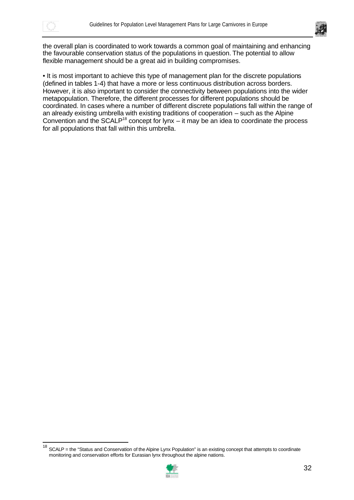

 $\overline{a}$ 



the overall plan is coordinated to work towards a common goal of maintaining and enhancing the favourable conservation status of the populations in question. The potential to allow flexible management should be a great aid in building compromises.

• It is most important to achieve this type of management plan for the discrete populations (defined in tables 1-4) that have a more or less continuous distribution across borders. However, it is also important to consider the connectivity between populations into the wider metapopulation. Therefore, the different processes for different populations should be coordinated. In cases where a number of different discrete populations fall within the range of an already existing umbrella with existing traditions of cooperation – such as the Alpine Convention and the SCALP<sup>18</sup> concept for lynx – it may be an idea to coordinate the process for all populations that fall within this umbrella.

 $18$  SCALP = the "Status and Conservation of the Alpine Lynx Population" is an existing concept that attempts to coordinate monitoring and conservation efforts for Eurasian lynx throughout the alpine nations.

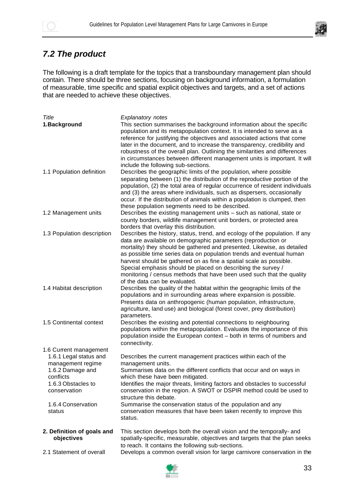



## *7.2 The product*

The following is a draft template for the topics that a transboundary management plan should contain. There should be three sections, focusing on background information, a formulation of measurable, time specific and spatial explicit objectives and targets, and a set of actions that are needed to achieve these objectives.

| Title                                                                                                                                                                        | <b>Explanatory notes</b>                                                                                                                                                                                                                                                                                                                                                                                                                                                                                                                        |
|------------------------------------------------------------------------------------------------------------------------------------------------------------------------------|-------------------------------------------------------------------------------------------------------------------------------------------------------------------------------------------------------------------------------------------------------------------------------------------------------------------------------------------------------------------------------------------------------------------------------------------------------------------------------------------------------------------------------------------------|
| 1. Background                                                                                                                                                                | This section summarises the background information about the specific<br>population and its metapopulation context. It is intended to serve as a<br>reference for justifying the objectives and associated actions that come<br>later in the document, and to increase the transparency, credibility and<br>robustness of the overall plan. Outlining the similarities and differences<br>in circumstances between different management units is important. It will<br>include the following sub-sections.                                      |
| 1.1 Population definition                                                                                                                                                    | Describes the geographic limits of the population, where possible<br>separating between (1) the distribution of the reproductive portion of the<br>population, (2) the total area of regular occurrence of resident individuals<br>and (3) the areas where individuals, such as dispersers, occasionally<br>occur. If the distribution of animals within a population is clumped, then<br>these population segments need to be described.                                                                                                       |
| 1.2 Management units                                                                                                                                                         | Describes the existing management units - such as national, state or<br>county borders, wildlife management unit borders, or protected area<br>borders that overlay this distribution.                                                                                                                                                                                                                                                                                                                                                          |
| 1.3 Population description                                                                                                                                                   | Describes the history, status, trend, and ecology of the population. If any<br>data are available on demographic parameters (reproduction or<br>mortality) they should be gathered and presented. Likewise, as detailed<br>as possible time series data on population trends and eventual human<br>harvest should be gathered on as fine a spatial scale as possible.<br>Special emphasis should be placed on describing the survey /<br>monitoring / census methods that have been used such that the quality<br>of the data can be evaluated. |
| 1.4 Habitat description                                                                                                                                                      | Describes the quality of the habitat within the geographic limits of the<br>populations and in surrounding areas where expansion is possible.<br>Presents data on anthropogenic (human population, infrastructure,<br>agriculture, land use) and biological (forest cover, prey distribution)<br>parameters.                                                                                                                                                                                                                                    |
| 1.5 Continental context                                                                                                                                                      | Describes the existing and potential connections to neighbouring<br>populations within the metapopulation. Evaluates the importance of this<br>population inside the European context - both in terms of numbers and<br>connectivity.                                                                                                                                                                                                                                                                                                           |
| 1.6 Current management<br>1.6.1 Legal status and<br>management regime<br>1.6.2 Damage and<br>conflicts<br>1.6.3 Obstacles to<br>conservation<br>1.6.4 Conservation<br>status | Describes the current management practices within each of the<br>management units.<br>Summarises data on the different conflicts that occur and on ways in<br>which these have been mitigated.<br>Identifies the major threats, limiting factors and obstacles to successful<br>conservation in the region. A SWOT or DSPIR method could be used to<br>structure this debate.<br>Summarise the conservation status of the population and any<br>conservation measures that have been taken recently to improve this<br>status.                  |
| 2. Definition of goals and<br>objectives                                                                                                                                     | This section develops both the overall vision and the temporally- and<br>spatially-specific, measurable, objectives and targets that the plan seeks<br>to reach. It contains the following sub-sections.                                                                                                                                                                                                                                                                                                                                        |
| 2.1 Statement of overall                                                                                                                                                     | Develops a common overall vision for large carnivore conservation in the                                                                                                                                                                                                                                                                                                                                                                                                                                                                        |

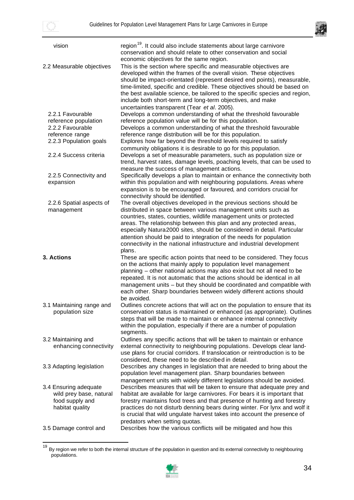$\overline{a}$ 



| vision                                                                                 | region <sup>19</sup> . It could also include statements about large carnivore<br>conservation and should relate to other conservation and social<br>economic objectives for the same region.                                                                                                                                                                                                                                                                                                 |
|----------------------------------------------------------------------------------------|----------------------------------------------------------------------------------------------------------------------------------------------------------------------------------------------------------------------------------------------------------------------------------------------------------------------------------------------------------------------------------------------------------------------------------------------------------------------------------------------|
| 2.2 Measurable objectives                                                              | This is the section where specific and measurable objectives are<br>developed within the frames of the overall vision. These objectives<br>should be impact-orientated (represent desired end points), measurable,<br>time-limited, specific and credible. These objectives should be based on<br>the best available science, be tailored to the specific species and region,<br>include both short-term and long-term objectives, and make<br>uncertainties transparent (Tear et al. 2005). |
| 2.2.1 Favourable<br>reference population<br>2.2.2 Favourable                           | Develops a common understanding of what the threshold favourable<br>reference population value will be for this population.                                                                                                                                                                                                                                                                                                                                                                  |
| reference range                                                                        | Develops a common understanding of what the threshold favourable<br>reference range distribution will be for this population.                                                                                                                                                                                                                                                                                                                                                                |
| 2.2.3 Population goals                                                                 | Explores how far beyond the threshold levels required to satisfy<br>community obligations it is desirable to go for this population.                                                                                                                                                                                                                                                                                                                                                         |
| 2.2.4 Success criteria                                                                 | Develops a set of measurable parameters, such as population size or<br>trend, harvest rates, damage levels, poaching levels, that can be used to                                                                                                                                                                                                                                                                                                                                             |
| 2.2.5 Connectivity and<br>expansion                                                    | measure the success of management actions.<br>Specifically develops a plan to maintain or enhance the connectivity both<br>within this population and with neighbouring populations. Areas where<br>expansion is to be encouraged or favoured, and corridors crucial for<br>connectivity should be identified.                                                                                                                                                                               |
| 2.2.6 Spatial aspects of                                                               | The overall objectives developed in the previous sections should be                                                                                                                                                                                                                                                                                                                                                                                                                          |
| management                                                                             | distributed in space between various management units such as<br>countries, states, counties, wildlife management units or protected<br>areas. The relationship between this plan and any protected areas,<br>especially Natura2000 sites, should be considered in detail. Particular<br>attention should be paid to integration of the needs for population<br>connectivity in the national infrastructure and industrial development                                                       |
| 3. Actions                                                                             | plans.<br>These are specific action points that need to be considered. They focus<br>on the actions that mainly apply to population level management<br>planning - other national actions may also exist but not all need to be<br>repeated. It is not automatic that the actions should be identical in all<br>management units - but they should be coordinated and compatible with<br>each other. Sharp boundaries between widely different actions should<br>be avoided.                 |
| 3.1 Maintaining range and<br>population size                                           | Outlines concrete actions that will act on the population to ensure that its<br>conservation status is maintained or enhanced (as appropriate). Outlines<br>steps that will be made to maintain or enhance internal connectivity<br>within the population, especially if there are a number of population<br>segments.                                                                                                                                                                       |
| 3.2 Maintaining and<br>enhancing connectivity                                          | Outlines any specific actions that will be taken to maintain or enhance<br>external connectivity to neighbouring populations. Develops clear land-<br>use plans for crucial corridors. If translocation or reintroduction is to be<br>considered, these need to be described in detail.                                                                                                                                                                                                      |
| 3.3 Adapting legislation                                                               | Describes any changes in legislation that are needed to bring about the<br>population level management plan. Sharp boundaries between<br>management units with widely different legislations should be avoided.                                                                                                                                                                                                                                                                              |
| 3.4 Ensuring adequate<br>wild prey base, natural<br>food supply and<br>habitat quality | Describes measures that will be taken to ensure that adequate prey and<br>habitat are available for large carnivores. For bears it is important that<br>forestry maintains food trees and that presence of hunting and forestry<br>practices do not disturb denning bears during winter. For lynx and wolf it<br>is crucial that wild ungulate harvest takes into account the presence of<br>predators when setting quotas.                                                                  |
| 3.5 Damage control and                                                                 | Describes how the various conflicts will be mitigated and how this                                                                                                                                                                                                                                                                                                                                                                                                                           |

<sup>&</sup>lt;sup>19</sup> By region we refer to both the internal structure of the population in question and its external connectivity to neighbouring populations.

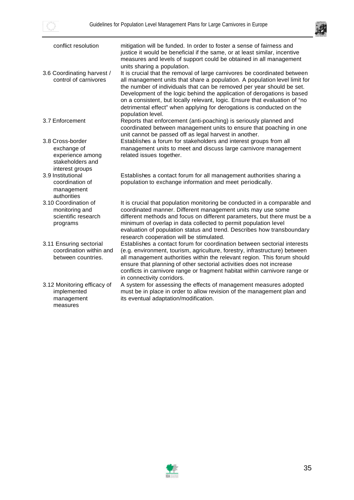



| conflict resolution                                                       | mitigation will be funded. In order to foster a sense of fairness and<br>justice it would be beneficial if the same, or at least similar, incentive<br>measures and levels of support could be obtained in all management<br>units sharing a population.                                                                                                                                                                                                                                 |
|---------------------------------------------------------------------------|------------------------------------------------------------------------------------------------------------------------------------------------------------------------------------------------------------------------------------------------------------------------------------------------------------------------------------------------------------------------------------------------------------------------------------------------------------------------------------------|
| 3.6 Coordinating harvest /<br>control of carnivores                       | It is crucial that the removal of large carnivores be coordinated between<br>all management units that share a population. A population level limit for<br>the number of individuals that can be removed per year should be set.<br>Development of the logic behind the application of derogations is based<br>on a consistent, but locally relevant, logic. Ensure that evaluation of "no<br>detrimental effect" when applying for derogations is conducted on the<br>population level. |
| 3.7 Enforcement                                                           | Reports that enforcement (anti-poaching) is seriously planned and<br>coordinated between management units to ensure that poaching in one<br>unit cannot be passed off as legal harvest in another.                                                                                                                                                                                                                                                                                       |
| 3.8 Cross-border                                                          | Establishes a forum for stakeholders and interest groups from all                                                                                                                                                                                                                                                                                                                                                                                                                        |
| exchange of<br>experience among<br>stakeholders and<br>interest groups    | management units to meet and discuss large carnivore management<br>related issues together.                                                                                                                                                                                                                                                                                                                                                                                              |
| 3.9 Institutional<br>coordination of<br>management<br>authorities         | Establishes a contact forum for all management authorities sharing a<br>population to exchange information and meet periodically.                                                                                                                                                                                                                                                                                                                                                        |
| 3.10 Coordination of<br>monitoring and<br>scientific research<br>programs | It is crucial that population monitoring be conducted in a comparable and<br>coordinated manner. Different management units may use some<br>different methods and focus on different parameters, but there must be a<br>minimum of overlap in data collected to permit population level<br>evaluation of population status and trend. Describes how transboundary<br>research cooperation will be stimulated.                                                                            |
| 3.11 Ensuring sectorial<br>coordination within and<br>between countries.  | Establishes a contact forum for coordination between sectorial interests<br>(e.g. environment, tourism, agriculture, forestry, infrastructure) between<br>all management authorities within the relevant region. This forum should<br>ensure that planning of other sectorial activities does not increase<br>conflicts in carnivore range or fragment habitat within carnivore range or<br>in connectivity corridors.                                                                   |
| 3.12 Monitoring efficacy of<br>implemented<br>management<br>measures      | A system for assessing the effects of management measures adopted<br>must be in place in order to allow revision of the management plan and<br>its eventual adaptation/modification.                                                                                                                                                                                                                                                                                                     |

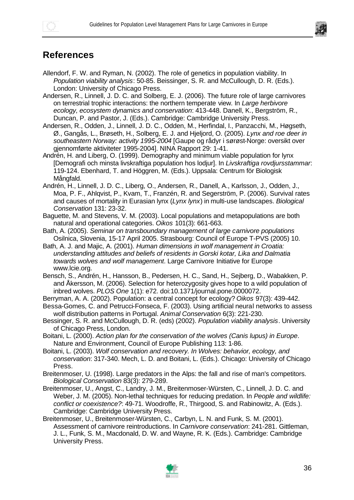

## **References**

- Allendorf, F. W. and Ryman, N. (2002). The role of genetics in population viability. In *Population viability analysis*: 50-85. Beissinger, S. R. and McCullough, D. R. (Eds.). London: University of Chicago Press.
- Andersen, R., Linnell, J. D. C. and Solberg, E. J. (2006). The future role of large carnivores on terrestrial trophic interactions: the northern temperate view. In *Large herbivore ecology, ecosystem dynamics and conservation*: 413-448. Danell, K., Bergström, R., Duncan, P. and Pastor, J. (Eds.). Cambridge: Cambridge University Press.
- Andersen, R., Odden, J., Linnell, J. D. C., Odden, M., Herfindal, I., Panzacchi, M., Høgseth, Ø., Gangås, L., Brøseth, H., Solberg, E. J. and Hjeljord, O. (2005). *Lynx and roe deer in southeastern Norway: activity 1995-2004* [Gaupe og rådyr i sørøst-Norge: oversikt over gjennomførte aktiviteter 1995-2004]. NINA Rapport 29: 1-41.
- Andrén, H. and Liberg, O. (1999). Demography and minimum viable population for lynx [Demografi och minsta livskraftiga population hos lodjur]. In *Livskraftiga rovdjursstammar*: 119-124. Ebenhard, T. and Höggren, M. (Eds.). Uppsala: Centrum för Biologisk Mångfald.
- Andrén, H., Linnell, J. D. C., Liberg, O., Andersen, R., Danell, A., Karlsson, J., Odden, J., Moa, P. F., Ahlqvist, P., Kvam, T., Franzén, R. and Segerström, P. (2006). Survival rates and causes of mortality in Eurasian lynx (*Lynx lynx*) in multi-use landscapes. *Biological Conservation* 131: 23-32.
- Baguette, M. and Stevens, V. M. (2003). Local populations and metapopulations are both natural and operational categories. *Oikos* 101(3): 661-663.
- Bath, A. (2005). *Seminar on transboundary management of large carnivore populations* Osilnica, Slovenia, 15-17 April 2005. Strasbourg: Council of Europe T-PVS (2005) 10.
- Bath, A. J. and Majic, A. (2001). *Human dimensions in wolf management in Croatia: understanding attitudes and beliefs of residents in Gorski kotar, Lika and Dalmatia towards wolves and wolf management*. Large Carnivore Initiative for Europe www.lcie.org.
- Bensch, S., Andrén, H., Hansson, B., Pedersen, H. C., Sand, H., Sejberg, D., Wabakken, P. and Åkersson, M. (2006). Selection for heterozygosity gives hope to a wild population of inbred wolves. *PLOS One* 1(1): e72. doi:10.1371/journal.pone.0000072.
- Berryman, A. A. (2002). Population: a central concept for ecology? *Oikos* 97(3): 439-442.
- Bessa-Gomes, C. and Petrucci-Fonseca, F. (2003). Using artificial neural networks to assess wolf distribution patterns in Portugal. *Animal Conservation* 6(3): 221-230.
- Bessinger, S. R. and McCullough, D. R. (eds) (2002). *Population viability analysis*. University of Chicago Press, London.
- Boitani, L. (2000). *Action plan for the conservation of the wolves (Canis lupus) in Europe*. Nature and Environment, Council of Europe Publishing 113: 1-86.
- Boitani, L. (2003). *Wolf conservation and recovery. In Wolves: behavior, ecology, and conservation*: 317-340. Mech, L. D. and Boitani, L. (Eds.). Chicago: University of Chicago Press.
- Breitenmoser, U. (1998). Large predators in the Alps: the fall and rise of man's competitors. *Biological Conservation* 83(3): 279-289.
- Breitenmoser, U., Angst, C., Landry, J. M., Breitenmoser-Würsten, C., Linnell, J. D. C. and Weber, J. M. (2005). Non-lethal techniques for reducing predation. In *People and wildlife: conflict or coexistence?*: 49-71. Woodroffe, R., Thirgood, S. and Rabinowitz, A. (Eds.). Cambridge: Cambridge University Press.
- Breitenmoser, U., Breitenmoser-Würsten, C., Carbyn, L. N. and Funk, S. M. (2001). Assessment of carnivore reintroductions. In *Carnivore conservation*: 241-281. Gittleman, J. L., Funk, S. M., Macdonald, D. W. and Wayne, R. K. (Eds.). Cambridge: Cambridge University Press.

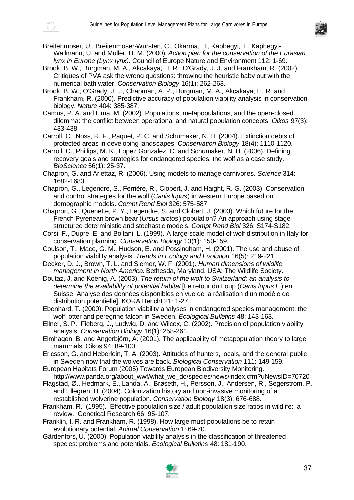



Breitenmoser, U., Breitenmoser-Würsten, C., Okarma, H., Kaphegyi, T., Kaphegyi-Wallmann, U. and Müller, U. M. (2000). *Action plan for the conservation of the Eurasian lynx in Europe (Lynx lynx)*. Council of Europe Nature and Environment 112: 1-69.

- Brook, B. W., Burgman, M. A., Akcakaya, H. R., O'Grady, J. J. and Frankham, R. (2002). Critiques of PVA ask the wrong questions: throwing the heuristic baby out with the numerical bath water. *Conservation Biology* 16(1): 262-263.
- Brook, B. W., O'Grady, J. J., Chapman, A. P., Burgman, M. A., Akcakaya, H. R. and Frankham, R. (2000). Predictive accuracy of population viability analysis in conservation biology. *Nature* 404: 385-387.

Camus, P. A. and Lima, M. (2002). Populations, metapopulations, and the open-closed dilemma: the conflict between operational and natural population concepts. *Oikos* 97(3): 433-438.

Carroll, C., Noss, R. F., Paquet, P. C. and Schumaker, N. H. (2004). Extinction debts of protected areas in developing landscapes. *Conservation Biology* 18(4): 1110-1120.

Carroll, C., Phillips, M. K., Lopez Gonzalez, C. and Schumaker, N. H. (2006). Defining recovery goals and strategies for endangered species: the wolf as a case study. *BioScience* 56(1): 25-37.

Chapron, G. and Arlettaz, R. (2006). Using models to manage carnivores. *Science* 314: 1682-1683.

Chapron, G., Legendre, S., Ferrière, R., Clobert, J. and Haight, R. G. (2003). Conservation and control strategies for the wolf (*Canis lupus*) in western Europe based on demographic models. *Compt Rend Biol* 326: 575-587.

Chapron, G., Quenette, P. Y., Legendre, S. and Clobert, J. (2003). Which future for the French Pyrenean brown bear (*Ursus arctos*) population? An approach using stagestructured deterministic and stochastic models. *Compt Rend Biol* 326: S174-S182.

- Corsi, F., Dupre, E. and Boitani, L. (1999). A large-scale model of wolf distribution in Italy for conservation planning. *Conservation Biology* 13(1): 150-159.
- Coulson, T., Mace, G. M., Hudson, E. and Possingham, H. (2001). The use and abuse of population viability analysis. *Trends in Ecology and Evolution* 16(5): 219-221.
- Decker, D. J., Brown, T. L. and Siemer, W. F. (2001). *Human dimensions of wildlife management in North America*. Bethesda, Maryland, USA: The Wildlife Society.

Doutaz, J. and Koenig, A. (2003). *The return of the wolf to Switzerland: an analysis to determine the availability of potential habitat* [Le retour du Loup (*Canis lupus L.*) en Suisse: Analyse des données disponibles en vue de la réalisation d'un modèle de distribution potentielle]. KORA Bericht 21: 1-27.

Ebenhard, T. (2000). Population viability analyses in endangered species management: the wolf, otter and peregrine falcon in Sweden. *Ecological Bulletins* 48: 143-163.

Ellner, S. P., Fieberg, J., Ludwig, D. and Wilcox, C. (2002). Precision of population viability analysis. *Conservation Biology* 16(1): 258-261.

Elmhagen, B. and Angerbjörn, A. (2001). The applicability of metapopulation theory to large mammals. Oikos 94: 89-100.

Ericsson, G. and Heberlein, T. A. (2003). Attitudes of hunters, locals, and the general public in Sweden now that the wolves are back. *Biological Conservation* 111: 149-159.

- European Habitats Forum (2005) Towards European Biodiversity Monitoring. http://www.panda.org/about\_wwf/what\_we\_do/species/news/index.cfm?uNewsID=70720
- Flagstad, Ø., Hedmark, E., Landa, A., Brøseth, H., Persson, J., Andersen, R., Segerstrom, P. and Ellegren, H. (2004). Colonization history and non-invasive monitoring of a restablished wolverine population. *Conservation Biology* 18(3): 676-688.
- Frankham, R. (1995). Effective population size / adult population size ratios in wildlife: a review. Genetical Research 66: 95-107.

Franklin, I. R. and Frankham, R. (1998). How large must populations be to retain evolutionary potential. *Animal Conservation* 1: 69-70.

Gärdenfors, U. (2000). Population viability analysis in the classification of threatened species: problems and potentials. *Ecological Bulletins* 48: 181-190.

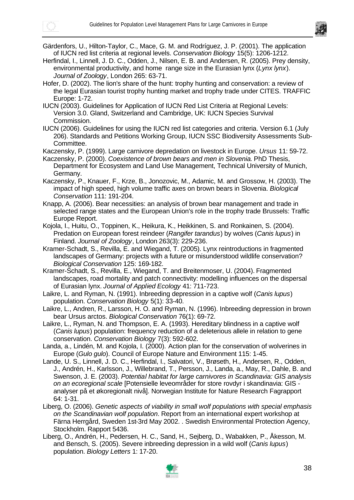

- Gärdenfors, U., Hilton-Taylor, C., Mace, G. M. and Rodríguez, J. P. (2001). The application of IUCN red list criteria at regional levels. *Conservation Biology* 15(5): 1206-1212.
- Herfindal, I., Linnell, J. D. C., Odden, J., Nilsen, E. B. and Andersen, R. (2005). Prey density, environmental productivity, and home range size in the Eurasian lynx (*Lynx lynx*). *Journal of Zoology*, London 265: 63-71.
- Hofer, D. (2002). The lion's share of the hunt: trophy hunting and conservation: a review of the legal Eurasian tourist trophy hunting market and trophy trade under CITES. TRAFFIC Europe: 1-72.
- IUCN (2003). Guidelines for Application of IUCN Red List Criteria at Regional Levels: Version 3.0. Gland, Switzerland and Cambridge, UK: IUCN Species Survival Commission.
- IUCN (2006). Guidelines for using the IUCN red list categories and criteria. Version 6.1 (July 206). Standards and Petitions Working Group, IUCN SSC Biodiversity Assessments Sub-Committee.
- Kaczensky, P. (1999). Large carnivore depredation on livestock in Europe. *Ursus* 11: 59-72.
- Kaczensky, P. (2000). *Coexistence of brown bears and men in Slovenia*. PhD Thesis, Department for Ecosystem and Land Use Management, Technical University of Munich, Germany.
- Kaczensky, P., Knauer, F., Krze, B., Jonozovic, M., Adamic, M. and Grossow, H. (2003). The impact of high speed, high volume traffic axes on brown bears in Slovenia. *Biological Conservation* 111: 191-204.
- Knapp, A. (2006). Bear necessities: an analysis of brown bear management and trade in selected range states and the European Union's role in the trophy trade Brussels: Traffic Europe Report.
- Kojola, I., Huitu, O., Toppinen, K., Heikura, K., Heikkinen, S. and Ronkainen, S. (2004). Predation on European forest reindeer (*Rangifer tarandus*) by wolves (*Canis lupus*) in Finland. *Journal of Zoology*, London 263(3): 229-236.
- Kramer-Schadt, S., Revilla, E. and Wiegand, T. (2005). Lynx reintroductions in fragmented landscapes of Germany: projects with a future or misunderstood wildlife conservation? *Biological Conservation* 125: 169-182.
- Kramer-Schadt, S., Revilla, E., Wiegand, T. and Breitenmoser, U. (2004). Fragmented landscapes, road mortality and patch connectivity: modelling influences on the dispersal of Eurasian lynx. *Journal of Applied Ecology* 41: 711-723.
- Laikre, L. and Ryman, N. (1991). Inbreeding depression in a captive wolf (*Canis lupus*) population. *Conservation Biology* 5(1): 33-40.
- Laikre, L., Andren, R., Larsson, H. O. and Ryman, N. (1996). Inbreeding depression in brown bear Ursus arctos. *Biological Conservation* 76(1): 69-72.
- Laikre, L., Ryman, N. and Thompson, E. A. (1993). Hereditary blindness in a captive wolf (*Canis lupus*) population: frequency reduction of a deleterious allele in relation to gene conservation. *Conservation Biology* 7(3): 592-602.
- Landa, a., Lindén, M. and Kojola, I. (2000). Action plan for the conservation of wolverines in Europe (*Gulo gulo*). Council of Europe Nature and Environment 115: 1-45.
- Lande, U. S., Linnell, J. D. C., Herfindal, I., Salvatori, V., Brøseth, H., Andersen, R., Odden, J., Andrén, H., Karlsson, J., Willebrand, T., Persson, J., Landa, a., May, R., Dahle, B. and Swenson, J. E. (2003). *Potential habitat for large carnivores in Scandinavia: GIS analysis on an ecoregional scale* [Potensielle leveområder for store rovdyr i skandinavia: GIS analyser på et økoregionalt nivå]. Norwegian Institute for Nature Research Fagrapport 64: 1-31.
- Liberg, O. (2006). *Genetic aspects of viability in small wolf populations with special emphasis on the Scandinavian wolf population*. Report from an international expert workshop at Färna Herrgård, Sweden 1st-3rd May 2002. . Swedish Environmental Protection Agency, Stockholm. Rapport 5436.
- Liberg, O., Andrén, H., Pedersen, H. C., Sand, H., Sejberg, D., Wabakken, P., Åkesson, M. and Bensch, S. (2005). Severe inbreeding depression in a wild wolf (*Canis lupus*) population. *Biology Letters* 1: 17-20.

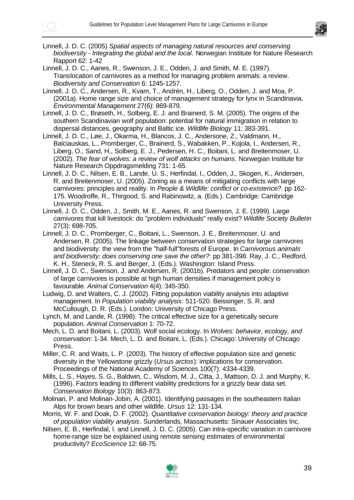

- Linnell, J. D. C. (2005) *Spatial aspects of managing natural resources and conserving biodiversity - Integrating the global and the local*. Norwegian Institute for Nature Research Rapport 62: 1-42
- Linnell, J. D. C., Aanes, R., Swenson, J. E., Odden, J. and Smith, M. E. (1997). Translocation of carnivores as a method for managing problem animals: a review. *Biodiversity and Conservation* 6: 1245-1257.
- Linnell, J. D. C., Andersen, R., Kvam, T., Andrén, H., Liberg, O., Odden, J. and Moa, P. (2001a). Home range size and choice of management strategy for lynx in Scandinavia. *Environmental Management* 27(6): 869-879.
- Linnell, J. D. C., Brøseth, H., Solberg, E. J. and Brainerd, S. M. (2005). The origins of the southern Scandinavian wolf population: potential for natural immigration in relation to dispersal distances, geography and Baltic ice. *Wildlife Biology* 11: 383-391.
- Linnell, J. D. C., Løe, J., Okarma, H., Blancos, J. C., Andersone, Z., Valdmann, H., Balciauskas, L., Promberger, C., Brainerd, S., Wabakken, P., Kojola, I., Andersen, R., Liberg, O., Sand, H., Solberg, E. J., Pedersen, H. C., Boitani, L. and Breitenmoser, U. (2002). *The fear of wolves: a review of wolf attacks on humans*. Norwegian Institute for Nature Research Oppdragsmelding 731: 1-65.
- Linnell, J. D. C., Nilsen, E. B., Lande, U. S., Herfindal, I., Odden, J., Skogen, K., Andersen, R. and Breitenmoser, U. (2005). Zoning as a means of mitigating conflicts with large carnivores: principles and reality. In *People & Wildlife: conflict or co-existence?*. pp 162- 175. Woodroffe, R., Thirgood, S. and Rabinowitz, a. (Eds.). Cambridge: Cambridge University Press.
- Linnell, J. D. C., Odden, J., Smith, M. E., Aanes, R. and Swenson, J. E. (1999). Large carnivores that kill livestock: do "problem individuals" really exist? *Wildlife Society Bulletin* 27(3): 698-705.
- Linnell, J. D. C., Promberger, C., Boitani, L., Swenson, J. E., Breitenmoser, U. and Andersen, R. (2005). The linkage between conservation strategies for large carnivores and biodiversity: the view from the "half-full"forests of Europe. In *Carnivorous animals and biodiversity: does conserving one save the other?*: pp 381-398. Ray, J. C., Redford, K. H., Steneck, R. S. and Berger, J. (Eds.). Washington: Island Press.
- Linnell, J. D. C., Swenson, J. and Andersen, R. (2001b). Predators and people: conservation of large carnivores is possible at high human densities if management policy is favourable. *Animal Conservation* 4(4): 345-350.
- Ludwig, D. and Walters, C. J. (2002). Fitting population viability analysis into adaptive management. In *Population viability analysis*: 511-520. Beissinger, S. R. and McCullough, D. R. (Eds.). London: University of Chicago Press.
- Lynch, M. and Lande, R. (1998). The critical effective size for a genetically secure population. *Animal Conservation* 1: 70-72.
- Mech, L. D. and Boitani, L. (2003). Wolf social ecology. In *Wolves: behavior, ecology, and conservation*: 1-34. Mech, L. D. and Boitani, L. (Eds.). Chicago: University of Chicago Press.
- Miller, C. R. and Waits, L. P. (2003). The history of effective population size and genetic diversity in the Yellowstone grizzly (*Ursus arctos*): implications for conservation. Proceedings of the National Academy of Sciences 100(7): 4334-4339.
- Mills, L. S., Hayes, S. G., Baldwin, C., Wisdom, M. J., Citta, J., Mattson, D. J. and Murphy, K. (1996). Factors leading to different viability predictions for a grizzly bear data set. *Conservation Biology* 10(3): 863-873.
- Molinari, P. and Molinari-Jobin, A. (2001). Identifying passages in the southeastern Italian Alps for brown bears and other wildlife. *Ursus* 12: 131-134.
- Morris, W. F. and Doak, D. F. (2002). *Quantitative conservation biology: theory and practice of population viability analysis*. Sunderlands, Massachusetts: Sinauer Associates Inc.
- Nilsen, E. B., Herfindal, I. and Linnell, J. D. C. (2005). Can intra-specific variation in carnivore home-range size be explained using remote sensing estimates of environmental productivity? *EcoScience* 12: 68-75.

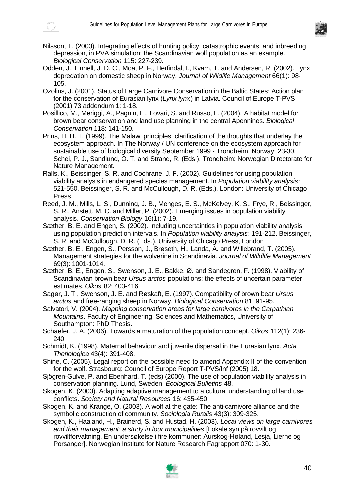



- Nilsson, T. (2003). Integrating effects of hunting policy, catastrophic events, and inbreeding depression, in PVA simulation: the Scandinavian wolf population as an example. *Biological Conservation* 115: 227-239.
- Odden, J., Linnell, J. D. C., Moa, P. F., Herfindal, I., Kvam, T. and Andersen, R. (2002). Lynx depredation on domestic sheep in Norway. *Journal of Wildlife Management* 66(1): 98- 105.
- Ozolins, J. (2001). Status of Large Carnivore Conservation in the Baltic States: Action plan for the conservation of Eurasian lynx (*Lynx lynx*) in Latvia. Council of Europe T-PVS (2001) 73 addendum 1: 1-18.
- Posillico, M., Meriggi, A., Pagnin, E., Lovari, S. and Russo, L. (2004). A habitat model for brown bear conservation and land use planning in the central Apennines. *Biological Conservation* 118: 141-150.
- Prins, H. H. T. (1999). The Malawi principles: clarification of the thoughts that underlay the ecosystem approach. In The Norway / UN conference on the ecosystem approach for sustainable use of biological diversity September 1999 - Trondheim, Norway: 23-30. Schei, P. J., Sandlund, O. T. and Strand, R. (Eds.). Trondheim: Norwegian Directorate for Nature Management.
- Ralls, K., Beissinger, S. R. and Cochrane, J. F. (2002). Guidelines for using population viability analysis in endangered species management. In *Population viability analysis*: 521-550. Beissinger, S. R. and McCullough, D. R. (Eds.). London: University of Chicago Press.
- Reed, J. M., Mills, L. S., Dunning, J. B., Menges, E. S., McKelvey, K. S., Frye, R., Beissinger, S. R., Anstett, M. C. and Miller, P. (2002). Emerging issues in population viability analysis. *Conservation Biology* 16(1): 7-19.
- Sæther, B. E. and Engen, S. (2002). Including uncertainties in population viability analysis using population prediction intervals. In *Population viability analysis*: 191-212. Beissinger, S. R. and McCullough, D. R. (Eds.). University of Chicago Press, London
- Sæther, B. E., Engen, S., Persson, J., Brøseth, H., Landa, A. and Willebrand, T. (2005). Management strategies for the wolverine in Scandinavia. *Journal of Wildlife Management* 69(3): 1001-1014.
- Sæther, B. E., Engen, S., Swenson, J. E., Bakke, Ø. and Sandegren, F. (1998). Viability of Scandinavian brown bear *Ursus arctos* populations: the effects of uncertain parameter estimates. *Oikos* 82: 403-416.
- Sagør, J. T., Swenson, J. E. and Røskaft, E. (1997). Compatibility of brown bear *Ursus arctos* and free-ranging sheep in Norway. *Biological Conservation* 81: 91-95.
- Salvatori, V. (2004). *Mapping conservation areas for large carnivores in the Carpathian Mountains*. Faculty of Engineering, Sciences and Mathematics, University of Southampton: PhD Thesis.
- Schaefer, J. A. (2006). Towards a maturation of the population concept. *Oikos* 112(1): 236- 240
- Schmidt, K. (1998). Maternal behaviour and juvenile dispersal in the Eurasian lynx. *Acta Theriologica* 43(4): 391-408.
- Shine, C. (2005). Legal report on the possible need to amend Appendix II of the convention for the wolf. Strasbourg: Council of Europe Report T-PVS/Inf (2005) 18.
- Sjögren-Gulve, P. and Ebenhard, T. (eds) (2000). The use of population viability analysis in conservation planning. Lund, Sweden: *Ecological Bulletins* 48.
- Skogen, K. (2003). Adapting adaptive management to a cultural understanding of land use conflicts. *Society and Natural Resources* 16: 435-450.
- Skogen, K. and Krange, O. (2003). A wolf at the gate: The anti-carnivore alliance and the symbolic construction of community. *Sociologia Ruralis* 43(3): 309-325.
- Skogen, K., Haaland, H., Brainerd, S. and Hustad, H. (2003). *Local views on large carnivores and their management: a study in four municipalities* [Lokale syn på rovvilt og rovviltforvaltning. En undersøkelse i fire kommuner: Aurskog-Høland, Lesja, Lierne og Porsanger]. Norwegian Institute for Nature Research Fagrapport 070: 1-30.

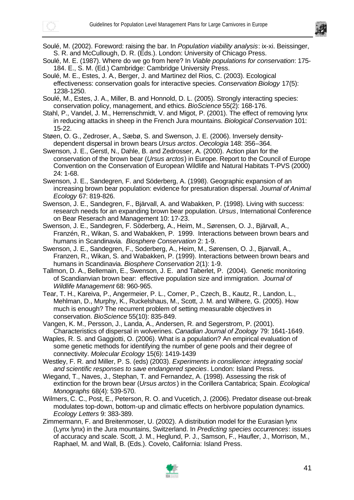

Soulé, M. (2002). Foreword: raising the bar. In *Population viability analysis*: ix-xi. Beissinger, S. R. and McCullough, D. R. (Eds.). London: University of Chicago Press.

Soulé, M. E. (1987). Where do we go from here? In *Viable populations for conservation*: 175- 184. E., S. M. (Ed.) Cambridge: Cambridge University Press.

Soulé, M. E., Estes, J. A., Berger, J. and Martinez del Rios, C. (2003). Ecological effectiveness: conservation goals for interactive species. *Conservation Biology* 17(5): 1238-1250.

Soulé, M., Estes, J. A., Miller, B. and Honnold, D. L. (2005). Strongly interacting species: conservation policy, management, and ethics. *BioScience* 55(2): 168-176.

Stahl, P., Vandel, J. M., Herrenschmidt, V. and Migot, P. (2001). The effect of removing lynx in reducing attacks in sheep in the French Jura mountains. *Biological Conservation* 101: 15-22.

Støen, O. G., Zedroser, A., Sæbø, S. and Swenson, J. E. (2006). Inversely densitydependent dispersal in brown bears *Ursus arctos*. *Oecologia* 148: 356–364.

Swenson, J. E., Gerstl, N., Dahle, B. and Zedrosser, A. (2000). Action plan for the conservation of the brown bear (*Ursus arctos*) in Europe. Report to the Council of Europe Convention on the Conservation of European Wildlife and Natural Habitats T-PVS (2000) 24: 1-68.

Swenson, J. E., Sandegren, F. and Söderberg, A. (1998). Geographic expansion of an increasing brown bear population: evidence for presaturation dispersal. *Journal of Animal Ecology* 67: 819-826.

Swenson, J. E., Sandegren, F., Bjärvall, A. and Wabakken, P. (1998). Living with success: research needs for an expanding brown bear population. *Ursus*, International Conference on Bear Reserach and Management 10: 17-23.

Swenson, J. E., Sandegren, F. Söderberg, A., Heim, M., Sørensen, O. J., Bjärvall, A., Franzén, R., Wikan, S. and Wabakken, P. 1999. Interactions between brown bears and humans in Scandinavia. *Biosphere Conservation* 2: 1-9.

Swenson, J. E., Sandegren, F., Soderberg, A., Heim, M., Sørensen, O. J., Bjarvall, A., Franzen, R., Wikan, S. and Wabakken, P. (1999). Interactions between brown bears and humans in Scandinavia. *Biosphere Conservation* 2(1): 1-9.

Tallmon, D. A., Bellemain, E., Swenson, J. E. and Taberlet, P. (2004). Genetic monitoring of Scandianvian brown bear: effective population size and immigration. *Journal of Wildlife Management* 68: 960-965.

Tear, T. H., Kareiva, P., Angermeier, P. L., Comer, P., Czech, B., Kautz, R., Landon, L., Mehlman, D., Murphy, K., Ruckelshaus, M., Scott, J. M. and Wilhere, G. (2005). How much is enough? The recurrent problem of setting measurable objectives in conservation. *BioScience* 55(10): 835-849.

Vangen, K. M., Persson, J., Landa, A., Andersen, R. and Segerstrom, P. (2001). Characteristics of dispersal in wolverines. *Canadian Journal of Zoology* 79: 1641-1649.

Waples, R. S. and Gaggiotti, O. (2006). What is a population? An empirical evaluation of some genetic methods for identifying the number of gene pools and their degree of connectivity. *Molecular Ecology* 15(6): 1419-1439

Westley, F. R. and Miller, P. S. (eds) (2003). *Experiments in consilience: integrating social and scientific responses to save endangered species*. London: Island Press.

Wiegand, T., Naves, J., Stephan, T. and Fernandez, A. (1998). Assessing the risk of extinction for the brown bear (*Ursus arctos*) in the Corillera Cantabrica; Spain. *Ecological Monographs* 68(4): 539-570.

Wilmers, C. C., Post, E., Peterson, R. O. and Vucetich, J. (2006). Predator disease out-break modulates top-down, bottom-up and climatic effects on herbivore population dynamics. *Ecology Letters* 9: 383-389.

Zimmermann, F. and Breitenmoser, U. (2002). A distribution model for the Eurasian lynx (Lynx lynx) in the Jura mountains, Switzerland. In *Predicting species occurrences*: issues of accuracy and scale. Scott, J. M., Heglund, P. J., Samson, F., Haufler, J., Morrison, M., Raphael, M. and Wall, B. (Eds.). Covelo, California: Island Press.

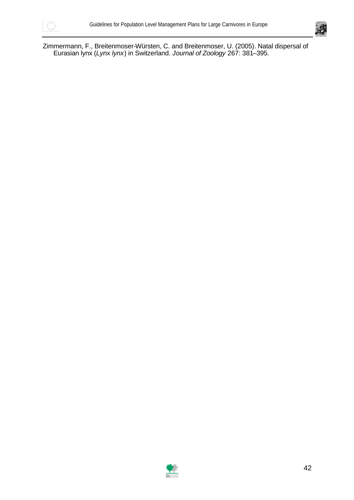



Zimmermann, F., Breitenmoser-Würsten, C. and Breitenmoser, U. (2005). Natal dispersal of Eurasian lynx (*Lynx lynx*) in Switzerland. *Journal of Zoology* 267: 381–395.

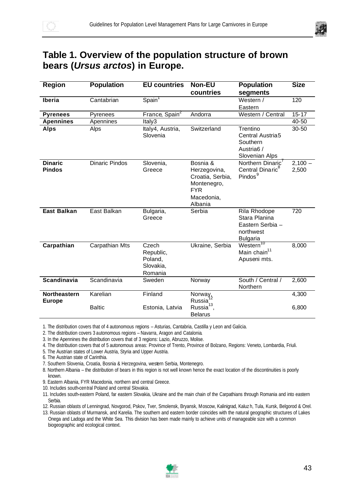

## **Table 1. Overview of the population structure of brown bears (***Ursus arctos***) in Europe.**

| <b>Region</b>                        | <b>Population</b>     | <b>EU countries</b>                                   | <b>Non-EU</b>                                                                                      | <b>Population</b>                                                                    | <b>Size</b>        |
|--------------------------------------|-----------------------|-------------------------------------------------------|----------------------------------------------------------------------------------------------------|--------------------------------------------------------------------------------------|--------------------|
|                                      |                       |                                                       | countries                                                                                          | segments                                                                             |                    |
| Iberia                               | Cantabrian            | Spain <sup>1</sup>                                    |                                                                                                    | Western /                                                                            | 120                |
|                                      |                       |                                                       |                                                                                                    | Eastern                                                                              |                    |
| <b>Pyrenees</b>                      | Pyrenees              | France, Spain <sup>2</sup>                            | Andorra                                                                                            | Western / Central                                                                    | $15 - 17$          |
| <b>Apennines</b>                     | Apennines             | Italy3                                                |                                                                                                    |                                                                                      | 40-50              |
| <b>Alps</b>                          | Alps                  | Italy4, Austria,<br>Slovenia                          | Switzerland                                                                                        | Trentino<br>Central Austria5<br>Southern<br>Austria <sub>6</sub> /<br>Slovenian Alps | $30 - 50$          |
| <b>Dinaric</b><br><b>Pindos</b>      | <b>Dinaric Pindos</b> | Slovenia,<br>Greece                                   | Bosnia &<br>Herzegovina,<br>Croatia, Serbia,<br>Montenegro,<br><b>FYR</b><br>Macedonia,<br>Albania | Northern Dinaric'<br>Central Dinaric <sup>8</sup><br>Pindos <sup>9</sup>             | $2,100 -$<br>2,500 |
| <b>East Balkan</b>                   | East Balkan           | Bulgaria,<br>Greece                                   | Serbia                                                                                             | Rila Rhodope<br>Stara Planina<br>Eastern Serbia -<br>northwest<br><b>Bulgaria</b>    | 720                |
| Carpathian                           | Carpathian Mts        | Czech<br>Republic,<br>Poland,<br>Slovakia,<br>Romania | Ukraine, Serbia                                                                                    | Western <sup>10</sup><br>Main chain <sup>11</sup><br>Apuseni mts.                    | 8,000              |
| <b>Scandinavia</b>                   | Scandinavia           | Sweden                                                | Norway                                                                                             | South / Central /<br>Northern                                                        | 2,600              |
| <b>Northeastern</b><br><b>Europe</b> | Karelian              | Finland                                               | Norway,<br>Russia                                                                                  |                                                                                      | 4,300              |
|                                      | <b>Baltic</b>         | Estonia, Latvia                                       | Russia <sup>13</sup> ,<br><b>Belarus</b>                                                           |                                                                                      | 6,800              |

1. The distribution covers that of 4 autonomous regions – Asturias, Cantabria, Castilla y Leon and Galicia.

2. The distribution covers 3 autonomous regions – Navarra, Aragon and Catalonia.

3. In the Apennines the distribution covers that of 3 regions: Lazio, Abruzzo, Molise.

4. The distribution covers that of 5 autonomous areas: Province of Trento, Province of Bolzano, Regions: Veneto, Lombardia, Friuli.

5. The Austrian states of Lower Austria, Styria and Upper Austria.

6. The Austrian state of Carinthia.

7. Southern Slovenia, Croatia, Bosnia & Herzegovina, western Serbia, Montenegro.

8. Northern Albania – the distribution of bears in this region is not well known hence the exact location of the discontinuities is poorly known.

9. Eastern Albania, FYR Macedonia, northern and central Greece.

10. Includes south-central Poland and central Slovakia.

11. Includes south-eastern Poland, far eastern Slovakia, Ukraine and the main chain of the Carpathians through Romania and into eastern Serbia.

12. Russian oblasts of Lenningrad, Novgorod, Pskov, Tver, Smolensk, Bryansk, Moscow, Kalinigrad, Kaluz h, Tula, Kursk, Belgorod & Orel.

13. Russian oblasts of Murmansk, and Karelia. The southern and eastern border coincides with the natural geographic structures of Lakes Onega and Ladoga and the White Sea. This division has been made mainly to achieve units of manageable size with a common biogeographic and ecological context.

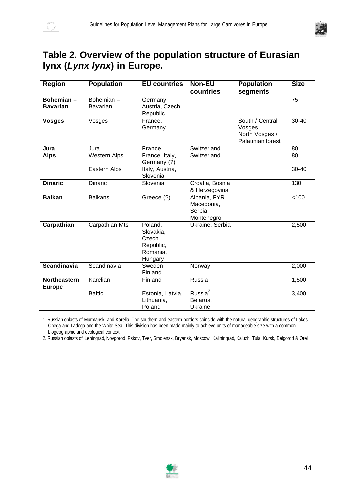

# **Table 2. Overview of the population structure of Eurasian lynx (***Lynx lynx***) in Europe.**

| <b>Region</b>                 | <b>Population</b>     | <b>EU countries</b>                                               | <b>Non-EU</b><br>countries                          | <b>Population</b><br>segments                                     | <b>Size</b> |
|-------------------------------|-----------------------|-------------------------------------------------------------------|-----------------------------------------------------|-------------------------------------------------------------------|-------------|
| Bohemian-<br><b>Bavarian</b>  | Bohemian-<br>Bavarian | Germany,<br>Austria, Czech<br>Republic                            |                                                     |                                                                   | 75          |
| <b>Vosges</b>                 | Vosges                | France,<br>Germany                                                |                                                     | South / Central<br>Vosges,<br>North Vosges /<br>Palatinian forest | $30 - 40$   |
| Jura                          | Jura                  | France                                                            | Switzerland                                         |                                                                   | 80          |
| <b>Alps</b>                   | Western Alps          | France, Italy,<br>Germany (?)                                     | Switzerland                                         |                                                                   | 80          |
|                               | Eastern Alps          | Italy, Austria,<br>Slovenia                                       |                                                     |                                                                   | $30 - 40$   |
| <b>Dinaric</b>                | <b>Dinaric</b>        | Slovenia                                                          | Croatia, Bosnia<br>& Herzegovina                    |                                                                   | 130         |
| <b>Balkan</b>                 | <b>Balkans</b>        | Greece (?)                                                        | Albania, FYR<br>Macedonia,<br>Serbia,<br>Montenegro |                                                                   | 100         |
| Carpathian                    | Carpathian Mts        | Poland,<br>Slovakia,<br>Czech<br>Republic,<br>Romania,<br>Hungary | Ukraine, Serbia                                     |                                                                   | 2,500       |
| <b>Scandinavia</b>            | Scandinavia           | Sweden<br>Finland                                                 | Norway,                                             |                                                                   | 2,000       |
| Northeastern<br><b>Europe</b> | Karelian              | Finland                                                           | Russia <sup>1</sup>                                 |                                                                   | 1,500       |
|                               | <b>Baltic</b>         | Estonia, Latvia,<br>Lithuania,<br>Poland                          | Russia $2$ ,<br>Belarus,<br>Ukraine                 |                                                                   | 3,400       |

1. Russian oblasts of Murmansk, and Karelia. The southern and eastern borders coincide with the natural geographic structures of Lakes Onega and Ladoga and the White Sea. This division has been made mainly to achieve units of manageable size with a common biogeographic and ecological context.

2. Russian oblasts of Leningrad, Novgorod, Pskov, Tver, Smolensk, Bryansk, Moscow, Kaliningrad, Kaluzh, Tula, Kursk, Belgorod & Orel

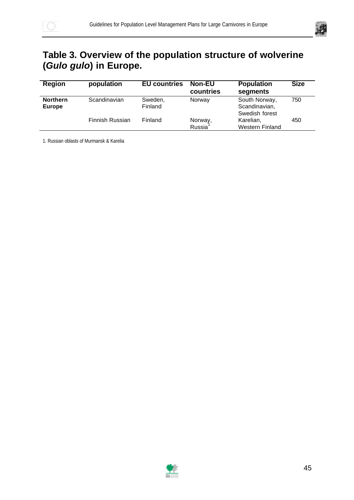

# **Table 3. Overview of the population structure of wolverine (***Gulo gulo***) in Europe.**

| <b>Region</b>                    | population      | <b>EU countries</b> | <b>Non-EU</b><br>countries | <b>Population</b><br>segments                    | <b>Size</b> |
|----------------------------------|-----------------|---------------------|----------------------------|--------------------------------------------------|-------------|
| <b>Northern</b><br><b>Europe</b> | Scandinavian    | Sweden,<br>Finland  | Norway                     | South Norway,<br>Scandinavian,<br>Swedish forest | 750         |
|                                  | Finnish Russian | Finland             | Norway,<br>Russia          | Karelian,<br>Western Finland                     | 450         |

1. Russian oblasts of Murmansk & Karelia

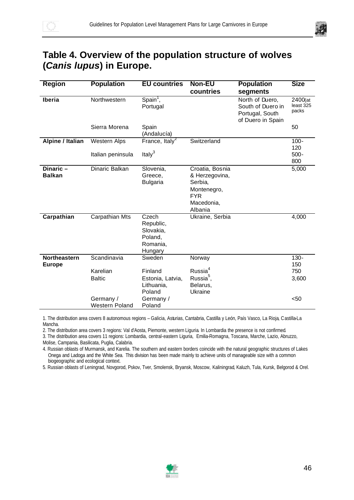

# **Table 4. Overview of the population structure of wolves (***Canis lupus***) in Europe.**

| <b>Region</b>                        | <b>Population</b>                      | <b>EU</b> countries                                               | <b>Non-EU</b><br>countries                                                                         | <b>Population</b><br>segments                                                | <b>Size</b>                   |
|--------------------------------------|----------------------------------------|-------------------------------------------------------------------|----------------------------------------------------------------------------------------------------|------------------------------------------------------------------------------|-------------------------------|
| Iberia                               | Northwestern                           | Spain <sup>1</sup> ,<br>Portugal                                  |                                                                                                    | North of Duero,<br>South of Duero in<br>Portugal, South<br>of Duero in Spain | 2400(at<br>least 325<br>packs |
|                                      | Sierra Morena                          | Spain<br>(Andalucía)                                              |                                                                                                    |                                                                              | 50                            |
| Alpine / Italian                     | <b>Western Alps</b>                    | France, Italy <sup>2</sup>                                        | Switzerland                                                                                        |                                                                              | $100 -$                       |
|                                      | Italian peninsula                      | Italy $3$                                                         |                                                                                                    |                                                                              | 120<br>$500 -$<br>800         |
| Dinaric-<br><b>Balkan</b>            | Dinaric Balkan                         | Slovenia,<br>Greece,<br><b>Bulgaria</b>                           | Croatia, Bosnia<br>& Herzegovina,<br>Serbia,<br>Montenegro,<br><b>FYR</b><br>Macedonia,<br>Albania |                                                                              | 5,000                         |
| Carpathian                           | Carpathian Mts                         | Czech<br>Republic,<br>Slovakia,<br>Poland,<br>Romania,<br>Hungary | Ukraine, Serbia                                                                                    |                                                                              | 4,000                         |
| <b>Northeastern</b><br><b>Europe</b> | Scandinavia                            | Sweden                                                            | Norway                                                                                             |                                                                              | $130 -$<br>150                |
|                                      | Karelian<br><b>Baltic</b><br>Germany / | Finland<br>Estonia, Latvia,<br>Lithuania,<br>Poland<br>Germany /  | Russia <sup>4</sup><br>Russia <sup>5</sup> ,<br>Belarus,<br>Ukraine                                |                                                                              | 750<br>3,600<br>< 50          |
|                                      | Western Poland                         | Poland                                                            |                                                                                                    |                                                                              |                               |

1. The distribution area covers 8 autonomous regions – Galicia, Asturias, Cantabria, Castilla y León, País Vasco, La Rioja, Castilla-La Mancha.

2. The distribution area covers 3 regions: Val d'Aosta, Piemonte, western Liguria. In Lombardia the presence is not confirmed.

3. The distribution area covers 11 regions: Lombardia, central-eastern Liguria, Emilia-Romagna, Toscana, Marche, Lazio, Abruzzo, Molise, Campania, Basilicata, Puglia, Calabria.

4. Russian oblasts of Murmansk, and Karelia. The southern and eastern borders coincide with the natural geographic structures of Lakes Onega and Ladoga and the White Sea. This division has been made mainly to achieve units of manageable size with a common biogeographic and ecological context.

5. Russian oblasts of Leningrad, Novgorod, Pskov, Tver, Smolensk, Bryansk, Moscow, Kaliningrad, Kaluzh, Tula, Kursk, Belgorod & Orel.

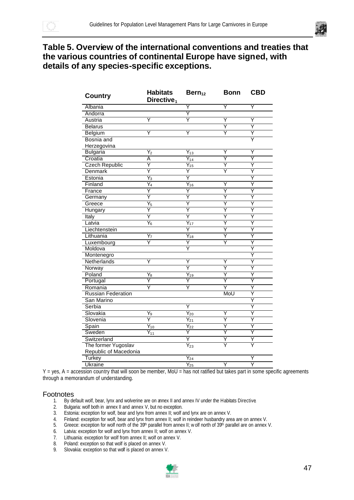

### **Table 5. Overview of the international conventions and treaties that the various countries of continental Europe have signed, with details of any species-specific exceptions.**

| <b>Country</b>            | <b>Habitats</b><br>Directive <sub>1</sub> | $Bern_{12}$                   | <b>Bonn</b> | <b>CBD</b> |
|---------------------------|-------------------------------------------|-------------------------------|-------------|------------|
| Albania                   |                                           | Y                             | Y           | Y          |
| Andorra                   |                                           | Υ                             |             |            |
| Austria                   | Y                                         | Ÿ                             | Y           | Y          |
| <b>Belarus</b>            |                                           |                               | Ϋ           | Ÿ          |
| Belgium                   | Y                                         | Y                             | Y           | Υ          |
| Bosnia and                |                                           |                               |             | Ϋ          |
| Herzegovina               |                                           |                               |             |            |
| <b>Bulgaria</b>           | $\overline{Y_2}$                          | $Y_{13}$                      | Υ           | Y          |
| Croatia                   | Α                                         | $\overline{Y_{14}}$           | Ÿ           | Ÿ          |
| <b>Czech Republic</b>     | Y                                         | $\overline{Y_{15}}$           | Ϋ           | Y          |
| Denmark                   | Ϋ                                         | Y                             | Y           | Υ          |
| Estonia                   | $Y_3$                                     | Ϋ                             |             | Y          |
| Finland                   | $\overline{Y_4}$                          | $\overline{Y_{16}}$           | Y           | Ϋ          |
| France                    | Ϋ                                         | Ϋ                             | Ÿ           | Ÿ          |
| Germany                   | Y                                         | Y                             | Ϋ           | Υ          |
| Greece                    | $\overline{Y_5}$                          | Ϋ                             | Υ           | Ϋ          |
| Hungary                   | Y                                         | Y                             | Υ           | Y          |
| Italy                     | Y                                         | Υ                             | Υ           | Υ          |
| Latvia                    | $\overline{Y_6}$                          | $Y_{17}$                      | Ÿ           | Ÿ          |
| Liechtenstein             |                                           | Υ                             | Υ           | Υ          |
| Lithuania                 | Y <sub>7</sub>                            | $\overline{Y_{18}}$           | Ϋ           | Ϋ          |
| Luxembourg                | Y                                         | Y                             | Y           | Y          |
| Moldova                   |                                           | Ÿ                             |             | Ϋ          |
| Montenegro                |                                           |                               |             | Ÿ          |
| Netherlands               | Y                                         | Y                             | Υ           | Y          |
| Norway                    |                                           | Ϋ                             | Ÿ           | Υ          |
| Poland                    | $Y_8$                                     | $Y_{19}$                      | Υ           | Y          |
| Portugal                  | Ÿ                                         | Y                             | Ϋ           | Ϋ          |
| Romania                   | Υ                                         | Ÿ                             | Υ           | Y          |
| <b>Russian Federation</b> |                                           |                               | MoU         | Υ          |
| San Marino                |                                           |                               |             | Ϋ          |
| Serbia                    |                                           | Y                             |             | Y          |
| Slovakia                  | $Y_9$                                     | $\overline{Y_{20}}$           | Y           | Υ          |
| Slovenia                  | Υ                                         | $\overline{Y_2}_1$            | Ÿ           | Ϋ          |
| Spain                     | $\overline{Y_{10}}$                       | $\overline{Y_{22}}$           | Y           | Ϋ          |
| Sweden                    | $\overline{Y_{11}}$                       | Y                             | Y           | Υ          |
| Switzerland               |                                           | Υ                             | Y           | Y          |
| The former Yugoslav       |                                           | $Y_{23}$                      | Υ           | Ϋ          |
| Republic of Macedonia     |                                           |                               |             |            |
| <b>Turkey</b>             |                                           | $\overline{Y_2}$ <sub>4</sub> |             | Υ          |
| <b>Ukraine</b>            |                                           | $\overline{Y_{25}}$           | Y           | Ϋ          |

 $Y = yes$ ,  $A = accession country$  that will soon be member,  $M oU = has$  not ratified but takes part in some specific agreements through a memorandum of understanding.

#### Footnotes

- 1. By default wolf, bear, lynx and wolverine are on annex II and annex IV under the Habitats Directive.<br>2. Bulgaria: wolf both in annex II and annex V, but no exception.<br>5. Establis: avantion for welf, bear and lynx from a
- Bulgaria: wolf both in annex II and annex V, but no exception.
- 3. Estonia: exception for wolf, bear and lynx from annex II; wolf and lynx are on annex V.
- 4. Finland: exception for wolf, bear and lynx from annex II; wolf in reindeer husbandry area are on annex V.
- 5. Greece: exception for wolf north of the 39<sup>th</sup> parallel from annex II; w olf north of 39<sup>th</sup> parallel are on annex V.
- 6. Latvia: exception for wolf and lynx from annex II; wolf on annex V.
- 7. Lithuania: exception for wolf from annex II; wolf on annex V.<br>8. Poland: exception so that wolf is placed on annex V.
- Poland: exception so that wolf is placed on annex V.
- 9. Slovakia: exception so that wolf is placed on annex V.

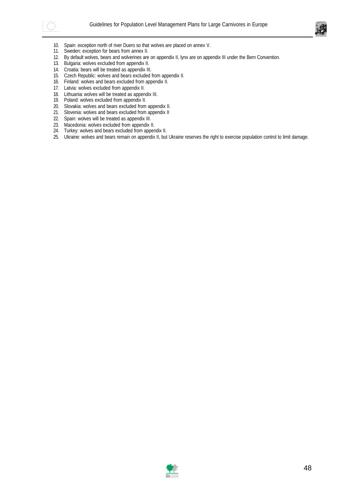



- 10. Spain: exception north of river Duero so that wolves are placed on annex V.
- 11. Sweden: exception for bears from annex II.
- 12. By default wolves, bears and wolverines are on appendix II, lynx are on appendix III under the Bern Convention.
- 13. Bulgaria: wolves excluded from appendix II.
- 14. Croatia: bears will be treated as appendix III.
- 15. Czech Republic: wolves and bears excluded from appendix II.
- 16. Finland: wolves and bears excluded from appendix II.
- 17. Latvia: wolves excluded from appendix II.
- 18. Lithuania: wolves will be treated as appendix III.
- 19. Poland: wolves excluded from appendix II.
- 20. Slovakia: wolves and bears excluded from appendix II.
- 21. Slovenia: wolves and bears excluded from appendix II
- 22. Spain: wolves will be treated as appendix III.
- 23. Macedonia: wolves excluded from appendix II.
- 24. Turkey: wolves and bears excluded from appendix II.
- 25. Ukraine: wolves and bears remain on appendix II, but Ukraine reserves the right to exercise population control to limit damage.

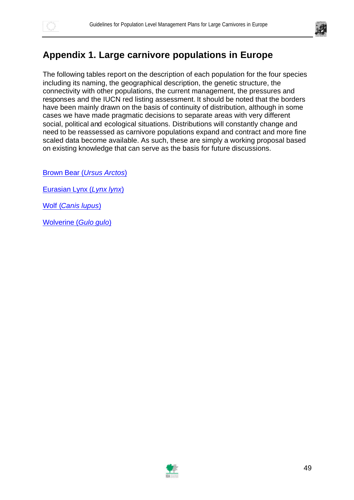



## **Appendix 1. Large carnivore populations in Europe**

The following tables report on the description of each population for the four species including its naming, the geographical description, the genetic structure, the connectivity with other populations, the current management, the pressures and responses and the IUCN red listing assessment. It should be noted that the borders have been mainly drawn on the basis of continuity of distribution, although in some cases we have made pragmatic decisions to separate areas with very different social, political and ecological situations. Distributions will constantly change and need to be reassessed as carnivore populations expand and contract and more fine scaled data become available. As such, these are simply a working proposal based on existing knowledge that can serve as the basis for future discussions.

Brown Bear (*Ursus Arctos*)

Eurasian Lynx (*Lynx lynx*)

Wolf (*Canis lupus*)

Wolverine (*Gulo gulo*)

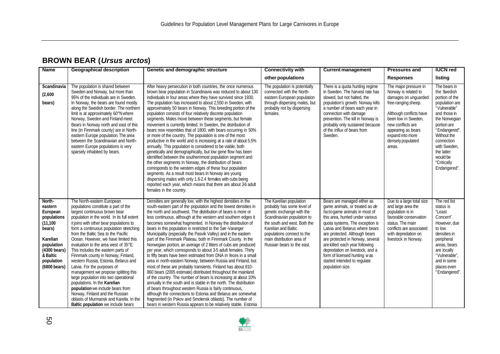## **BROWN BEAR (***Ursus arctos***)**

| <b>Name</b>                                                                                                                                             | <b>Geographical description</b>                                                                                                                                                                                                                                                                                                                                                                                                                                                                                                                                                                                                                                                                                                                                                             | Genetic and demographic structure                                                                                                                                                                                                                                                                                                                                                                                                                                                                                                                                                                                                                                                                                                                                                                                                                                                                                                                                                                                                                                                                                                                                                                                                                                                                                                                    | <b>Connectivity with</b>                                                                                                                                                                                                                                         | <b>Current management</b>                                                                                                                                                                                                                                                                                                                                                                                                           | <b>Pressures and</b>                                                                                                                                                                                                                         | <b>IUCN red</b>                                                                                                                                                                                                                                        |
|---------------------------------------------------------------------------------------------------------------------------------------------------------|---------------------------------------------------------------------------------------------------------------------------------------------------------------------------------------------------------------------------------------------------------------------------------------------------------------------------------------------------------------------------------------------------------------------------------------------------------------------------------------------------------------------------------------------------------------------------------------------------------------------------------------------------------------------------------------------------------------------------------------------------------------------------------------------|------------------------------------------------------------------------------------------------------------------------------------------------------------------------------------------------------------------------------------------------------------------------------------------------------------------------------------------------------------------------------------------------------------------------------------------------------------------------------------------------------------------------------------------------------------------------------------------------------------------------------------------------------------------------------------------------------------------------------------------------------------------------------------------------------------------------------------------------------------------------------------------------------------------------------------------------------------------------------------------------------------------------------------------------------------------------------------------------------------------------------------------------------------------------------------------------------------------------------------------------------------------------------------------------------------------------------------------------------|------------------------------------------------------------------------------------------------------------------------------------------------------------------------------------------------------------------------------------------------------------------|-------------------------------------------------------------------------------------------------------------------------------------------------------------------------------------------------------------------------------------------------------------------------------------------------------------------------------------------------------------------------------------------------------------------------------------|----------------------------------------------------------------------------------------------------------------------------------------------------------------------------------------------------------------------------------------------|--------------------------------------------------------------------------------------------------------------------------------------------------------------------------------------------------------------------------------------------------------|
|                                                                                                                                                         |                                                                                                                                                                                                                                                                                                                                                                                                                                                                                                                                                                                                                                                                                                                                                                                             |                                                                                                                                                                                                                                                                                                                                                                                                                                                                                                                                                                                                                                                                                                                                                                                                                                                                                                                                                                                                                                                                                                                                                                                                                                                                                                                                                      | other populations                                                                                                                                                                                                                                                |                                                                                                                                                                                                                                                                                                                                                                                                                                     | <b>Responses</b>                                                                                                                                                                                                                             | listing                                                                                                                                                                                                                                                |
| Scandinavia<br>(2,600)<br>bears)                                                                                                                        | The population is shared between<br>Sweden and Norway, but more than<br>95% of the individuals are in Sweden.<br>In Norway, the bears are found mostly<br>along the Swedish border. The northern<br>limit is at approximately 60°N where<br>Norway, Sweden and Finland meet.<br>Bears in Norway north and east of this<br>line (in Finnmark county) are in North-<br>eastern Europe population. The area<br>between the Scandinavian and North-<br>eastern Europe populations is very<br>sparsely inhabited by bears.                                                                                                                                                                                                                                                                       | After heavy persecution in both countries, the once numerous<br>brown bear population in Scandinavia was reduced to about 130<br>individuals in four areas where they have survived since 1930.<br>The population has increased to about 2,550 in Sweden, with<br>approximately 50 bears in Norway. This breeding portion of the<br>population consists of four relatively discrete population<br>segments. Males move between these segments, but female<br>movement is currently limited. In Sweden, the distribution of<br>bears now resembles that of 1800, with bears occurring in 50%<br>or more of the country. The population is one of the most<br>productive in the world and is increasing at a rate of about 5.5%<br>annually. This population is considered to be viable, both<br>genetically and demographically, but low gene flow has been<br>identified between the southernmost population segment and<br>the other segments In Norway, the distribution of bears<br>corresponds to the western edges of these four population<br>segments. As a result most bears in Norway are young<br>dispersing males with only 1.6-2.4 females with cubs being<br>reported each year, which means that there are about 26 adult<br>females in the country.                                                                                   | The population is potentially<br>connected with the North-<br>eastern European population<br>through dispersing males, but<br>probably not by dispersing<br>females.                                                                                             | There is a guota hunting regime<br>in Sweden. The harvest rate has<br>slowed, but not halted, the<br>population's growth. Norway kills<br>a number of bears each year in<br>connection with damage<br>prevention. The kill in Norway is<br>probably only sustained because<br>of the influx of bears from<br>Sweden.                                                                                                                | The major pressure in<br>Norway is related to<br>damages on unquarded<br>free-ranging sheep.<br>Although conflicts have<br>been low in Sweden,<br>new conflicts are<br>appearing as bears<br>expand into more<br>densely populated<br>areas. | The bears in<br>the Swedish<br>portion of the<br>population are<br>"Vulnerable"<br>and those in<br>the Norwegian<br>portion are<br>"Endangered".<br>Without the<br>connection<br>with Sweden,<br>the latter<br>would be<br>"Critically<br>Endangered". |
| North-<br>eastern<br>European<br>populations<br>(11, 100)<br>bears)<br>Karelian<br>population<br>(4300 bears)<br>& Baltic<br>population<br>(6800 bears) | The North-eastern European<br>populations constitute a part of the<br>largest continuous brown bear<br>population in the world. In its full extent<br>it joins with other bear populations to<br>form a continuous population stretching<br>from the Baltic Sea to the Pacific<br>Ocean. However, we have limited this<br>evaluation to the area west of 35°E.<br>This includes the eastern parts of<br>Finnmark county in Norway, Finland,<br>western Russia, Estonia, Belarus and<br>Latvia. For the purposes of<br>management we propose splitting this<br>large population into two operational<br>populations. In the Karelian<br>population we include bears from<br>Norway, Finland and the Russian<br>oblasts of Murmansk and Karelia. In the<br>Baltic population we include bears | Densities are generally low, with the highest densities in the<br>south-eastern part of the population and the lowest densities in<br>the north and southwest. The distribution of bears is more or<br>less continuous, although at the western and southern edges it<br>becomes somewhat fragmented. In Norway the distribution of<br>bears in this population is restricted to the Sør-Varanger<br>Municipality (especially the Pasvik Valley) and in the eastern<br>part of the Finnmark Plateau, both in Finnmark County. In the<br>Norwegian portion, an average of 2 litters of cubs are produced<br>per year, which corresponds to about 3-5 adult females. Thirty<br>to fifty bears have been estimated from DNA in feces in a small<br>area in north-eastern Norway, between Russia and Finland, but<br>most of these are probably transients. Finland has about 810-<br>860 bears (2005 estimate) distributed throughout the mainland<br>of the country. The number of bears is increasing at about 10%<br>annually in the south and is stable in the north. The distribution<br>of bears throughout western Russia is fairly continuous,<br>although the connections to Estonia and Belarus are somewhat<br>fragmented (in Pskov and Smolensk oblasts). The number of<br>bears in western Russia appears to be relatively stable. Estonia | The Karelian population<br>probably has some level of<br>genetic exchange with the<br>Scandinavian population to<br>the south and west. Both the<br>Karelian and Baltic<br>populations connect to the<br>main distribution area of<br>Russian bears to the east. | Bears are managed either as<br>game animals, or treated as de<br>factogame animals in most of<br>this area, hunted under various<br>quota systems. The exception is<br>Latvia and Belarus where bears<br>are protected. Although bears<br>are protected in Norway, several<br>are killed each year following<br>depredation on livestock, and a<br>form of licensed hunting was<br>started intended to regulate<br>population size. | Due to a large total size<br>and large area the<br>population is in<br>favorable conservation<br>status. The main<br>conflicts are associated<br>with depredation on<br>livestock in Norway.                                                 | The red list<br>status is<br>"Least<br>Concern".<br>However, due<br>to low<br>densities in<br>peripheral<br>areas, bears<br>are locally<br>"Vulnerable",<br>and in some<br>places even<br>"Endangered".                                                |

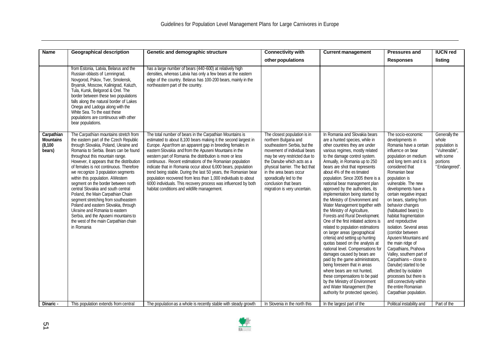| <b>Name</b>                                          | <b>Geographical description</b>                                                                                                                                                                                                                                                                                                                                                                                                                                                                                                                                                                                                                                                                           | Genetic and demographic structure                                                                                                                                                                                                                                                                                                                                                                                                                                                                                                                                                                                                                                                               | <b>Connectivity with</b>                                                                                                                                                                                                                                                                                                               | <b>Current management</b>                                                                                                                                                                                                                                                                                                                                                                                                                                                                                                                                                                                                                                                                                                                                                                                                                                                                                                                                                                                                                                      | <b>Pressures and</b>                                                                                                                                                                                                                                                                                                                                                                                                                                                                                                                                                                                                                                                                                                              | <b>IUCN red</b>                                                                                    |
|------------------------------------------------------|-----------------------------------------------------------------------------------------------------------------------------------------------------------------------------------------------------------------------------------------------------------------------------------------------------------------------------------------------------------------------------------------------------------------------------------------------------------------------------------------------------------------------------------------------------------------------------------------------------------------------------------------------------------------------------------------------------------|-------------------------------------------------------------------------------------------------------------------------------------------------------------------------------------------------------------------------------------------------------------------------------------------------------------------------------------------------------------------------------------------------------------------------------------------------------------------------------------------------------------------------------------------------------------------------------------------------------------------------------------------------------------------------------------------------|----------------------------------------------------------------------------------------------------------------------------------------------------------------------------------------------------------------------------------------------------------------------------------------------------------------------------------------|----------------------------------------------------------------------------------------------------------------------------------------------------------------------------------------------------------------------------------------------------------------------------------------------------------------------------------------------------------------------------------------------------------------------------------------------------------------------------------------------------------------------------------------------------------------------------------------------------------------------------------------------------------------------------------------------------------------------------------------------------------------------------------------------------------------------------------------------------------------------------------------------------------------------------------------------------------------------------------------------------------------------------------------------------------------|-----------------------------------------------------------------------------------------------------------------------------------------------------------------------------------------------------------------------------------------------------------------------------------------------------------------------------------------------------------------------------------------------------------------------------------------------------------------------------------------------------------------------------------------------------------------------------------------------------------------------------------------------------------------------------------------------------------------------------------|----------------------------------------------------------------------------------------------------|
|                                                      |                                                                                                                                                                                                                                                                                                                                                                                                                                                                                                                                                                                                                                                                                                           |                                                                                                                                                                                                                                                                                                                                                                                                                                                                                                                                                                                                                                                                                                 | other populations                                                                                                                                                                                                                                                                                                                      |                                                                                                                                                                                                                                                                                                                                                                                                                                                                                                                                                                                                                                                                                                                                                                                                                                                                                                                                                                                                                                                                | <b>Responses</b>                                                                                                                                                                                                                                                                                                                                                                                                                                                                                                                                                                                                                                                                                                                  | listing                                                                                            |
|                                                      | from Estonia, Latvia, Belarus and the<br>Russian oblasts of Lenningrad,<br>Novgorod, Pskov, Tver, Smolensk,<br>Bryansk, Moscow, Kalinigrad, Kaluzh,<br>Tula, Kursk, Belgorod & Orel. The<br>border between these two populations<br>falls along the natural border of Lakes<br>Onega and Ladoga along with the<br>White Sea. To the east these<br>populations are continuous with other<br>bear populations.                                                                                                                                                                                                                                                                                              | has a large number of bears (440-600) at relatively high<br>densities, whereas Latvia has only a few bears at the eastern<br>edge of the country. Belarus has 100-200 bears, mainly in the<br>northeastern part of the country.                                                                                                                                                                                                                                                                                                                                                                                                                                                                 |                                                                                                                                                                                                                                                                                                                                        |                                                                                                                                                                                                                                                                                                                                                                                                                                                                                                                                                                                                                                                                                                                                                                                                                                                                                                                                                                                                                                                                |                                                                                                                                                                                                                                                                                                                                                                                                                                                                                                                                                                                                                                                                                                                                   |                                                                                                    |
| Carpathian<br><b>Mountains</b><br>(8, 100)<br>bears) | The Carpathian mountains stretch from<br>the eastern part of the Czech Republic<br>through Slovakia, Poland, Ukraine and<br>Romania to Serbia. Bears can be found<br>throughout this mountain range.<br>However, it appears that the distribution<br>of females is not continuous. Therefore<br>we recognize 3 population segments<br>within this population. AWestern<br>segment on the border between north<br>central Slovakia and south central<br>Poland, the Main Carpathian Chain<br>segment stretching from southeastern<br>Poland and eastern Slovakia, through<br>Ukraine and Romania to eastern<br>Serbia, and the Apuseni mountains to<br>the west of the main Carpathian chain<br>in Romania | The total number of bears in the Carpathian Mountains is<br>estimated to about 8,100 bears making it the second largest in<br>Europe. Apartfrom an apparent gap in breeding females in<br>eastern Slovakia and from the Apuseni Mountains in the<br>western part of Romania the distribution is more or less<br>continuous. Recent estimations of the Romanian population<br>indicate that in Romania occur about 6,000 bears, population<br>trend being stable. During the last 50 years, the Romanian bear<br>population recovered from less than 1,000 individuals to about<br>6000 individuals. This recovery process was influenced by both<br>habitat conditions and wildlife management. | The closest population is in<br>northern Bulgaria and<br>southeastern Serbia, but the<br>movement of individual bears<br>may be very restricted due to<br>the Danube which acts as a<br>physical barrier. The fact that<br>in the area bears occur<br>sporadically led to the<br>conclusion that bears<br>migration is very uncertain. | In Romania and Slovakia bears<br>are a hunted species, while in<br>other countries they are under<br>various regimes, mostly related<br>to the damage control system.<br>Annually, in Romania up to 250<br>bears are shot that represents<br>about 4% of the es timated<br>population. Since 2005 there is a<br>national bear management plan<br>approved by the authorities, its<br>implementation being started by<br>the Ministry of Environment and<br>Water Management together with<br>the Ministry of Agriculture,<br>Forests and Rural Development.<br>One of the first initiated actions is<br>related to population estimations<br>on larger areas (geographical<br>criteria) and setting up hunting<br>quotas based on the analysis at<br>national level. Compensations for<br>damages caused by bears are<br>paid by the game administrators,<br>being foreseen that in areas<br>where bears are not hunted.<br>these compensations to be paid<br>by the Ministry of Environment<br>and Water Management (the<br>authority for protected species). | The socio-economic<br>developments in<br>Romania have a certain<br>influence on bear<br>population on medium<br>and long term and it is<br>considered that<br>Romanian bear<br>population is<br>vulnerable. The new<br>developments have a<br>certain negative impact<br>on bears, starting from<br>behavior changes<br>(habituated bears) to<br>habitat fragmentation<br>and reproductive<br>isolation. Several areas<br>(corridor between<br>Apuseni Mountains and<br>the main ridge of<br>Carpathians, Prahova<br>Valley, southern part of<br>Carpathians - close to<br>Danube) started to be<br>affected by isolation<br>processes but there is<br>still connectivity within<br>the entire Romanian<br>Carpathian population. | Generally the<br>whole<br>population is<br>"Vulnerable",<br>with some<br>portions<br>"Endangered". |
| Dinaric -                                            | This population extends from central                                                                                                                                                                                                                                                                                                                                                                                                                                                                                                                                                                                                                                                                      | The population as a whole is recently stable with steady growth                                                                                                                                                                                                                                                                                                                                                                                                                                                                                                                                                                                                                                 | In Slovenia in the north this                                                                                                                                                                                                                                                                                                          | In the largest part of the                                                                                                                                                                                                                                                                                                                                                                                                                                                                                                                                                                                                                                                                                                                                                                                                                                                                                                                                                                                                                                     | Political instability and                                                                                                                                                                                                                                                                                                                                                                                                                                                                                                                                                                                                                                                                                                         | Part of the                                                                                        |

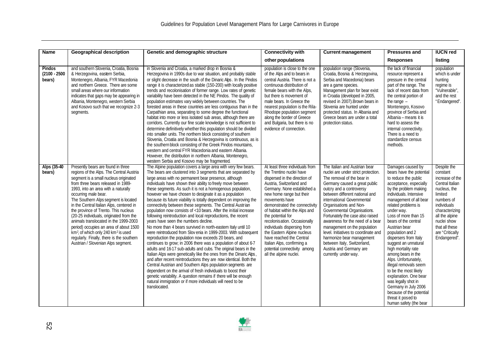| <b>Name</b>                                | <b>Geographical description</b>                                                                                                                                                                                                                                                                                                                                                                                                                                                                                                                                                                                                          | Genetic and demographic structure                                                                                                                                                                                                                                                                                                                                                                                                                                                                                                                                                                                                                                                                                                                                                                                                                                                                                                                                                                                                                                                                                                                                                                                                                                                                                                                                                                                                                         | <b>Connectivity with</b>                                                                                                                                                                                                                                                                                                                                                                                                                                                                                        | <b>Current management</b>                                                                                                                                                                                                                                                                                                                                                                                                                                                                                                                               | <b>Pressures and</b>                                                                                                                                                                                                                                                                                                                                                                                                                                                                                                                                                                                                               | <b>IUCN red</b>                                                                                                                                                                                                               |
|--------------------------------------------|------------------------------------------------------------------------------------------------------------------------------------------------------------------------------------------------------------------------------------------------------------------------------------------------------------------------------------------------------------------------------------------------------------------------------------------------------------------------------------------------------------------------------------------------------------------------------------------------------------------------------------------|-----------------------------------------------------------------------------------------------------------------------------------------------------------------------------------------------------------------------------------------------------------------------------------------------------------------------------------------------------------------------------------------------------------------------------------------------------------------------------------------------------------------------------------------------------------------------------------------------------------------------------------------------------------------------------------------------------------------------------------------------------------------------------------------------------------------------------------------------------------------------------------------------------------------------------------------------------------------------------------------------------------------------------------------------------------------------------------------------------------------------------------------------------------------------------------------------------------------------------------------------------------------------------------------------------------------------------------------------------------------------------------------------------------------------------------------------------------|-----------------------------------------------------------------------------------------------------------------------------------------------------------------------------------------------------------------------------------------------------------------------------------------------------------------------------------------------------------------------------------------------------------------------------------------------------------------------------------------------------------------|---------------------------------------------------------------------------------------------------------------------------------------------------------------------------------------------------------------------------------------------------------------------------------------------------------------------------------------------------------------------------------------------------------------------------------------------------------------------------------------------------------------------------------------------------------|------------------------------------------------------------------------------------------------------------------------------------------------------------------------------------------------------------------------------------------------------------------------------------------------------------------------------------------------------------------------------------------------------------------------------------------------------------------------------------------------------------------------------------------------------------------------------------------------------------------------------------|-------------------------------------------------------------------------------------------------------------------------------------------------------------------------------------------------------------------------------|
|                                            |                                                                                                                                                                                                                                                                                                                                                                                                                                                                                                                                                                                                                                          |                                                                                                                                                                                                                                                                                                                                                                                                                                                                                                                                                                                                                                                                                                                                                                                                                                                                                                                                                                                                                                                                                                                                                                                                                                                                                                                                                                                                                                                           | other populations                                                                                                                                                                                                                                                                                                                                                                                                                                                                                               |                                                                                                                                                                                                                                                                                                                                                                                                                                                                                                                                                         | <b>Responses</b>                                                                                                                                                                                                                                                                                                                                                                                                                                                                                                                                                                                                                   | listing                                                                                                                                                                                                                       |
| <b>Pindos</b><br>$(2100 - 2500)$<br>bears) | and southern Slovenia, Croatia, Bosnia<br>& Herzegovina, eastern Serbia,<br>Montenegro, Albania, FYR Macedonia<br>and northern Greece. There are some<br>small areas where our information<br>indicates that gaps may be appearing in<br>Albania, Montenegro, western Serbia<br>and Kosovo such that we recognize 2-3<br>segments.                                                                                                                                                                                                                                                                                                       | in Slovenia and Croatia, a marked drop in Bosnia &<br>Herzegovina in 1990s due to war situation, and probably stable<br>or slight decrease in the south of the Dinaric Alps. In the Pindos<br>range it is characterized as stable (150-200) with locally positive<br>trends and recolonisation of former range. Low rates of genetic<br>variability have been detected in the NE Pindos. The quality of<br>population estimates vary widely between countries. The<br>forested areas in these countries are less contiguous than in the<br>Carpathian area, separating to some degree the functional<br>habitat into more or less isolated sub areas, although there are<br>corridors. Currently our fine scale knowledge is not sufficient to<br>determine definitively whether this population should be divided<br>into smaller units. The northern block consisting of southern<br>Slovenia, Croatia and Bosnia & Herzegovina is continuous, as is<br>the southern block consisting of the Greek Pindos mountains,<br>western and central FYR Macedonia and eastern Albania.<br>However, the distribution in northern Albania, Montenegro,<br>western Serbia and Kosovo may be fragmented.                                                                                                                                                                                                                                                            | population is close to the one<br>of the Alps and to bears in<br>central Austria. There is not a<br>continuous distribution of<br>female bears with the Alps,<br>but there is movement of<br>male bears. In Greece the<br>nearest population is the Rila-<br>Rhodope population segment<br>along the border of Greece<br>and Bulgaria, but there is no<br>evidence of connection.                                                                                                                               | population range (Slovenia,<br>Croatia, Bosnia & Herzegovina,<br>Serbia and Macedonia) bears<br>are a game species.<br>Management plan for bear exist<br>in Croatia (developed in 2005,<br>revised in 2007). Brown bears in<br>Slovenia are hunted under<br>protected status. In Albania and<br>Greece bears are under a total<br>protection status.                                                                                                                                                                                                    | the lack of financial<br>resource represent a<br>pressure in the central<br>part of the range. The<br>lack of recent data from<br>the central portion of<br>the range $-$<br>Montenegro, Kosovo<br>province of Serbia and<br>Albania - means it is<br>hard to assess the<br>internal connectivity.<br>There is a need to<br>standardize census<br>methods.                                                                                                                                                                                                                                                                         | population<br>which is under<br>hunting<br>regime is<br>"Vulnerable",<br>and the rest<br>"Endangered".                                                                                                                        |
| Alps (35-40<br>bears)                      | Presently bears are found in three<br>regions of the Alps. The Central Austria<br>segment is a small nucleus originated<br>from three bears released in 1989-<br>1993, into an area with a naturally<br>occurring male bear.<br>The Southern Alps segment is located<br>in the Central Italian Alps, centered in<br>the province of Trento. This nucleus<br>(20-25 individuals, originated from the<br>animals translocated in the 1999-2003<br>period) occupies an area of about 1500<br>km <sup>2</sup> , of which only 240 km <sup>2</sup> is used<br>regularly. Finally, there is the southern<br>Austrian / Slovenian Alps segment. | The Alpine population covers a large area with very few bears.<br>The bears are clustered into 3 segments that are separated by<br>large areas with no permanent bear presence, although<br>individuals have shown their ability to freely move between<br>these segments. As such it is not a homogenous population,<br>however we have chosen to designate it as a population<br>because its future viability is totally dependent on improving the<br>connectivity between these segments. The Central Austrian<br>population now consists of <10 bears. After the initial increase<br>following reintroduction and local reproductions, the recent<br>years have seen the numbers decline.<br>No more than 4 bears survived in north-eastern Italy until 10<br>were reintroduced from Slov enia in 1999-2003. With subsequent<br>reproduction the population now exceeds 20 bears, and<br>continues to grow; in 2006 there was a population of about 6-7<br>adults and 16-17 sub-adults and cubs. The original bears in the<br>Italian Alps were genetically like the ones from the Dinaric Alps<br>and after recent reintroductions they are now identical. Both the<br>Central Austrian and Southern Alps population segments are<br>dependent on the arrival of fresh individuals to boost their<br>genetic variability. A question remains if there will be enough<br>natural immigration or if more individuals will need to be<br>translocated. | At least three individuals from<br>the Trentino nuclei have<br>dispersed in the direction of<br>Austria, Switzerland and<br>Germany. None established a<br>new home range but their<br>movements have<br>demonstrated the connectivity<br>of habitat within the Alps and<br>the potential for<br>recolonis ation. Occasionally<br>individuals dispersing from<br>the Eastern Alpine nucleus<br>have reached the Central<br>Italian Alps, confirming a<br>potential connectivity among<br>all the alpine nuclei. | The Italian and Austrian bear<br>nuclei are under strict protection.<br>The removal of the bear in<br>Germany caused a great public<br>outcry and a controversy<br>between different national and<br>international Governmental<br>Organisations and Non-<br>Governmental Organisations.<br>Fortunately the case also raised<br>awareness for the need of a bear<br>management on the population<br>level. Initiatives to coordinate and<br>harmonize bear management<br>between Italy, Switzerland,<br>Austria and Germany are<br>currently under way. | Damages caused by<br>bears have the potential<br>to reduce the public<br>acceptance, especially<br>by the problem making<br>individuals. Intensive<br>management of all bear<br>related problems is<br>under way.<br>Loss of more than 15<br>bears of the central<br>Austrian bear<br>population and 2<br>dispersers from Italy<br>suggest an unnatural<br>high mortality rate<br>among bears in the<br>Alps. Unfortunately,<br>illegal removals seem<br>to be the most likely<br>explanation. One bear<br>was legally shot in<br>Germany in July 2006<br>because of the potential<br>threat it posed to<br>human safety (the bear | Despite the<br>constant<br>increase of the<br>Central Italian<br>nucleus, the<br>limited<br>numbers of<br>individuals<br>characterizing<br>all the alpine<br>nuclei show<br>that all these<br>are "Critically<br>Endangered". |

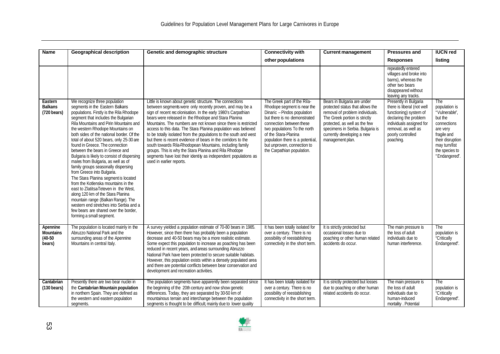| <b>Name</b>                                         | <b>Geographical description</b>                                                                                                                                                                                                                                                                                                                                                                                                                                                                                                                                                                                                                                                                                                                                                                                                                                               | Genetic and demographic structure                                                                                                                                                                                                                                                                                                                                                                                                                                                                                                                                                                                                                                                                                                            | <b>Connectivity with</b>                                                                                                                                                                                                                                                                                       | <b>Current management</b>                                                                                                                                                                                                                                  | <b>Pressures and</b>                                                                                                                                                                        | <b>IUCN red</b>                                                                                                                                                    |
|-----------------------------------------------------|-------------------------------------------------------------------------------------------------------------------------------------------------------------------------------------------------------------------------------------------------------------------------------------------------------------------------------------------------------------------------------------------------------------------------------------------------------------------------------------------------------------------------------------------------------------------------------------------------------------------------------------------------------------------------------------------------------------------------------------------------------------------------------------------------------------------------------------------------------------------------------|----------------------------------------------------------------------------------------------------------------------------------------------------------------------------------------------------------------------------------------------------------------------------------------------------------------------------------------------------------------------------------------------------------------------------------------------------------------------------------------------------------------------------------------------------------------------------------------------------------------------------------------------------------------------------------------------------------------------------------------------|----------------------------------------------------------------------------------------------------------------------------------------------------------------------------------------------------------------------------------------------------------------------------------------------------------------|------------------------------------------------------------------------------------------------------------------------------------------------------------------------------------------------------------------------------------------------------------|---------------------------------------------------------------------------------------------------------------------------------------------------------------------------------------------|--------------------------------------------------------------------------------------------------------------------------------------------------------------------|
|                                                     |                                                                                                                                                                                                                                                                                                                                                                                                                                                                                                                                                                                                                                                                                                                                                                                                                                                                               |                                                                                                                                                                                                                                                                                                                                                                                                                                                                                                                                                                                                                                                                                                                                              | other populations                                                                                                                                                                                                                                                                                              |                                                                                                                                                                                                                                                            | <b>Responses</b>                                                                                                                                                                            | listing                                                                                                                                                            |
|                                                     |                                                                                                                                                                                                                                                                                                                                                                                                                                                                                                                                                                                                                                                                                                                                                                                                                                                                               |                                                                                                                                                                                                                                                                                                                                                                                                                                                                                                                                                                                                                                                                                                                                              |                                                                                                                                                                                                                                                                                                                |                                                                                                                                                                                                                                                            | repeatedly entered<br>villages and broke into<br>barns), whereas the<br>other two bears<br>disappeared without<br>leaving any tracks.                                                       |                                                                                                                                                                    |
| Eastern<br><b>Balkans</b><br>$(720 \text{ bears})$  | We recognize three population<br>segments in the Eastern Balkans<br>populations. Firstly is the Rila Rhodope<br>segment that includes the Bulgarian<br>Rila Mountains and Pirin Mountains and<br>the western Rhodope Mountains on<br>both sides of the national border. Of the<br>total of about 520 bears, only 25-30 are<br>found in Greece. The connection<br>between the bears in Greece and<br>Bulgaria is likely to consist of dispersing<br>males from Bulgaria, as well as of<br>family groups seasonally dispersing<br>from Greece into Bulgaria.<br>The Stara Planina segment is located<br>from the Kotlenska mountains in the<br>east to Zlatitsa-Teteven in the West,<br>along 120 km of the Stara Planina<br>mountain range (Balkan Range). The<br>western end stretches into Serbia and a<br>few bears are shared over the border,<br>forming a small segment. | Little is known about genetic structure. The connections<br>between segments were only recently proven, and may be a<br>sign of recent recolonisation. In the early 1980's Carpathian<br>bears were released in the Rhodope and Stara Planina<br>Mountains. The numbers are not known since there is restricted<br>access to this data. The Stara Planina population was believed<br>to be totally isolated from the populations to the south and west<br>but there is recent evidence of bears in the corridors to the<br>south towards Rila-Rhodopean Mountains, including family<br>groups. This is why the Stara Planina and Rila Rhodope<br>segments have lost their identity as independent populations as<br>used in earlier reports. | The Greek part of the Rila-<br>Rhodope segment is near the<br>Dinaric - Pindos population<br>but there is no demonstrated<br>connection between these<br>two populations To the north<br>of the Stara-Planina<br>population there is a potential,<br>but unproven, connection to<br>the Carpathian population. | Bears in Bulgaria are under<br>protected status that allows the<br>removal of problem individuals.<br>The Greek portion is strictly<br>protected, as well as the few<br>specimens in Serbia. Bulgaria is<br>currently developing a new<br>management plan. | Presently in Bulgaria<br>there is liberal (not well<br>functioning) system of<br>declaring the problem<br>individuals assigned for<br>removal, as well as<br>poorly controlled<br>poaching. | The<br>population is<br>"Vulnerable".<br>but the<br>connections<br>are very<br>fragile and<br>their disruption<br>may turn/list<br>the species to<br>"Endangered". |
| Apennine<br><b>Mountains</b><br>$(40-50)$<br>bears) | The population is located mainly in the<br>Abruzzo National Park and the<br>surrounding areas of the Apennine<br>Mountains in central Italy.                                                                                                                                                                                                                                                                                                                                                                                                                                                                                                                                                                                                                                                                                                                                  | A survey yielded a population estimate of 70-80 bears in 1985.<br>However, since then there has probably been a population<br>decrease and 40-50 bears may be a more realistic estimate.<br>Some expect this population to increase as poaching has been<br>reduced in recent years, and areas surrounding Abruzzo<br>National Park have been protected to secure suitable habitats.<br>However, this population exists within a densely populated area<br>and there are potential conflicts between bear conservation and<br>development and recreation activities.                                                                                                                                                                         | It has been totally isolated for<br>over a century. There is no<br>possibility of reestablishing<br>connectivity in the short term.                                                                                                                                                                            | It is strictly protected but<br>occasional losses due to<br>poaching or other human related<br>accidents do occur.                                                                                                                                         | The main pressure is<br>the loss of adult<br>individuals due to<br>human interference.                                                                                                      | The<br>population is<br>"Critically<br>Endangered".                                                                                                                |
| Cantabrian<br>$(130 \text{ bears})$                 | Presently there are two bear nuclei in<br>the Cantabrian Mountain population<br>in northern Spain. They are defined as<br>the western and eastern population<br>segments.                                                                                                                                                                                                                                                                                                                                                                                                                                                                                                                                                                                                                                                                                                     | The population segments have apparently been separated since<br>the beginning of the 20th century and now show genetic<br>differences. Today, they are separated by 30-50 km of<br>mountainous terrain and interchange between the population<br>segments is thought to be difficult, mainly due to lower quality                                                                                                                                                                                                                                                                                                                                                                                                                            | It has been totally isolated for<br>over a century. There is no<br>possibility of reestablishing<br>connectivity in the short term.                                                                                                                                                                            | It is strictly protected but losses<br>due to poaching or other human<br>related accidents do occur.                                                                                                                                                       | The main pressure is<br>the loss of adult<br>individuals due to<br>human-induced<br>mortality . Potential                                                                                   | <b>The</b><br>population is<br>"Critically<br>Endangered".                                                                                                         |

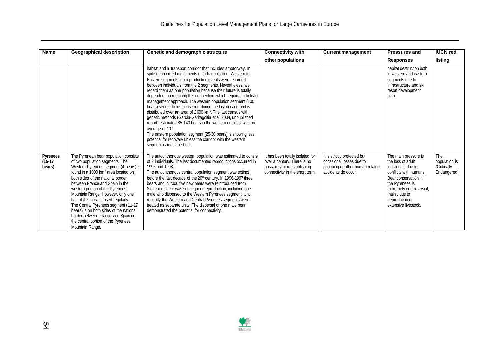| <b>Name</b>                     | <b>Geographical description</b>                                                                                                                                                                                                                                                                                                                                                                                                                                                                                                                | Genetic and demographic structure                                                                                                                                                                                                                                                                                                                                                                                                                                                                                                                                                                                                                                                                                                                                                                                                                                                                               | <b>Connectivity with</b>                                                                                                            | <b>Current management</b>                                                                                          | <b>Pressures and</b>                                                                                                                                                                                                        | <b>IUCN red</b>                                     |
|---------------------------------|------------------------------------------------------------------------------------------------------------------------------------------------------------------------------------------------------------------------------------------------------------------------------------------------------------------------------------------------------------------------------------------------------------------------------------------------------------------------------------------------------------------------------------------------|-----------------------------------------------------------------------------------------------------------------------------------------------------------------------------------------------------------------------------------------------------------------------------------------------------------------------------------------------------------------------------------------------------------------------------------------------------------------------------------------------------------------------------------------------------------------------------------------------------------------------------------------------------------------------------------------------------------------------------------------------------------------------------------------------------------------------------------------------------------------------------------------------------------------|-------------------------------------------------------------------------------------------------------------------------------------|--------------------------------------------------------------------------------------------------------------------|-----------------------------------------------------------------------------------------------------------------------------------------------------------------------------------------------------------------------------|-----------------------------------------------------|
|                                 |                                                                                                                                                                                                                                                                                                                                                                                                                                                                                                                                                |                                                                                                                                                                                                                                                                                                                                                                                                                                                                                                                                                                                                                                                                                                                                                                                                                                                                                                                 | other populations                                                                                                                   |                                                                                                                    | <b>Responses</b>                                                                                                                                                                                                            | listing                                             |
|                                 |                                                                                                                                                                                                                                                                                                                                                                                                                                                                                                                                                | habitat and a transport corridor that includes amotorway. In<br>spite of recorded movements of individuals from Western to<br>Eastern segments, no reproduction events were recorded<br>between individuals from the 2 segments. Nevertheless, we<br>regard them as one population because their future is totally<br>dependent on restoring this connection, which requires a holistic<br>management approach. The western population segment (100<br>bears) seems to be increasing during the last decade and is<br>distributed over an area of 2600 km <sup>2</sup> . The last census with<br>genetic methods (García-Garitagoitia et al. 2004, unpublished<br>report) estimated 85-143 bears in the western nucleus, with an<br>average of 107.<br>The eastern population segment (25-30 bears) is showing less<br>potential for recovery unless the corridor with the western<br>segment is reestablished. |                                                                                                                                     |                                                                                                                    | habitat destruction both<br>in western and eastern<br>segments due to<br>infrastructure and ski<br>resort development<br>plan.                                                                                              |                                                     |
| Pyrenees<br>$(15-17)$<br>bears) | The Pyrenean bear population consists<br>of two population segments. The<br>Western Pyrenees segment (4 bears) is<br>found in a 1000 km <sup>2</sup> area located on<br>both sides of the national border<br>between France and Spain in the<br>western portion of the Pyrenees<br>Mountain Range. However, only one<br>half of this area is used regularly.<br>The Central Pyrenees segment (11-17<br>bears) is on both sides of the national<br>border between France and Spain in<br>the central portion of the Pyrenees<br>Mountain Range. | The autochthonous western population was estimated to consist<br>of 2 individuals. The last documented reproductions occurred in<br>1995 and 1998.<br>The autochthonous central population segment was extinct<br>before the last decade of the 20 <sup>th</sup> century. In 1996-1997 three<br>bears and in 2006 five new bears were reintroduced from<br>Slovenia. There was subsequent reproduction, including one<br>male who dispersed to the Western Pyrenees segment. Until<br>recently the Western and Central Pyrenees segments were<br>treated as separate units. The dispersal of one male bear<br>demonstrated the potential for connectivity.                                                                                                                                                                                                                                                      | It has been totally isolated for<br>over a century. There is no<br>possibility of reestablishing<br>connectivity in the short term. | It is strictly protected but<br>occasional losses due to<br>poaching or other human related<br>accidents do occur. | The main pressure is<br>the loss of adult<br>individuals due to<br>conflicts with humans.<br>Bear conservation in<br>the Pyrenees is<br>extremely controversial,<br>mainly due to<br>depredation on<br>extensive livestock. | The<br>population is<br>"Critically<br>Endangered". |

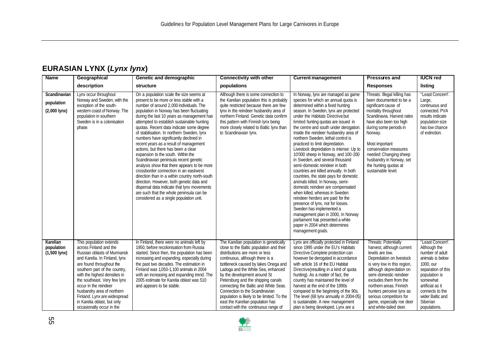## **EURASIAN LYNX (***Lynx lynx***)**

| <b>Name</b>                                  | Geographical                                                                                                                                                                                                                                                                                                                                                                                       | Genetic and demographic                                                                                                                                                                                                                                                                                                                                                                                                                                                                                                                                                                                                                                                                                                                                                                                                                                                                                   | <b>Connectivity with other</b>                                                                                                                                                                                                                                                                                                                                                                                                                                                                                   | <b>Current management</b>                                                                                                                                                                                                                                                                                                                                                                                                                                                                                                                                                                                                                                                                                                                                                                                                                                                                                                                                                                      | <b>Pressures and</b>                                                                                                                                                                                                                                                                                                                                    | <b>IUCN red</b>                                                                                                                                                                                                                |
|----------------------------------------------|----------------------------------------------------------------------------------------------------------------------------------------------------------------------------------------------------------------------------------------------------------------------------------------------------------------------------------------------------------------------------------------------------|-----------------------------------------------------------------------------------------------------------------------------------------------------------------------------------------------------------------------------------------------------------------------------------------------------------------------------------------------------------------------------------------------------------------------------------------------------------------------------------------------------------------------------------------------------------------------------------------------------------------------------------------------------------------------------------------------------------------------------------------------------------------------------------------------------------------------------------------------------------------------------------------------------------|------------------------------------------------------------------------------------------------------------------------------------------------------------------------------------------------------------------------------------------------------------------------------------------------------------------------------------------------------------------------------------------------------------------------------------------------------------------------------------------------------------------|------------------------------------------------------------------------------------------------------------------------------------------------------------------------------------------------------------------------------------------------------------------------------------------------------------------------------------------------------------------------------------------------------------------------------------------------------------------------------------------------------------------------------------------------------------------------------------------------------------------------------------------------------------------------------------------------------------------------------------------------------------------------------------------------------------------------------------------------------------------------------------------------------------------------------------------------------------------------------------------------|---------------------------------------------------------------------------------------------------------------------------------------------------------------------------------------------------------------------------------------------------------------------------------------------------------------------------------------------------------|--------------------------------------------------------------------------------------------------------------------------------------------------------------------------------------------------------------------------------|
|                                              | description                                                                                                                                                                                                                                                                                                                                                                                        | structure                                                                                                                                                                                                                                                                                                                                                                                                                                                                                                                                                                                                                                                                                                                                                                                                                                                                                                 | populations                                                                                                                                                                                                                                                                                                                                                                                                                                                                                                      |                                                                                                                                                                                                                                                                                                                                                                                                                                                                                                                                                                                                                                                                                                                                                                                                                                                                                                                                                                                                | <b>Responses</b>                                                                                                                                                                                                                                                                                                                                        | listing                                                                                                                                                                                                                        |
| Scandinavian<br>population<br>$(2,000$ lynx) | Lynx occur throughout<br>Norway and Sweden, with the<br>exception of the south-<br>western coast of Norway. The<br>population in southern<br>Sweden is in a colonisation<br>phase.                                                                                                                                                                                                                 | On a population scale the size seems at<br>present to be more or less stable with a<br>number of around 2,000 individuals. The<br>population in Norway has been fluctuating<br>during the last 10 years as management has<br>attempted to establish sustainable hunting<br>quotas. Recent data indicate some degree<br>of stabilisation. In northern Sweden, lynx<br>numbers have significantly declined in<br>recent years as a result of management<br>actions, but there has been a clear<br>expansion to the south. Within the<br>Scandinavian peninsula recent genetic<br>analysis show that there appears to be more<br>crossborder connection in an east-west<br>direction than in a within country north-south<br>direction. However, both genetic data and<br>dispersal data indicate that lynx movements<br>are such that the whole peninsula can be<br>considered as a single population unit. | Although there is some connection to<br>the Karelian population this is probably<br>quite restricted because there are few<br>lynx in the reindeer husbandry area of<br>northern Finland. Genetic data confirm<br>this pattern with Finnish lynx being<br>more closely related to Baltic Iynx than<br>to Scandinavian lynx.                                                                                                                                                                                      | In Norway, lynx are managed as game<br>species for which an annual quota is<br>determined within a fixed hunting<br>season. In Sweden, lynx are protected<br>under the Habitats Directive but<br>limited hunting quotas are issued in<br>the centre and south under derogation.<br>Inside the reindeer husbandry area of<br>northern Sweden, lethal control is<br>practiced to limit depredation.<br>Livestock depredation is intense: Up to<br>10'000 sheep in Norway, and 100-200<br>in Sweden, and several thousand<br>semi-domestic reindeer in both<br>countries are killed annually. In both<br>countries, the state pays for domestic<br>animals killed. In Norway, semi-<br>domestic reindeer are compensated<br>when killed, whereas in Sweden<br>reindeer herders are paid for the<br>presence of lynx, not for losses.<br>Sweden has implemented a<br>management plan in 2000, In Norway<br>parliament has presented a white<br>paper in 2004 which determines<br>management goals. | Threats: Illegal killing has<br>been documented to be a<br>significant cause of<br>mortality throughout<br>Scandinavia. Harvest rates<br>have also been too high<br>during some periods in<br>Norway.<br>Most important<br>conservation measures<br>needed: Changing sheep<br>husbandry in Norway, set<br>the hunting quotas at<br>sustainable level.   | "Least Concern".<br>Large,<br>continuous and<br>connected. PVA<br>results indicate<br>population size<br>has low chance<br>of extinction.                                                                                      |
| Karelian<br>population<br>$(1,500$ lynx)     | This population extends<br>across Finland and the<br>Russian oblasts of Murmansk<br>and Karelia. In Finland, lynx<br>are found throughout the<br>southern part of the country,<br>with the highest densities in<br>the southeast. Very few lynx<br>occur in the reindeer<br>husbandry area of northern<br>Finland. Lynx are widespread<br>in Karelia oblast, but only<br>occasionally occur in the | In Finland, there were no animals left by<br>1950, before recolonisation from Russia<br>started. Since then, the population has been<br>increasing and expanding, especially during<br>the past two decades. The estimation in<br>Finland was 1.050-1.100 animals in 2004<br>with an increasing and expanding trend. The<br>2005 estimate for Karelia oblast was 510<br>and appears to be stable.                                                                                                                                                                                                                                                                                                                                                                                                                                                                                                         | The Karelian population is genetically<br>close to the Baltic population and their<br>distributions are more or less<br>continuous, although there is a<br>bottleneck caused by lakes Onega and<br>Ladoga and the White Sea, enhanced<br>by the development around St<br>Petersburg and the shipping canals<br>connecting the Baltic and White Seas.<br>Connection to the Scandinavian<br>population is likely to be limited. To the<br>east the Karelian population has<br>contact with the continuous range of | Lynx are officially protected in Finland<br>since 1995 under the EU's Habitats<br>Directive Complete protection can<br>however be derogated in accordance<br>with article 16 of the EU Habitat<br>Directive(resulting in a kind of quota<br>hunting). As a matter of fact, the<br>country has maintained the level of<br>harvest at the end of the 1990s<br>compared to the beginning of the 90s.<br>The level (68 lynx annually in 2004-05)<br>is sustainable. A new management<br>plan is being developed. Lynx are a                                                                                                                                                                                                                                                                                                                                                                                                                                                                        | Threats: Potentially<br>harvest, although current<br>levels are low.<br>Depredation on livestock<br>is very low in this region,<br>although depredation on<br>semi-domestic reindeer<br>excludes them from the<br>northern areas. Finnish<br>hunters perceive lynx as<br>serious competitors for<br>game, especially roe deer<br>and white-tailed deer. | "Least Concern".<br>Although the<br>number of adult<br>animals is below<br>1000, our<br>separation of this<br>population is<br>somewhat<br>artificial as it<br>connects to the<br>wider Baltic and<br>Siberian<br>populations. |

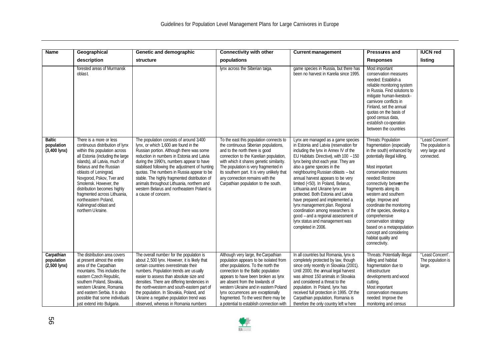| <b>Name</b>                                           | Geographical                                                                                                                                                                                                                                                                                                                                                                                                      | Genetic and demographic                                                                                                                                                                                                                                                                                                                                                                                                                                                                    | <b>Connectivity with other</b>                                                                                                                                                                                                                                                                                                                                                                           | <b>Current management</b>                                                                                                                                                                                                                                                                                                                                                                                                                                                                                                                                                                                                              | <b>Pressures and</b>                                                                                                                                                                                                                                                                                                                                                                                                                                                            | <b>IUCN red</b>                                                       |
|-------------------------------------------------------|-------------------------------------------------------------------------------------------------------------------------------------------------------------------------------------------------------------------------------------------------------------------------------------------------------------------------------------------------------------------------------------------------------------------|--------------------------------------------------------------------------------------------------------------------------------------------------------------------------------------------------------------------------------------------------------------------------------------------------------------------------------------------------------------------------------------------------------------------------------------------------------------------------------------------|----------------------------------------------------------------------------------------------------------------------------------------------------------------------------------------------------------------------------------------------------------------------------------------------------------------------------------------------------------------------------------------------------------|----------------------------------------------------------------------------------------------------------------------------------------------------------------------------------------------------------------------------------------------------------------------------------------------------------------------------------------------------------------------------------------------------------------------------------------------------------------------------------------------------------------------------------------------------------------------------------------------------------------------------------------|---------------------------------------------------------------------------------------------------------------------------------------------------------------------------------------------------------------------------------------------------------------------------------------------------------------------------------------------------------------------------------------------------------------------------------------------------------------------------------|-----------------------------------------------------------------------|
|                                                       | description                                                                                                                                                                                                                                                                                                                                                                                                       | structure                                                                                                                                                                                                                                                                                                                                                                                                                                                                                  | populations                                                                                                                                                                                                                                                                                                                                                                                              |                                                                                                                                                                                                                                                                                                                                                                                                                                                                                                                                                                                                                                        | <b>Responses</b>                                                                                                                                                                                                                                                                                                                                                                                                                                                                | listing                                                               |
|                                                       | forested areas of Murmansk<br>oblast.                                                                                                                                                                                                                                                                                                                                                                             |                                                                                                                                                                                                                                                                                                                                                                                                                                                                                            | lynx across the Siberian taiga.                                                                                                                                                                                                                                                                                                                                                                          | game species in Russia, but there has<br>been no harvest in Karelia since 1995.                                                                                                                                                                                                                                                                                                                                                                                                                                                                                                                                                        | Most important<br>conservation measures<br>needed: Establish a<br>reliable monitoring system<br>in Russia. Find solutions to<br>mitigate human-livestock-<br>carnivore conflicts in<br>Finland, set the annual<br>quotas on the basis of<br>good census data,<br>establish co-operation<br>between the countries                                                                                                                                                                |                                                                       |
| <b>Baltic</b><br>population<br>$(3,400 \text{ lynx})$ | There is a more or less<br>continuous distribution of lynx<br>within this population across<br>all Estonia (including the large<br>islands), all Latvia, much of<br>Belarus and the Russian<br>oblasts of Leningrad,<br>Novgorod, Pskov, Tver and<br>Smolensk. However, the<br>distribution becomes highly<br>fragmented across Lithuania,<br>northeastern Poland.<br>Kaliningrad oblast and<br>northern Ukraine. | The population consists of around 3400<br>lynx, or which 1,600 are found in the<br>Russian portion. Although there was some<br>reduction in numbers in Estonia and Latvia<br>during the 1990's, numbers appear to have<br>stabilised following the adjustment of hunting<br>quotas. The numbers in Russia appear to be<br>stable. The highly fragmented distribution of<br>animals throughout Lithuania, northern and<br>western Belarus and northeastern Poland is<br>a cause of concern. | To the east this population connects to<br>the continuous Siberian populations,<br>and to the north there is good<br>connection to the Karelian population,<br>with which it shares genetic similarity.<br>The population is very fragmented in<br>its southern part. It is very unlikely that<br>any connection remains with the<br>Carpathian population to the south.                                 | Lynx are managed as a game species<br>in Estonia and Latvia (reservation for<br>including the lynx in Annex IV of the<br>EU Habitats Directive), with 100 - 150<br>lynx being shot each year. They are<br>also a game species in the<br>neighbouring Russian oblasts - but<br>annual harvest appears to be very<br>limited (<50). In Poland, Belarus,<br>Lithuania and Ukraine lynx are<br>protected. Both Estonia and Latvia<br>have prepared and implemented a<br>lynx management plan. Regional<br>coordination among researchers is<br>good - and a regional assessment of<br>lynx status and management was<br>completed in 2006. | Threats: Population<br>fragmentation (especially<br>in the south) enhanced by<br>potentially illegal killing.<br>Most important<br>conservation measures<br>needed: Restore<br>connectivity between the<br>fragments along its<br>western and southern<br>edge. Improve and<br>coordinate the monitoring<br>of the species, develop a<br>comprehensive<br>conservation strategy<br>based on a metapopulation<br>concept and considering<br>habitat quality and<br>connectivity. | "Least Concern".<br>The population is<br>very large and<br>connected. |
| Carpathian<br>population<br>$(2,500$ lynx)            | The distribution area covers<br>at present almost the entire<br>area of the Carpathian<br>mountains. This includes the<br>eastern Czech Republic,<br>southern Poland, Slovakia,<br>western Ukraine, Romania<br>and eastern Serbia. It is also<br>possible that some individuals<br>just extend into Bulgaria                                                                                                      | The overall number for the population is<br>about 2,500 lynx. However, it is likely that<br>certain countries overestimate their<br>numbers. Population trends are usually<br>easier to assess than absolute size and<br>densities. There are differing tendencies in<br>the north-western and south-eastern part of<br>the population. In Slovakia, Poland, and<br>Ukraine a negative population trend was<br>observed, whereas in Romania numbers                                        | Although very large, the Carpathian<br>population appears to be isolated from<br>other populations. To the north the<br>connection to the Baltic population<br>appears to have been broken as lynx<br>are absent from the lowlands of<br>western Ukraine and in eastern Poland<br>lynx occurrences are exceptionally<br>fragmented. To the west there may be<br>a potential to establish connection with | In all countries but Romania, lynx is<br>completely protected by law, though<br>since only recently in Slovakia (2001)<br>Until 2000, the annual legal harvest<br>was almost 150 animals in Slovakia<br>and considered a threat to the<br>population. In Poland, Iynx has<br>received full protection in 1995. Of the<br>Carpathian population, Romania is<br>therefore the only country left w here                                                                                                                                                                                                                                   | Threats: Potentially illegal<br>killing and habitat<br>fragmentation due to<br>infrastructure<br>developments and wood<br>cutting.<br>Most important<br>conservation measures<br>needed: Improve the<br>monitoring and census                                                                                                                                                                                                                                                   | "Least Concern".<br>The population is<br>large.                       |

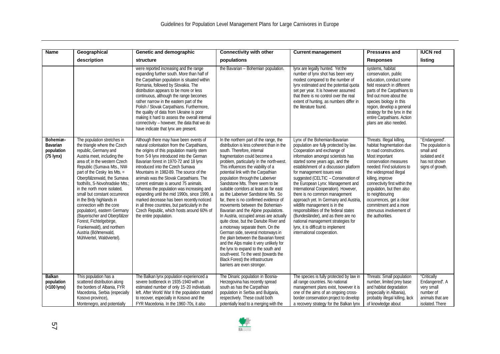| Name                                                              | Geographical                                                                                                                                                                                                                                                                                                                                                                                                                                                                                                                                                                               | Genetic and demographic                                                                                                                                                                                                                                                                                                                                                                                                                                                                                                                                                                                                                                          | <b>Connectivity with other</b>                                                                                                                                                                                                                                                                                                                                                                                                                                                                                                                                                                                                                                                                                                                                                                                                                                                                                                                           | <b>Current management</b>                                                                                                                                                                                                                                                                                                                                                                                                                                                                                                                                                                                                                                                        | <b>Pressures and</b>                                                                                                                                                                                                                                                                                                                                                                         | <b>IUCN red</b>                                                                                         |
|-------------------------------------------------------------------|--------------------------------------------------------------------------------------------------------------------------------------------------------------------------------------------------------------------------------------------------------------------------------------------------------------------------------------------------------------------------------------------------------------------------------------------------------------------------------------------------------------------------------------------------------------------------------------------|------------------------------------------------------------------------------------------------------------------------------------------------------------------------------------------------------------------------------------------------------------------------------------------------------------------------------------------------------------------------------------------------------------------------------------------------------------------------------------------------------------------------------------------------------------------------------------------------------------------------------------------------------------------|----------------------------------------------------------------------------------------------------------------------------------------------------------------------------------------------------------------------------------------------------------------------------------------------------------------------------------------------------------------------------------------------------------------------------------------------------------------------------------------------------------------------------------------------------------------------------------------------------------------------------------------------------------------------------------------------------------------------------------------------------------------------------------------------------------------------------------------------------------------------------------------------------------------------------------------------------------|----------------------------------------------------------------------------------------------------------------------------------------------------------------------------------------------------------------------------------------------------------------------------------------------------------------------------------------------------------------------------------------------------------------------------------------------------------------------------------------------------------------------------------------------------------------------------------------------------------------------------------------------------------------------------------|----------------------------------------------------------------------------------------------------------------------------------------------------------------------------------------------------------------------------------------------------------------------------------------------------------------------------------------------------------------------------------------------|---------------------------------------------------------------------------------------------------------|
|                                                                   | description                                                                                                                                                                                                                                                                                                                                                                                                                                                                                                                                                                                | structure                                                                                                                                                                                                                                                                                                                                                                                                                                                                                                                                                                                                                                                        | populations                                                                                                                                                                                                                                                                                                                                                                                                                                                                                                                                                                                                                                                                                                                                                                                                                                                                                                                                              |                                                                                                                                                                                                                                                                                                                                                                                                                                                                                                                                                                                                                                                                                  | <b>Responses</b>                                                                                                                                                                                                                                                                                                                                                                             | listing                                                                                                 |
|                                                                   |                                                                                                                                                                                                                                                                                                                                                                                                                                                                                                                                                                                            | were reported increasing and the range<br>expanding further south. More than half of<br>the Carpathian population is situated within<br>Romania, followed by Slovakia. The<br>distribution appears to be more or less<br>continuous, although the range becomes<br>rather narrow in the eastern part of the<br>Polish / Slovak Carpathians. Furthermore,<br>the quality of data from Ukraine is poor<br>making it hard to assess the overall internal<br>connectivity - however, the data that we do<br>have indicate that lynx are present.                                                                                                                     | the Bavarian - Bohemian population.                                                                                                                                                                                                                                                                                                                                                                                                                                                                                                                                                                                                                                                                                                                                                                                                                                                                                                                      | lynx are legally hunted. Yet the<br>number of lynx shot has been very<br>modest compared to the number of<br>lynx estimated and the potential quota<br>set per year. It is however assumed<br>that there is no control over the real<br>extent of hunting, as numbers differ in<br>the literature found.                                                                                                                                                                                                                                                                                                                                                                         | systems, habitat<br>conservation, public<br>education, conduct some<br>field research in different<br>parts of the Carpathians to<br>find out more about the<br>species biology in this<br>region, develop a general<br>strategy for the lynx in the<br>entire Carpathians. Action<br>plans are also needed.                                                                                 |                                                                                                         |
| Bohemian-<br><b>Bavarian</b><br>population<br>$(75 \text{ lynx})$ | The population stretches in<br>the triangle where the Czech<br>republic, Germany and<br>Austria meet, including the<br>area of: in the western Czech<br>Republic (Sumava Mts., NW-<br>part of the Cesky les Mts. =<br>Oberpfälzerwald, the Sumava<br>foothills, S-Novohradske Mts.;<br>in the north more isolated.<br>small but constant occurrence<br>in the Brdy highlands in<br>connection with the core<br>population), eastern Germany<br>(Bayerischer and Oberpfälzer<br>Forest, Fichtelgebirge,<br>Frankenwald), and northern<br>Austria (Böhmerwald,<br>Mühlviertel, Waldviertel). | Although there may have been events of<br>natural colonisation from the Carpathians,<br>the origins of this population mainly stem<br>from 5-9 lynx introduced into the German<br>Bavarian forest in 1970-72 and 18 lynx<br>introduced into the Czech Sumava<br>Mountains in 1982-89. The source of the<br>animals was the Slovak Carpathians. The<br>current estimate is around 75 animals.<br>Whereas the population was increasing and<br>expanding until the mid 1990s, since 1999, a<br>marked decrease has been recently noticed<br>in all three countries, but particularly in the<br>Czech Republic, which hosts around 60% of<br>the entire population. | In the northern part of the range, the<br>distribution is less coherent than in the<br>south. Therefore, internal<br>fragmentation could become a<br>problem, particularly in the north-west.<br>This influences the viability of a<br>potential link with the Carpathian<br>population through the Laberiver<br>Sandstone Mts. There seem to be<br>suitable corridors at least as far east<br>as the Laberiver Sandstone Mts. So<br>far, there is no confirmed evidence of<br>movements between the Bohemian-<br>Bavarian and the Alpine populations.<br>In Austria, occupied areas are actually<br>quite close, but the Danube River and<br>a motorway separate them. On the<br>German side, several motorways in<br>the plain between the Bavarian forest<br>and the Alps make it very unlikely for<br>the lynx to expand to the south and<br>south-west. To the west (towards the<br>Black Forest) the infrastructure<br>barriers are even stronger. | Lynx of the Bohemian-Bavarian<br>population are fully protected by law.<br>Cooperation and exchange of<br>information amongst scientists has<br>started some years ago, and the<br>establishment of a discussion platform<br>for management issues was<br>suggested (CELTIC - Conservation of<br>the European Lynx: Management and<br>International Cooperation). However,<br>there is no common management<br>approach yet. In Germany and Austria,<br>wildlife management is in the<br>responsibilities of the federal states<br>(Bundesländer), and as there are no<br>national management strategies for<br>lynx, it is difficult to implement<br>international cooperation. | Threats: Illegal killing,<br>habitat fragmentation due<br>to road constructions.<br>Most important<br>conservation measures<br>needed: Find solutions to<br>the widespread illegal<br>killing, improve<br>connectivity first within the<br>population, but then also<br>to neighbouring<br>occurrences, get a clear<br>commitment and a more<br>strenuous involvement of<br>the authorities. | "Endangered".<br>The population is<br>small and<br>isolated and it<br>has not shown<br>signs of growth. |
| <b>Balkan</b><br>population<br>$(<$ 100 lynx)                     | This population has a<br>scattered distribution along<br>the borders of Albania, FYR<br>Macedonia, Serbia (especially<br>Kosovo province),<br>Montenegro, and potentially                                                                                                                                                                                                                                                                                                                                                                                                                  | The Balkan lynx population experienced a<br>severe bottleneck in 1935-1940 with an<br>estimated number of only 15-20 individuals<br>left. After World War II the population started<br>to recover, especially in Kosovo and the<br>FYR Macedonia. In the 1960-70s, it also                                                                                                                                                                                                                                                                                                                                                                                       | The Dinaric population in Bosnia-<br>Herzegovina has recently spread<br>south as has the Carpathian<br>population in Serbia and Bulgaria,<br>respectively. These could both<br>potentially lead to a merging with the                                                                                                                                                                                                                                                                                                                                                                                                                                                                                                                                                                                                                                                                                                                                    | The species is fully protected by law in<br>all range countries. No national<br>management plans exist, however it is<br>one of the aims of an ongoing cross-<br>border conservation project to develop<br>a recovery strategy for the Balkan lynx                                                                                                                                                                                                                                                                                                                                                                                                                               | Threats: Small population<br>number, limited prey base<br>and habitat degradation<br>(especially in Albania),<br>probably illegal killing, lack<br>of knowledge about                                                                                                                                                                                                                        | "Critically<br>Endangered". A<br>very small<br>number of<br>animals that are<br>isolated. There         |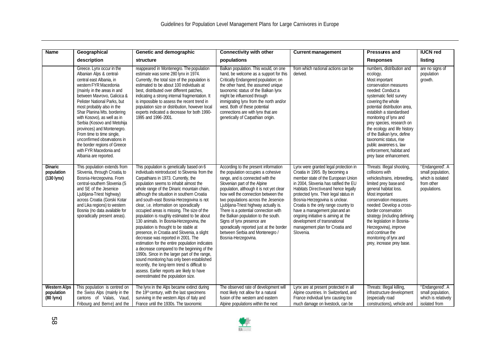| <b>Name</b>                                              | Geographical                                                                                                                                                                                                                                                                                                                                                                                                                                                                                                   | Genetic and demographic                                                                                                                                                                                                                                                                                                                                                                                                                                                                                                                                                                                                                                                                                                                                                                                                                                                                                                                                                   | <b>Connectivity with other</b>                                                                                                                                                                                                                                                                                                                                                                                                                                                                                                        | <b>Current management</b>                                                                                                                                                                                                                                                                                                                                                                                                                                                | <b>Pressures and</b>                                                                                                                                                                                                                                                                                                                                                                                                                              | <b>IUCN red</b>                                                                         |
|----------------------------------------------------------|----------------------------------------------------------------------------------------------------------------------------------------------------------------------------------------------------------------------------------------------------------------------------------------------------------------------------------------------------------------------------------------------------------------------------------------------------------------------------------------------------------------|---------------------------------------------------------------------------------------------------------------------------------------------------------------------------------------------------------------------------------------------------------------------------------------------------------------------------------------------------------------------------------------------------------------------------------------------------------------------------------------------------------------------------------------------------------------------------------------------------------------------------------------------------------------------------------------------------------------------------------------------------------------------------------------------------------------------------------------------------------------------------------------------------------------------------------------------------------------------------|---------------------------------------------------------------------------------------------------------------------------------------------------------------------------------------------------------------------------------------------------------------------------------------------------------------------------------------------------------------------------------------------------------------------------------------------------------------------------------------------------------------------------------------|--------------------------------------------------------------------------------------------------------------------------------------------------------------------------------------------------------------------------------------------------------------------------------------------------------------------------------------------------------------------------------------------------------------------------------------------------------------------------|---------------------------------------------------------------------------------------------------------------------------------------------------------------------------------------------------------------------------------------------------------------------------------------------------------------------------------------------------------------------------------------------------------------------------------------------------|-----------------------------------------------------------------------------------------|
|                                                          | description                                                                                                                                                                                                                                                                                                                                                                                                                                                                                                    | structure                                                                                                                                                                                                                                                                                                                                                                                                                                                                                                                                                                                                                                                                                                                                                                                                                                                                                                                                                                 | populations                                                                                                                                                                                                                                                                                                                                                                                                                                                                                                                           |                                                                                                                                                                                                                                                                                                                                                                                                                                                                          | <b>Responses</b>                                                                                                                                                                                                                                                                                                                                                                                                                                  | listing                                                                                 |
|                                                          | Greece. Lynx occur in the<br>Albanian Alps & central-<br>central east Albania, in<br>western FYR Macedonia<br>(mainly in the areas in and<br>between Mavrovo, Galicica &<br>Pelister National Parks, but<br>most probably also in the<br>Shar Planina Mts. bordering<br>with Kosovo), as well as in<br>Serbia (Kosovo and Metohija<br>provinces) and Montenegro.<br>From time to time single,<br>unconfirmed obsevations in<br>the border regions of Greece<br>with FYR Macedonia and<br>Albania are reported. | reappeared in Montenegro. The population<br>estimate was some 280 lynx in 1974.<br>Currently, the total size of the population is<br>estimated to be about 100 individuals at<br>best, distributed over different patches,<br>indicating a strong internal fragmentation. It<br>is impossible to assess the recent trend in<br>population size or distribution, however local<br>experts indicated a decrease for both 1990-<br>1995 and 1996-2001.                                                                                                                                                                                                                                                                                                                                                                                                                                                                                                                       | Balkan population. This would, on one<br>hand, be welcome as a support for this<br>Critically Endangered population; on<br>the other hand, the assumed unique<br>taxonomic status of the Balkan lynx<br>might be influenced through<br>immigrating lynx from the north and/or<br>west. Both of these potential<br>connections are with lynx that are<br>genetically of Carpathian origin.                                                                                                                                             | from which national actions can be<br>derived.                                                                                                                                                                                                                                                                                                                                                                                                                           | numbers, distribution and<br>ecology.<br>Most important<br>conservation measures<br>needed: Conduct a<br>systematic field survey<br>covering the whole<br>potential distribution area,<br>establish a standardised<br>monitoring of lynx and<br>prey species, research on<br>the ecology and life history<br>of the Balkan lynx, define<br>taxonomic status, rise<br>public awarenes s, law<br>enforcement, habitat and<br>prey base enhancement. | are no signs of<br>population<br>growth.                                                |
| <b>Dinaric</b><br>population<br>$(130 \text{ lynx})$     | This population extends from<br>Slovenia, through Croatia, to<br>Bosnia-Herzegovina. From<br>central-southern Slovenia (S<br>and SE of the Jesenice-<br>Ljubljana-Triest highway)<br>across Croatia (Gorski Kotar<br>and Lika regions) to western<br>Bosnia (no data available for<br>sporadically present areas).                                                                                                                                                                                             | This population is genetically based on 6<br>individuals reintroduced to Slovenia from the<br>Carpathians in 1973. Currently, the<br>population seems to inhabit almost the<br>whole range of the Dinaric mountain chain,<br>although the situation in southern Croatia<br>and south-east Bosnia-Herzegovina is not<br>clear, i.e. information on sporadically<br>occupied areas is missing. The size of the<br>population is roughly estimated to be about<br>130 animals. In Bosnia-Herzegovina, the<br>population is thought to be stable at<br>presence, in Croatia and Slovenia, a slight<br>decrease was reported in 2001. The<br>estimation for the entire population indicates<br>a decrease compared to the beginning of the<br>1990s. Since in the larger part of the range,<br>sound monitoring has only been established<br>recently, the long-term trend is difficult to<br>assess. Earlier reports are likely to have<br>overestimated the population size. | According to the present information<br>the population occupies a cohesive<br>range, and is connected with the<br>Slovenian part of the Alpine<br>population, although it is not yet clear<br>how well the connection between the<br>two populations across the Jesenice-<br>Ljubljana-Triest highway actually is.<br>There is a potential connection with<br>the Balkan population to the south.<br>Signs of lynx presence are<br>sporadically reported just at the border<br>between Serbia and Montenegro /<br>Bosnia-Herzegovina. | Lynx were granted legal protection in<br>Croatia in 1995. By becoming a<br>member state of the European Union<br>in 2004, Slovenia has ratified the EU<br>Habitats Directiveand hence legally<br>protected lynx. Their legal status in<br>Bosnia-Herzegovina is unclear.<br>Croatia is the only range country to<br>have a management plan and an<br>ongoing initiative is aiming at the<br>development of transnational<br>management plan for Croatia and<br>Slovenia. | Threats: Illegal shooting,<br>collisions with<br>vehicles/trains, inbreeding,<br>limited prey base and<br>general habitat loss.<br>Most important<br>conservation measures<br>needed: Develop a cross-<br>border conservation<br>strategy (including defining<br>the legislation in Bosnia-<br>Herzegovina), improve<br>and continue the<br>monitoring of lynx and<br>prey, increase prey base.                                                   | "Endangered". A<br>small population,<br>which is isolated<br>from other<br>populations. |
| <b>Western Alps</b><br>population<br>$(80 \text{ lynx})$ | This population is centred on<br>the Swiss Alps (mainly in the<br>cantons of Valais, Vaud,<br>Fribourg and Berne) and the                                                                                                                                                                                                                                                                                                                                                                                      | The lynx in the Alps became extinct during<br>the 19th century, with the last specimens<br>surviving in the western Alps of Italy and<br>France until the 1930s. The taxonomic                                                                                                                                                                                                                                                                                                                                                                                                                                                                                                                                                                                                                                                                                                                                                                                            | The observed rate of development will<br>most likely not allow for a natural<br>fusion of the western and eastern<br>Alpine populations within the next                                                                                                                                                                                                                                                                                                                                                                               | Lynx are at present protected in all<br>Alpine countries. In Switzerland, and<br>France individual lynx causing too<br>much damage on livestock, can be                                                                                                                                                                                                                                                                                                                  | Threats: Illegal killing,<br>infrastructure development<br>(especially road<br>constructions), vehicle and                                                                                                                                                                                                                                                                                                                                        | "Endangered". A<br>small population,<br>which is relatively<br>isolated from            |

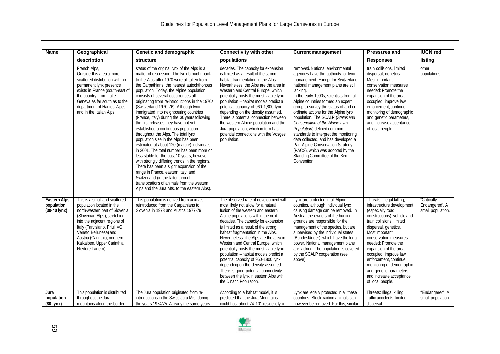| <b>Name</b>                                                 | Geographical                                                                                                                                                                                                                                                                                              | Genetic and demographic                                                                                                                                                                                                                                                                                                                                                                                                                                                                                                                                                                                                                                                                                                                                                                                                                                                                                                                                                                                                                           | <b>Connectivity with other</b>                                                                                                                                                                                                                                                                                                                                                                                                                                                                                                                                                                                                          | <b>Current management</b>                                                                                                                                                                                                                                                                                                                                                                                                                                                                                                                                                                                                                        | <b>Pressures and</b>                                                                                                                                                                                                                                                                                                                                                                                                 | <b>IUCN red</b>                                    |
|-------------------------------------------------------------|-----------------------------------------------------------------------------------------------------------------------------------------------------------------------------------------------------------------------------------------------------------------------------------------------------------|---------------------------------------------------------------------------------------------------------------------------------------------------------------------------------------------------------------------------------------------------------------------------------------------------------------------------------------------------------------------------------------------------------------------------------------------------------------------------------------------------------------------------------------------------------------------------------------------------------------------------------------------------------------------------------------------------------------------------------------------------------------------------------------------------------------------------------------------------------------------------------------------------------------------------------------------------------------------------------------------------------------------------------------------------|-----------------------------------------------------------------------------------------------------------------------------------------------------------------------------------------------------------------------------------------------------------------------------------------------------------------------------------------------------------------------------------------------------------------------------------------------------------------------------------------------------------------------------------------------------------------------------------------------------------------------------------------|--------------------------------------------------------------------------------------------------------------------------------------------------------------------------------------------------------------------------------------------------------------------------------------------------------------------------------------------------------------------------------------------------------------------------------------------------------------------------------------------------------------------------------------------------------------------------------------------------------------------------------------------------|----------------------------------------------------------------------------------------------------------------------------------------------------------------------------------------------------------------------------------------------------------------------------------------------------------------------------------------------------------------------------------------------------------------------|----------------------------------------------------|
|                                                             | description                                                                                                                                                                                                                                                                                               | structure                                                                                                                                                                                                                                                                                                                                                                                                                                                                                                                                                                                                                                                                                                                                                                                                                                                                                                                                                                                                                                         | populations                                                                                                                                                                                                                                                                                                                                                                                                                                                                                                                                                                                                                             |                                                                                                                                                                                                                                                                                                                                                                                                                                                                                                                                                                                                                                                  | <b>Responses</b>                                                                                                                                                                                                                                                                                                                                                                                                     | listing                                            |
|                                                             | French Alps,<br>Outside this area a more<br>scattered distribution with no<br>permanent lynx presence<br>exists in France (south-east of<br>the country, from Lake<br>Geneva as far south as to the<br>department of Hautes-Alpes<br>and in the Italian Alps.                                             | status of the original lynx of the Alps is a<br>matter of discussion. The lynx brought back<br>to the Alps after 1970 were all taken from<br>the Carpathians, the nearest autochthonous<br>population. Today, the Alpine population<br>consists of several occurrences all<br>originating from re-introductions in the 1970s<br>(Switzerland 1970-76). Although lynx<br>immigrated into neighbouring countries<br>(France, Italy) during the 30 years following<br>the first releases they have not yet<br>established a continuous population<br>throughout the Alps. The total lynx<br>population size in the Alps has been<br>estimated at about 120 (mature) individuals<br>in 2001. The total number has been more or<br>less stable for the past 10 years, however<br>with strongly differing trends in the regions.<br>There has been a slight expansion of the<br>range in France, eastern Italy, and<br>Switzerland (in the latter through<br>translocations of animals from the western<br>Alps and the Jura Mts. to the eastern Alps). | decades. The capacity for expansion<br>is limited as a result of the strong<br>habitat fragmentation in the Alps.<br>Nevertheless, the Alps are the area in<br>Western and Central Europe, which<br>potentially hosts the most viable lynx<br>population - habitat models predict a<br>potential capacity of 960-1,800 lynx,<br>depending on the density assumed.<br>There is potential connection between<br>the western Alpine population and the<br>Jura population, which in turn has<br>potential connections with the Vosges<br>population.                                                                                       | removed. National environmental<br>agencies have the authority for lynx<br>management. Except for Switzerland<br>national management plans are still<br>lacking.<br>In the early 1990s, scientists from all<br>Alpine countries formed an expert<br>group to survey the status of and co-<br>ordinate actions for the Alpine lynx<br>population. The SCALP (Status and<br>Conservation of the Alpine Lynx<br>Population) defined common<br>standards to interpret the monitoring<br>data collected, and has developed a<br>Pan-Alpine Conservation Strategy<br>(PACS), which was adopted by the<br>Standing Committee of the Bern<br>Convention. | train collisions, limited<br>dispersal, genetics.<br>Most important<br>conservation measures<br>needed: Promote the<br>expansion of the area<br>occupied, improve law<br>enforcement, continue<br>monitoring of demographic<br>and genetic parameters,<br>and increase acceptance<br>of local people.                                                                                                                | other<br>populations.                              |
| <b>Eastern Alps</b><br>population<br>$(30-40 \text{ lynx})$ | This is a small and scattered<br>population located in the<br>north-western part of Slovenia<br>(Slovenian Alps), stretching<br>into the adjacent regions of<br>Italy (Tarvisiano, Friuli VG,<br>Veneto Bellunese) and<br>Austria (Carinthia, northern<br>Kalkalpen, Upper Carinthia,<br>Niedere Tauern). | This population is derived from animals<br>reintroduced from the Carpathians to<br>Slovenia in 1973 and Austria 1977-79                                                                                                                                                                                                                                                                                                                                                                                                                                                                                                                                                                                                                                                                                                                                                                                                                                                                                                                           | The observed rate of development will<br>most likely not allow for a natural<br>fusion of the western and eastern<br>Alpine populations within the next<br>decades. The capacity for expansion<br>is limited as a result of the strong<br>habitat fragmentation in the Alps.<br>Nevertheless, the Alps are the area in<br>Western and Central Europe, which<br>potentially hosts the most viable lynx<br>population - habitat models predict a<br>potential capacity of 960-1800 lynx,<br>depending on the density assumed.<br>There is good potential connectivity<br>between the lynx in eastern Alps with<br>the Dinaric Population. | Lynx are protected in all Alpine<br>counties, although individual lynx<br>causing damage can be removed. In<br>Austria, the owners of the hunting<br>grounds are responsible for the<br>management of the species, but are<br>supervised by the individual states<br>(Bundesländer), which have the legal<br>power. National management plans<br>are lacking. The population is covered<br>by the SCALP cooperation (see<br>above).                                                                                                                                                                                                              | Threats: Illegal killing,<br>infrastructure development<br>(especially road<br>constructions), vehicle and<br>train collisions, limited<br>dispersal, genetics.<br>Most important<br>conservation measures<br>needed: Promote the<br>expansion of the area<br>occupied, improve law<br>enforcement, continue<br>monitoring of demographic<br>and genetic parameters,<br>and increas e acceptance<br>of local people. | "Critically<br>Endangered". A<br>small population. |
| Jura<br>population<br>(80 lynx)                             | This population is distributed<br>throughout the Jura<br>mountains along the border                                                                                                                                                                                                                       | The Jura population originated from re-<br>introductions in the Swiss Jura Mts. during<br>the years 1974/75. Already the same years                                                                                                                                                                                                                                                                                                                                                                                                                                                                                                                                                                                                                                                                                                                                                                                                                                                                                                               | According to a habitat model, it is<br>predicted that the Jura Mountains<br>could host about 74-101 resident lynx.                                                                                                                                                                                                                                                                                                                                                                                                                                                                                                                      | Lynx are legally protected in all these<br>countries. Stock-raiding animals can<br>however be removed. For this, similar                                                                                                                                                                                                                                                                                                                                                                                                                                                                                                                         | Threats: Illegal killing,<br>traffic accidents, limited<br>dispersal.                                                                                                                                                                                                                                                                                                                                                | "Endangered". A<br>small population.               |

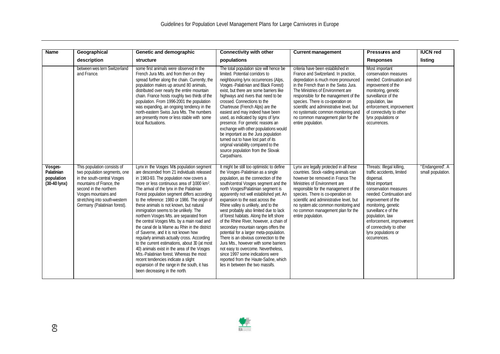| <b>Name</b>                                                   | Geographical                                                                                                                                                                                                                              | Genetic and demographic                                                                                                                                                                                                                                                                                                                                                                                                                                                                                                                                                                                                                                                                                                                                                                                                                                                                                                          | <b>Connectivity with other</b>                                                                                                                                                                                                                                                                                                                                                                                                                                                                                                                                                                                                                                                                                                                                                            | <b>Current management</b>                                                                                                                                                                                                                                                                                                                                                                                                  | <b>Pressures and</b>                                                                                                                                                                                                                                                                                                               | <b>IUCN red</b>                      |
|---------------------------------------------------------------|-------------------------------------------------------------------------------------------------------------------------------------------------------------------------------------------------------------------------------------------|----------------------------------------------------------------------------------------------------------------------------------------------------------------------------------------------------------------------------------------------------------------------------------------------------------------------------------------------------------------------------------------------------------------------------------------------------------------------------------------------------------------------------------------------------------------------------------------------------------------------------------------------------------------------------------------------------------------------------------------------------------------------------------------------------------------------------------------------------------------------------------------------------------------------------------|-------------------------------------------------------------------------------------------------------------------------------------------------------------------------------------------------------------------------------------------------------------------------------------------------------------------------------------------------------------------------------------------------------------------------------------------------------------------------------------------------------------------------------------------------------------------------------------------------------------------------------------------------------------------------------------------------------------------------------------------------------------------------------------------|----------------------------------------------------------------------------------------------------------------------------------------------------------------------------------------------------------------------------------------------------------------------------------------------------------------------------------------------------------------------------------------------------------------------------|------------------------------------------------------------------------------------------------------------------------------------------------------------------------------------------------------------------------------------------------------------------------------------------------------------------------------------|--------------------------------------|
|                                                               | description                                                                                                                                                                                                                               | structure                                                                                                                                                                                                                                                                                                                                                                                                                                                                                                                                                                                                                                                                                                                                                                                                                                                                                                                        | populations                                                                                                                                                                                                                                                                                                                                                                                                                                                                                                                                                                                                                                                                                                                                                                               |                                                                                                                                                                                                                                                                                                                                                                                                                            | <b>Responses</b>                                                                                                                                                                                                                                                                                                                   | listing                              |
|                                                               | between wes tern Switzerland<br>and France.                                                                                                                                                                                               | some first animals were observed in the<br>French Jura Mts. and from then on they<br>spread further along the chain. Currently, the<br>population makes up around 80 animals,<br>distributed over nearly the entire mountain<br>chain. France hosts roughly two thirds of the<br>population. From 1996-2001 the population<br>was expanding, an ongoing tendency in the<br>north-eastern Swiss Jura Mts. The numbers<br>are presently more or less stable with some<br>local fluctuations.                                                                                                                                                                                                                                                                                                                                                                                                                                       | The total population size will hence be<br>limited. Potential corridors to<br>neighbouring lynx occurrences (Alps,<br>Vosges - Palatinian and Black Forest)<br>exist, but there are some barriers like<br>highways and rivers that need to be<br>crossed. Connections to the<br>Chartreuse (French Alps) are the<br>easiest and may indeed have been<br>used, as indicated by signs of lynx<br>presence. For genetic reasons an<br>exchange with other populations would<br>be important as the Jura population<br>turned out to have lost part of its<br>original variability compared to the<br>source population from the Slovak<br>Carpathians.                                                                                                                                       | criteria have been established in<br>France and Switzerland. In practice,<br>depredation is much more pronounced<br>in the French than in the Swiss Jura.<br>The Ministries of Environment are<br>responsible for the management of the<br>species. There is co-operation on<br>scientific and administrative level, but<br>no systematic common monitoring and<br>no common management plan for the<br>entire population. | Most important<br>conservation measures<br>needed: Continuation and<br>improvement of the<br>monitoring, genetic<br>surveillance of the<br>population, law<br>enforcement, improvement<br>of connectivity to other<br>lynx populations or<br>occurrences.                                                                          |                                      |
| Vosges-<br>Palatinian<br>population<br>$(30-40 \text{ lynx})$ | This population consists of<br>two population segments, one<br>in the south-central Vosges<br>mountains of France, the<br>second in the northern<br>Vosges mountains and<br>stretching into south-western<br>Germany (Palatinian forest). | Lynx in the Vosges Mts population segment<br>are descended from 21 individuals released<br>in 1983-93. The population now covers a<br>more or less continuous area of 3000 km <sup>2</sup> .<br>The arrival of the lynx in the Palatinian<br>Forest population segment differs according<br>to the reference: 1980 or 1986. The origin of<br>these animals is not known, but natural<br>immigration seems to be unlikely. The<br>northern Vosges Mts. are separated from<br>the central Vosges Mts. by a main road and<br>the canal de la Marne au Rhin in the district<br>of Saverne, and it is not known how<br>regularly animals actually cross. According<br>to the current estimations, about 30 (at most<br>40) animals exist in the area of the Vosges<br>Mts.-Palatinian forest. Whereas the most<br>recent tendencies indicate a slight<br>expansion of the range in the south, it has<br>been decreasing in the north. | It might be still too optimistic to define<br>the Vosges-Palatinian as a single<br>population, as the connection of the<br>south/central Vosges segment and the<br>north Vosges/Palatinian segment is<br>apparently not well established yet. An<br>expansion to the east across the<br>Rhine valley is unlikely, and to the<br>west probably also limited due to lack<br>of forest habitats. Along the left shore<br>of the Rhine River, however, a chain of<br>secondary mountain ranges offers the<br>potential for a larger meta-population.<br>There is an obvious connection to the<br>Jura Mts., however with some barriers<br>not easy to overcome. Nevertheless,<br>since 1997 some indications were<br>reported from the Haute-Saône, which<br>lies in between the two massifs. | Lynx are legally protected in all these<br>countries. Stock-raiding animals can<br>however be removed in France The<br>Ministries of Environment are<br>responsible for the management of the<br>species. There is co-operation on<br>scientific and administrative level, but<br>no system atic common monitoring and<br>no common management plan for the<br>entire population.                                          | Threats: Illegal killing,<br>traffic accidents, limited<br>dispersal.<br>Most important<br>conservation measures<br>needed: Continuation and<br>improvement of the<br>monitoring, genetic<br>surveillance of the<br>population, law<br>enforcement, improvement<br>of connectivity to other<br>lynx populations or<br>occurrences. | "Endangered". A<br>small population. |

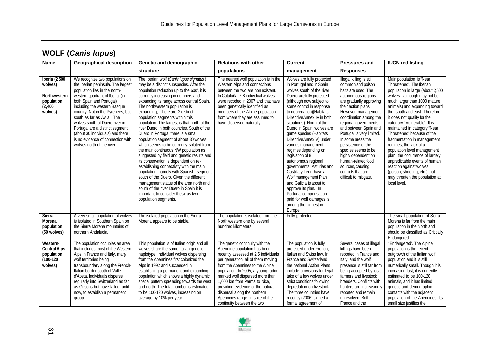| <b>Name</b>                                                                    | <b>Geographical description</b>                                                                                                                                                                                                                                                                                                                                                                                                                    | Genetic and demographic                                                                                                                                                                                                                                                                                                                                                                                                                                                                                                                                                                                                                                                                                                                                                                                                                                                                                                                                                    | <b>Relations with other</b>                                                                                                                                                                                                                                                                                                                                                                                                        | <b>Current</b>                                                                                                                                                                                                                                                                                                                                                                                                                                                                                                                                                                                                                                                        | <b>Pressures and</b>                                                                                                                                                                                                                                                                                                                                                                                                                                           | <b>IUCN red listing</b>                                                                                                                                                                                                                                                                                                                                                                                                                                                                                                                                                                                                          |
|--------------------------------------------------------------------------------|----------------------------------------------------------------------------------------------------------------------------------------------------------------------------------------------------------------------------------------------------------------------------------------------------------------------------------------------------------------------------------------------------------------------------------------------------|----------------------------------------------------------------------------------------------------------------------------------------------------------------------------------------------------------------------------------------------------------------------------------------------------------------------------------------------------------------------------------------------------------------------------------------------------------------------------------------------------------------------------------------------------------------------------------------------------------------------------------------------------------------------------------------------------------------------------------------------------------------------------------------------------------------------------------------------------------------------------------------------------------------------------------------------------------------------------|------------------------------------------------------------------------------------------------------------------------------------------------------------------------------------------------------------------------------------------------------------------------------------------------------------------------------------------------------------------------------------------------------------------------------------|-----------------------------------------------------------------------------------------------------------------------------------------------------------------------------------------------------------------------------------------------------------------------------------------------------------------------------------------------------------------------------------------------------------------------------------------------------------------------------------------------------------------------------------------------------------------------------------------------------------------------------------------------------------------------|----------------------------------------------------------------------------------------------------------------------------------------------------------------------------------------------------------------------------------------------------------------------------------------------------------------------------------------------------------------------------------------------------------------------------------------------------------------|----------------------------------------------------------------------------------------------------------------------------------------------------------------------------------------------------------------------------------------------------------------------------------------------------------------------------------------------------------------------------------------------------------------------------------------------------------------------------------------------------------------------------------------------------------------------------------------------------------------------------------|
|                                                                                |                                                                                                                                                                                                                                                                                                                                                                                                                                                    | structure                                                                                                                                                                                                                                                                                                                                                                                                                                                                                                                                                                                                                                                                                                                                                                                                                                                                                                                                                                  | populations                                                                                                                                                                                                                                                                                                                                                                                                                        | management                                                                                                                                                                                                                                                                                                                                                                                                                                                                                                                                                                                                                                                            | <b>Responses</b>                                                                                                                                                                                                                                                                                                                                                                                                                                               |                                                                                                                                                                                                                                                                                                                                                                                                                                                                                                                                                                                                                                  |
| Iberia (2,500<br>wolves)<br>Northwestern<br>population<br>(2, 400)<br>wolves)  | We recognize two populations on<br>the Iberian peninsula. The largest<br>population lies in the north-<br>western quadrant of Iberia (in<br>both Spain and Portugal)<br>including the western Basque<br>country. Not in the Pyrenees, but<br>south as far as Ávila. The<br>wolves south of Duero river in<br>Portugal are a distinct segment<br>(about 30 individuals) and there<br>is no evidence of connection with<br>wolves north of the river | The Iberian wolf (Canis lupus signatus)<br>may be a distinct subspecies. After the<br>population reduction up to the 60s', it is<br>currently increasing in numbers and<br>expanding its range across central Spain.<br>The northwestern population is<br>expanding, There are 2 distinct<br>population segments within this<br>population. The largest is that north of the<br>river Duero in both countries. South of the<br>Duero in Portugal there is a small<br>population segment of about 30 wolves<br>which seems to be currently isolated from<br>the main continuous NW population as<br>suggested by field and genetic results and<br>its conservation is dependent on re-<br>establishing connectivity with the main<br>population, namely with Spanish segment<br>south of the Duero. Given the different<br>management status of the area north and<br>south of the river Duero in Spain it is<br>important to consider these as two<br>population segments. | The nearest wolf population is in the<br>Western Alps and connections<br>between the two are non existent.<br>In Cataluña 7-8 individual wolves<br>were recoded in 2007 and that have<br>been genetically identified as<br>members of the Alpine population<br>from where they are assumed to<br>have dispersed naturally.                                                                                                         | Wolves are fully protected<br>in Portugal and in Spain<br>wolves south of the river<br>Duero are fully protected<br>(although now subject to<br>some control in response<br>to depredation) (Habitats<br>DirectiveAnnex IV in both<br>situations). North of the<br>Duero in Spain, wolves are<br>game species (Habitats<br>DirectiveAnnex V) under<br>various management<br>regimes depending on<br>legislation of 8<br>autonomous regional<br>governments. Asturias and<br>Castilla y León have a<br>Wolf management Plan<br>and Galicia is about to<br>approve its plan. In<br>Portugal compensation<br>paid for wolf damages is<br>among the highest in<br>Europe. | Illegal killing is still<br>common and poison<br>baits are used. The<br>autonomous regions<br>are gradually approving<br>their action plans.<br>However, management<br>coordination among the<br>regional governments<br>and between Spain and<br>Portugal is very limited.<br>In some areas the<br>persistence of the<br>species seems to be<br>highly dependent on<br>human-related food<br>sources, causing<br>conflicts that are<br>difficult to mitigate. | Main population is "Near<br>Threatened". The Iberian<br>population is large (about 2500<br>wolves, although may not be<br>much larger than 1000 mature<br>animals) and expanding toward<br>the south and east. Therefore,<br>it does not qualify for the<br>category "Vulnerable". It is<br>maintained in category "Near<br>Threatened" because of the<br>fragmentation in management<br>regimes, the lack of a<br>population level management<br>plan, the occurrence of largely<br>unpredictable events of human<br>reaction against wolves<br>(poison, shooting, etc.) that<br>may threaten the population at<br>local level. |
| Sierra<br>Morena<br>population<br>(50 wolves)                                  | A very small population of wolves<br>is isolated in Southern Spain on<br>the Sierra Morena mountains of<br>northern Andalucía.                                                                                                                                                                                                                                                                                                                     | The isolated population in the Sierra<br>Morena appears to be stable.                                                                                                                                                                                                                                                                                                                                                                                                                                                                                                                                                                                                                                                                                                                                                                                                                                                                                                      | The population is isolated from the<br>North-western one by several<br>hundred kilometers.                                                                                                                                                                                                                                                                                                                                         | Fully protected.                                                                                                                                                                                                                                                                                                                                                                                                                                                                                                                                                                                                                                                      |                                                                                                                                                                                                                                                                                                                                                                                                                                                                | The small population of Sierra<br>Morena is far from the main<br>population in the North and<br>should be classified as Critically<br>Endangered.                                                                                                                                                                                                                                                                                                                                                                                                                                                                                |
| <b>Western-</b><br><b>Central Alps</b><br>population<br>$(100-120)$<br>wolves) | The population occupies an area<br>that includes most of the Western<br>Alps in France and Italy, many<br>wolf territories being<br>transboundary along the French-<br>Italian border south of Valle<br>d'Aosta. Individuals disperse<br>regularly into Switzerland as far<br>as Grisons but have failed, until<br>now, to establish a permanent<br>group.                                                                                         | This population is of Italian origin and all<br>wolves share the same Italian genetic<br>haplotype. Individual wolves dispersing<br>from the Apennines first colonized the<br>Alps in 1992 and succeeded in<br>establishing a permanent and expanding<br>population which shows a highly dynamic<br>spatial pattern spreading towards the west<br>and north. The total number is estimated<br>to be 100-120 wolves, increasing on<br>average by 10% per year.                                                                                                                                                                                                                                                                                                                                                                                                                                                                                                              | The genetic continuity with the<br>Apennine population has been<br>recently assessed at 2.5 individuals<br>per generation, all of them moving<br>from the Apennines to the Alpine<br>population. In 2005, a young radio-<br>marked wolf dispersed more than<br>1,000 km from Parma to Nice,<br>providing evidence of the natural<br>dispersal along the northern<br>Apennines range. In spite of the<br>continuity between the two | The population is fully<br>protected under French.<br>Italian and Swiss law. In<br>France and Switzerland<br>the national Action Plans<br>include provisions for legal<br>take of a few wolves under<br>strict conditions following<br>depredation on livestock.<br>The three countries have<br>recently (2006) signed a<br>formal agreement of                                                                                                                                                                                                                                                                                                                       | Several cases of illegal<br>killings have been<br>reported in France and<br>Italy, and the wolf<br>presence is still far from<br>being accepted by local<br>farmers and livestock<br>breeders. Conflicts with<br>hunters are increasingly<br>reported and remain<br>unresolved. Both<br>France and the                                                                                                                                                         | "Endangered". The Alpine<br>population is the recent<br>outgrowth of the Italian wolf<br>population and it is still<br>numerically small. Though it is<br>increasing fast, it is currently<br>estimated to be 100-120<br>animals, and it has limited<br>genetic and demographic<br>contacts with the adjacent<br>population of the Apennines. Its<br>small size justifies the                                                                                                                                                                                                                                                    |

 $\overline{\phantom{a}}$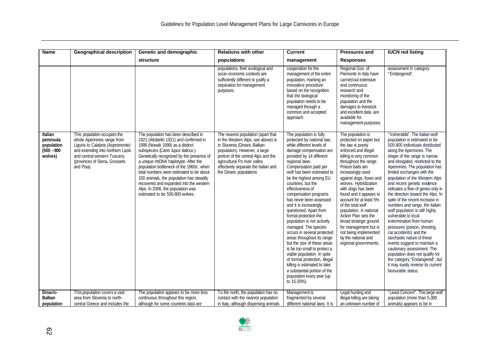| <b>Name</b>                                                           | <b>Geographical description</b>                                                                                                                                                                                   | Genetic and demographic                                                                                                                                                                                                                                                                                                                                                                                                                                                                             | <b>Relations with other</b>                                                                                                                                                                                                                                                        | <b>Current</b>                                                                                                                                                                                                                                                                                                                                                                                                                                                                                                                                                                                                                                                                                                                                                                          | <b>Pressures and</b>                                                                                                                                                                                                                                                                                                                                                                                                                                                                                                    | <b>IUCN red listing</b>                                                                                                                                                                                                                                                                                                                                                                                                                                                                                                                                                                                                                                                                                                                                                                                                                                       |
|-----------------------------------------------------------------------|-------------------------------------------------------------------------------------------------------------------------------------------------------------------------------------------------------------------|-----------------------------------------------------------------------------------------------------------------------------------------------------------------------------------------------------------------------------------------------------------------------------------------------------------------------------------------------------------------------------------------------------------------------------------------------------------------------------------------------------|------------------------------------------------------------------------------------------------------------------------------------------------------------------------------------------------------------------------------------------------------------------------------------|-----------------------------------------------------------------------------------------------------------------------------------------------------------------------------------------------------------------------------------------------------------------------------------------------------------------------------------------------------------------------------------------------------------------------------------------------------------------------------------------------------------------------------------------------------------------------------------------------------------------------------------------------------------------------------------------------------------------------------------------------------------------------------------------|-------------------------------------------------------------------------------------------------------------------------------------------------------------------------------------------------------------------------------------------------------------------------------------------------------------------------------------------------------------------------------------------------------------------------------------------------------------------------------------------------------------------------|---------------------------------------------------------------------------------------------------------------------------------------------------------------------------------------------------------------------------------------------------------------------------------------------------------------------------------------------------------------------------------------------------------------------------------------------------------------------------------------------------------------------------------------------------------------------------------------------------------------------------------------------------------------------------------------------------------------------------------------------------------------------------------------------------------------------------------------------------------------|
|                                                                       |                                                                                                                                                                                                                   | <b>structure</b>                                                                                                                                                                                                                                                                                                                                                                                                                                                                                    | populations                                                                                                                                                                                                                                                                        | management                                                                                                                                                                                                                                                                                                                                                                                                                                                                                                                                                                                                                                                                                                                                                                              | <b>Responses</b>                                                                                                                                                                                                                                                                                                                                                                                                                                                                                                        |                                                                                                                                                                                                                                                                                                                                                                                                                                                                                                                                                                                                                                                                                                                                                                                                                                                               |
|                                                                       |                                                                                                                                                                                                                   |                                                                                                                                                                                                                                                                                                                                                                                                                                                                                                     | populations, their ecological and<br>socio-economic contexts are<br>sufficiently different to justify a<br>separation for management<br>purposes.                                                                                                                                  | cooperation for the<br>management of the entire<br>population, marking an<br>innovative procedure<br>based on the recognition<br>that the biological<br>population needs to be<br>managed through a<br>common and accepted<br>approach.                                                                                                                                                                                                                                                                                                                                                                                                                                                                                                                                                 | Regional Gov. of<br>Piemonte in Italy have<br>carried out extensive<br>and continuous<br>research and<br>monitoring of the<br>population and the<br>damages to livestock<br>and excellent data are<br>available for<br>management purposes.                                                                                                                                                                                                                                                                             | assessment in category<br>"Endangered".                                                                                                                                                                                                                                                                                                                                                                                                                                                                                                                                                                                                                                                                                                                                                                                                                       |
| <b>Italian</b><br>peninsula<br>population<br>$(500 - 800)$<br>wolves) | This population occupies the<br>whole Apennines range from<br>Liguria to Calabria (Aspromonte)<br>and extending into northern Lazio<br>and central western Tuscany<br>(provinces of Siena, Grosseto<br>and Pisa). | The population has been described in<br>1921 (Altobello 1921) and confirmed in<br>1999 (Nowak 1999) as a distinct<br>subspecies (Canis lupus italicus).<br>Genetically recognized by the presence of<br>a unique mtDNA haplotype. After the<br>population bottleneck of the 1960s', when<br>total numbers were estimated to be about<br>100 animals, the population has steadily<br>recovered and expanded into the western<br>Alps. In 2006, the population was<br>estimated to be 500-800 wolves. | The nearest population (apart that<br>in the Western Alps, see above) is<br>in Slovenia (Dinaric-Balkan<br>population). However, a large<br>portion of the central Alps and the<br>agricultural Po river valley<br>effectively separate the Italian and<br>the Dinaric populations | The population is fully<br>protected by national law,<br>while different levels of<br>damage compensation are<br>provided by 14 different<br>regional laws.<br>Compensation paid per<br>wolf has been estimated to<br>be the highest among EU<br>countries, but the<br>effectiveness of<br>compensation programs<br>has never been assessed<br>and it is increasingly<br>questioned. Apart from<br>formal protection the<br>population is not actively<br>managed. The species<br>occurs in several protected<br>areas throughout its range<br>but the size of these areas<br>is far too small to protect a<br>viable population. In spite<br>of formal protection, illegal<br>killing is estimated to take<br>a substantial portion of the<br>population every year (up<br>to 15-20%). | The population is<br>protected on paper but<br>the law is poorly<br>enforced and illegal<br>killing is very common<br>throughout the range.<br>Poison baits are<br>increasingly used<br>against dogs, foxes and<br>wolves. Hybridization<br>with dogs has been<br>found and it appears to<br>account for at least 5%<br>of the total wolf<br>population. A national<br>Action Plan sets the<br>broad strategic ground<br>for management but is<br>not being implemented<br>by the national and<br>regional governments. | "Vulnerable". The Italian wolf<br>population is estimated to be<br>500-800 individuals distributed<br>along the Apennines. The<br>shape of the range is narrow<br>and elongated, restricted to the<br>Apennines. The population has<br>limited exchanges with the<br>population of the Western Alps<br>and recent genetic evidence<br>indicates a flow of genes only in<br>the direction toward the Alps. In<br>spite of the recent increase in<br>numbers and range, the Italian<br>wolf population is still highly<br>vulnerable to local<br>extermination from human<br>pressures (poison, shooting,<br>car accidents) and the<br>stochastic nature of these<br>events suggest to maintain a<br>cautionary assessment. The<br>population does not qualify for<br>the category "Endangered", but<br>it may easily reverse its current<br>favourable status. |
| Dinaric-<br><b>Balkan</b><br>population                               | This population covers a vast<br>area from Slovenia to north-<br>central Greece and includes the                                                                                                                  | The population appears to be more less<br>continuous throughout this region,<br>although for some countries data are                                                                                                                                                                                                                                                                                                                                                                                | To the north, the population has no<br>contact with the nearest population<br>in Italy, although dispersing animals                                                                                                                                                                | Management is<br>fragmented by several<br>different national laws. It is                                                                                                                                                                                                                                                                                                                                                                                                                                                                                                                                                                                                                                                                                                                | Legal hunting and<br>illegal killing are taking<br>an unknown number of                                                                                                                                                                                                                                                                                                                                                                                                                                                 | "Least Concern". This large wolf<br>population (more than 5,000<br>animals) appears to be in                                                                                                                                                                                                                                                                                                                                                                                                                                                                                                                                                                                                                                                                                                                                                                  |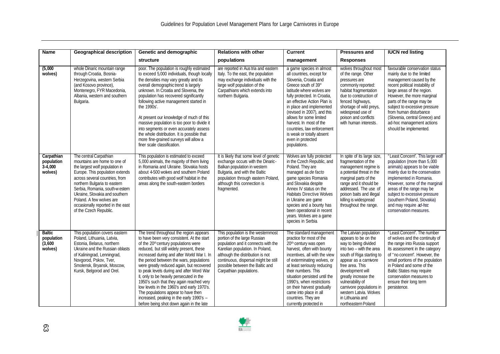| <b>Name</b>                                       | <b>Geographical description</b>                                                                                                                                                                                                                                                                                                                              | Genetic and demographic                                                                                                                                                                                                                                                                                                                                                                                                                                                                                                                                                                                                                       | <b>Relations with other</b>                                                                                                                                                                                                                                                            | <b>Current</b>                                                                                                                                                                                                                                                                                                                                                                                                      | <b>Pressures and</b>                                                                                                                                                                                                                                                                                                                         | <b>IUCN red listing</b>                                                                                                                                                                                                                                                                                                                                                 |
|---------------------------------------------------|--------------------------------------------------------------------------------------------------------------------------------------------------------------------------------------------------------------------------------------------------------------------------------------------------------------------------------------------------------------|-----------------------------------------------------------------------------------------------------------------------------------------------------------------------------------------------------------------------------------------------------------------------------------------------------------------------------------------------------------------------------------------------------------------------------------------------------------------------------------------------------------------------------------------------------------------------------------------------------------------------------------------------|----------------------------------------------------------------------------------------------------------------------------------------------------------------------------------------------------------------------------------------------------------------------------------------|---------------------------------------------------------------------------------------------------------------------------------------------------------------------------------------------------------------------------------------------------------------------------------------------------------------------------------------------------------------------------------------------------------------------|----------------------------------------------------------------------------------------------------------------------------------------------------------------------------------------------------------------------------------------------------------------------------------------------------------------------------------------------|-------------------------------------------------------------------------------------------------------------------------------------------------------------------------------------------------------------------------------------------------------------------------------------------------------------------------------------------------------------------------|
|                                                   |                                                                                                                                                                                                                                                                                                                                                              | structure                                                                                                                                                                                                                                                                                                                                                                                                                                                                                                                                                                                                                                     | populations                                                                                                                                                                                                                                                                            | management                                                                                                                                                                                                                                                                                                                                                                                                          | <b>Responses</b>                                                                                                                                                                                                                                                                                                                             |                                                                                                                                                                                                                                                                                                                                                                         |
| (5,000)<br>wolves)                                | whole Dinaric mountain range<br>through Croatia, Bosnia-<br>Herzegovina, western Serbia<br>(and Kosovo province),<br>Montenegro, FYR Macedonia,<br>Albania, western and southern<br>Bulgaria.                                                                                                                                                                | poor. The population is roughly estimated<br>to exceed 5,000 individuals, though locally<br>the densities may vary greatly and its<br>overall demographic trend is largely<br>unknown. In Croatia and Slovenia, the<br>population has recovered significantly<br>following active management started in<br>the 1990s'.<br>At present our knowledge of much of this<br>massive population is too poor to divide it<br>into segments or even accurately assess<br>the whole distribution. It is possible that<br>more fine-grained surveys will allow a<br>finer scale classification.                                                          | are reported in Aus tria and eastern<br>Italy. To the east, the population<br>may exchange individuals with the<br>large wolf population of the<br>Carpathians which extends into<br>northern Bulgaria.                                                                                | a game species in almost<br>all countries, except for<br>Slovenia, Croatia and<br>Greece south of 39°<br>latitude where wolves are<br>fully protected. In Croatia,<br>an effective Action Plan is<br>in place and implemented<br>(revised in 2007), and this<br>allows for some limited<br>harvest. In most of the<br>countries, law enforcement<br>is weak or totally absent<br>even in protected<br>populations.  | wolves throughout most<br>of the range. Other<br>pressures are<br>commonly reported:<br>habitat fragmentation<br>due to construction of<br>fenced highways,<br>shortage of wild preys,<br>widespread use of<br>poison and conflicts<br>with human interests.                                                                                 | favourable conservation status<br>mainly due to the limited<br>management caused by the<br>recent political instability of<br>large areas of the region.<br>However, the more marginal<br>parts of the range may be<br>subject to excessive pressure<br>from human disturbance<br>(Slovenia, central Greece) and<br>ad-hoc management actions<br>should be implemented. |
| Carpathian<br>population<br>$3-4,000$<br>wolves)  | The central Carpathian<br>mountains are home to one of<br>the largest wolf population in<br>Europe. This population extends<br>across several countries, from<br>northern Bulgaria to eastern<br>Serbia, Romania, south-western<br>Ukraine, Slovakia and southern<br>Poland. A few wolves are<br>occasionally reported in the east<br>of the Czech Republic. | This population is estimated to exceed<br>5,000 animals, the majority of them living<br>in Romania and Ukraine. Slovakia hosts<br>about 4-500 wolves and southern Poland<br>contributes with good wolf habitat in the<br>areas along the south-eastern borders                                                                                                                                                                                                                                                                                                                                                                                | It is likely that some level of genetic<br>exchange occurs with the Dinaric-<br>Balkan population in western<br>Bulgaria, and with the Baltic<br>population through eastern Poland,<br>although this connection is<br>fragmented.                                                      | Wolves are fully protected<br>in the Czech Republic, and<br>Poland. They are<br>managed as de facto<br>game species Romania<br>and Slovakia despite<br>Annex IV status on the<br><b>Habitats Directive Wolves</b><br>in Ukraine are game<br>species and a bounty has<br>been operational in recent<br>years. Wolves are a game<br>species in Serbia.                                                                | In spite of its large size,<br>fragmentation of the<br>management regime is<br>a potential threat in the<br>marginal parts of the<br>range and it should be<br>addressed. The use of<br>poison baits and illegal<br>killing is widespread<br>throughout the range.                                                                           | "Least Concern". This large wolf<br>population (more than 5,000<br>animals) appears to be viable<br>mainly due to the conservation<br>implemented in Romania.<br>However, some of the marginal<br>areas of the range may be<br>subject to excessive pressure<br>(southern Poland, Slovakia)<br>and may require ad-hoc<br>conservation measures.                         |
| <b>Baltic</b><br>population<br>(3,600)<br>wolves) | This population covers eastern<br>Poland, Lithuania, Latvia,<br>Estonia, Belarus, northern<br>Ukraine and the Russian oblasts<br>of Kaliningrad, Lenningrad,<br>Novgorod, Pskov, Tver,<br>Smolensk, Bryansk, Moscow,<br>Kursk, Belgorod and Orel.                                                                                                            | The trend throughout the region appears<br>to have been very consistent. At the start<br>of the 20 <sup>th</sup> century populations were<br>reduced, but still widely present, these<br>increased during and after World War I. In<br>the period between the wars, populations<br>were greatly reduced again, but recovered<br>to peak levels during and after Word War<br>II, only to be heavily persecuted in the<br>1950's such that they again reached very<br>low levels in the 1960's and early 1970's.<br>The populations appear to have then<br>increased, peaking in the early 1990's -<br>before being shot down again in the late | This population is the westernmost<br>portion of the large Russian<br>population and it connects with the<br>Karelian population. In Poland,<br>although the distribution is not<br>continuous, dispersal might be still<br>possible between the Baltic and<br>Carpathian populations. | The standard management<br>practice for most of the<br>20 <sup>th</sup> century was open<br>harvest, often with bounty<br>incentives, all with the view<br>of exterminating wolves, or<br>at least seriously reducing<br>their numbers. This<br>situation persisted until the<br>1990's, when restrictions<br>on their harvest gradually<br>came into place in all<br>countries. They are<br>currently protected in | The Latvian population<br>appears to be on the<br>way to being divided<br>into two - with the area<br>south of Riga starting to<br>appear as a carnivore<br>free area. This<br>development will<br>greatly increase the<br>vulnerability of<br>carnivore populations in<br>western Latvia. Wolves<br>in Lithuania and<br>northeastern Poland | "Least Concern". The number<br>of wolves and the continuity of<br>the range into Russia support<br>its assessment in the category<br>of "no concern". However, the<br>small portions of the population<br>in Poland and some of the<br><b>Baltic States may require</b><br>conservation measures to<br>ensure their long term<br>persistence.                           |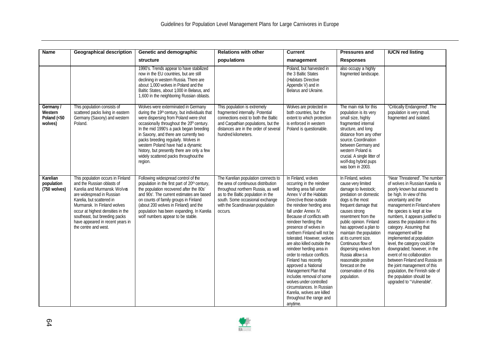| <b>Name</b>                                    | <b>Geographical description</b>                                                                                                                                                                                                                                                                                            | Genetic and demographic                                                                                                                                                                                                                                                                                                                                                                                                                                   | <b>Relations with other</b>                                                                                                                                                                                                               | <b>Current</b>                                                                                                                                                                                                                                                                                                                                                                                                                                                                                                                                                                                                                                              | <b>Pressures and</b>                                                                                                                                                                                                                                                                                                                                                                                                                      | <b>IUCN red listing</b>                                                                                                                                                                                                                                                                                                                                                                                                                                                                                                                                                                                                     |
|------------------------------------------------|----------------------------------------------------------------------------------------------------------------------------------------------------------------------------------------------------------------------------------------------------------------------------------------------------------------------------|-----------------------------------------------------------------------------------------------------------------------------------------------------------------------------------------------------------------------------------------------------------------------------------------------------------------------------------------------------------------------------------------------------------------------------------------------------------|-------------------------------------------------------------------------------------------------------------------------------------------------------------------------------------------------------------------------------------------|-------------------------------------------------------------------------------------------------------------------------------------------------------------------------------------------------------------------------------------------------------------------------------------------------------------------------------------------------------------------------------------------------------------------------------------------------------------------------------------------------------------------------------------------------------------------------------------------------------------------------------------------------------------|-------------------------------------------------------------------------------------------------------------------------------------------------------------------------------------------------------------------------------------------------------------------------------------------------------------------------------------------------------------------------------------------------------------------------------------------|-----------------------------------------------------------------------------------------------------------------------------------------------------------------------------------------------------------------------------------------------------------------------------------------------------------------------------------------------------------------------------------------------------------------------------------------------------------------------------------------------------------------------------------------------------------------------------------------------------------------------------|
|                                                |                                                                                                                                                                                                                                                                                                                            | structure                                                                                                                                                                                                                                                                                                                                                                                                                                                 | populations                                                                                                                                                                                                                               | management                                                                                                                                                                                                                                                                                                                                                                                                                                                                                                                                                                                                                                                  | <b>Responses</b>                                                                                                                                                                                                                                                                                                                                                                                                                          |                                                                                                                                                                                                                                                                                                                                                                                                                                                                                                                                                                                                                             |
|                                                |                                                                                                                                                                                                                                                                                                                            | 1990's. Trends appear to have stabilized<br>now in the EU countries, but are still<br>declining in western Russia. There are<br>about 1,000 wolves in Poland and the<br>Baltic States, about 1,000 in Belarus, and<br>1,600 in the neighboring Russian oblasts.                                                                                                                                                                                           |                                                                                                                                                                                                                                           | Poland, but harvested in<br>the 3 Baltic States<br>(Habitats Directive<br>Appendix V) and in<br>Belarus and Ukraine.                                                                                                                                                                                                                                                                                                                                                                                                                                                                                                                                        | also occupy a highly<br>fragmented landscape.                                                                                                                                                                                                                                                                                                                                                                                             |                                                                                                                                                                                                                                                                                                                                                                                                                                                                                                                                                                                                                             |
| Germany /<br>Western<br>Poland (<50<br>wolves) | This population consists of<br>scattered packs living in eastern<br>Germany (Saxony) and western<br>Poland.                                                                                                                                                                                                                | Wolves were exterminated in Germany<br>during the 19th century, but individuals that<br>were dispersing from Poland were shot<br>occasionally throughout the 20 <sup>h</sup> century.<br>In the mid 1990's a pack began breeding<br>in Saxony, and there are currently two<br>packs breeding regularly. Wolves in<br>western Poland have had a dynamic<br>history, but presently there are only a few<br>widely scattered packs throughout the<br>region. | This population is extremely<br>fragmented internally. Potential<br>connections exist to both the Baltic<br>and Carpathian populations, but the<br>distances are in the order of several<br>hundred kilometers.                           | Wolves are protected in<br>both countries, but the<br>extent to which protection<br>is enforced in western<br>Poland is questionable.                                                                                                                                                                                                                                                                                                                                                                                                                                                                                                                       | The main risk for this<br>population is its very<br>small size, highly<br>fragmented internal<br>structure, and long<br>distance from any other<br>source. Coordination<br>between Germany and<br>western Poland is<br>crucial. A single litter of<br>wolf-dog hybrid pups<br>was born in 2003.                                                                                                                                           | "Critically Endangered". The<br>population is very small,<br>fragmented and isolated.                                                                                                                                                                                                                                                                                                                                                                                                                                                                                                                                       |
| Karelian<br>population<br>(750 wolves)         | This population occurs in Finland<br>and the Russian oblasts of<br>Karelia and Murmansk. Wolves<br>are widespread in Russian<br>Karelia, but scattered in<br>Murmansk. In Finland wolves<br>occur at highest densities in the<br>southeast, but breeding packs<br>have appeared in recent years in<br>the centre and west. | Following widespread control of the<br>population in the first part of 20 <sup>th</sup> century,<br>the population recovered after the 80s'<br>and 90s'. The current estimates are based<br>on counts of family groups in Finland<br>(about 200 wolves in Finland) and the<br>population has been expanding. In Karelia<br>wolf numbers appear to be stable.                                                                                              | The Karelian population connects to<br>the area of continuous distribution<br>throughout northern Russia, as well<br>as to the Baltic population in the<br>south. Some occasional exchange<br>with the Scandinavian population<br>occurs. | In Finland, wolves<br>occurring in the reindeer<br>herding area fall under<br>Annex V of the Habitats<br>Directive those outside<br>the reindeer herding area<br>fall under Annex IV.<br>Because of conflicts with<br>reindeer herding the<br>presence of wolves in<br>northern Finland will not be<br>tolerated. However, wolves<br>are also killed outside the<br>reindeer herding area in<br>order to reduce conflicts.<br>Finland has recently<br>approved a National<br>Management Plan that<br>includes removal of some<br>wolves under controlled<br>circumstances. In Russian<br>Karelia, wolves are killed<br>throughout the range and<br>anytime. | In Finland, wolves<br>cause very limited<br>damage to livestock;<br>predation on domestic<br>dogs is the most<br>frequent damage that<br>causes strong<br>resentment from the<br>public opinion. Finland<br>has approved a plan to<br>maintain the population<br>at its current size.<br>Continuous flow of<br>dispersing wolves from<br>Russia allows a<br>reasonable positive<br>forecast on the<br>conservation of this<br>population. | "Near Threatened". The number<br>of wolves in Russian Karelia is<br>poorly known but assumed to<br>be high. In view of this<br>uncertainty and the<br>management in Finland where<br>the species is kept at low<br>numbers, it appears justified to<br>assess the population in this<br>category. Assuming that<br>management will be<br>implemented at population<br>level, the category could be<br>downgraded; however, in the<br>event of no collaboration<br>between Finland and Russia on<br>the joint management of this<br>population, the Finnish side of<br>the population should be<br>upgraded to "Vulnerable". |

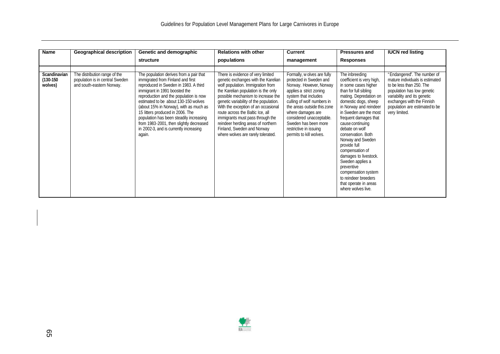| Name                                   | <b>Geographical description</b>                                                               | Genetic and demographic                                                                                                                                                                                                                                                                                                                                                                                                                                          | <b>Relations with other</b>                                                                                                                                                                                                                                                                                                                                                                                                                                   | Current                                                                                                                                                                                                                                                                                                                         | <b>Pressures and</b>                                                                                                                                                                                                                                                                                                                                                                                                                                                                                     | <b>IUCN red listing</b>                                                                                                                                                                                                                  |
|----------------------------------------|-----------------------------------------------------------------------------------------------|------------------------------------------------------------------------------------------------------------------------------------------------------------------------------------------------------------------------------------------------------------------------------------------------------------------------------------------------------------------------------------------------------------------------------------------------------------------|---------------------------------------------------------------------------------------------------------------------------------------------------------------------------------------------------------------------------------------------------------------------------------------------------------------------------------------------------------------------------------------------------------------------------------------------------------------|---------------------------------------------------------------------------------------------------------------------------------------------------------------------------------------------------------------------------------------------------------------------------------------------------------------------------------|----------------------------------------------------------------------------------------------------------------------------------------------------------------------------------------------------------------------------------------------------------------------------------------------------------------------------------------------------------------------------------------------------------------------------------------------------------------------------------------------------------|------------------------------------------------------------------------------------------------------------------------------------------------------------------------------------------------------------------------------------------|
|                                        |                                                                                               | structure                                                                                                                                                                                                                                                                                                                                                                                                                                                        | populations                                                                                                                                                                                                                                                                                                                                                                                                                                                   | management                                                                                                                                                                                                                                                                                                                      | <b>Responses</b>                                                                                                                                                                                                                                                                                                                                                                                                                                                                                         |                                                                                                                                                                                                                                          |
| Scandinavian<br>$(130-150)$<br>wolves) | The distribution range of the<br>population is in central Sweden<br>and south-eastern Norway. | The population derives from a pair that<br>immigrated from Finland and first<br>reproduced in Sweden in 1983. A third<br>immigrant in 1991 boosted the<br>reproduction and the population is now<br>estimated to be about 130-150 wolves<br>(about 15% in Norway), with as much as<br>15 litters produced in 2006. The<br>population has been steadily increasing<br>from 1983-2001, then slightly decreased<br>in 2002-3, and is currently increasing<br>again. | There is evidence of very limited<br>genetic exchanges with the Karelian<br>wolf population. Immigration from<br>the Karelian population is the only<br>possible mechanism to increase the<br>genetic variability of the population.<br>With the exception of an occasional<br>route across the Baltic Ice, all<br>immigrants must pass through the<br>reindeer herding areas of northern<br>Finland, Sweden and Norway<br>where wolves are rarely tolerated. | Formally, w olves are fully<br>protected in Sweden and<br>Norway. However, Norway<br>applies a strict zoning<br>system that includes<br>culling of wolf numbers in<br>the areas outside this zone<br>where damages are<br>considered unacceptable.<br>Sweden has been more<br>restrictive in issuing<br>permits to kill wolves. | The inbreeding<br>coefficient is very high,<br>in some cases higher<br>than for full sibling<br>mating. Depredation on<br>domestic dogs, sheep<br>in Norway and reindeer<br>in Sweden are the most<br>frequent damages that<br>cause continuing<br>debate on wolf<br>conservation. Both<br>Norway and Sweden<br>provide full<br>compensation of<br>damages to livestock.<br>Sweden applies a<br>preventive<br>compensation system<br>to reindeer breeders<br>that operate in areas<br>where wolves live. | "Endangered". The number of<br>mature individuals is estimated<br>to be less than 250. The<br>population has low genetic<br>variability and its genetic<br>exchanges with the Finnish<br>population are estimated to be<br>very limited. |

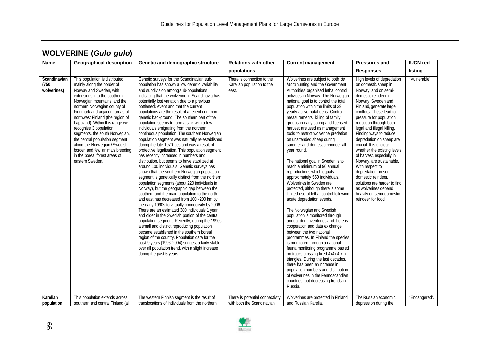| Name                                             | <b>Geographical description</b>                                                                                                                                                                                                                                                                                                                                                                                                                                                                                                                           | Genetic and demographic structure                                                                                                                                                                                                                                                                                                                                                                                                                                                                                                                                                                                                                                                                                                                                                                                                                                                                                                                                                                                                                                                                                                                                                                                                                                                                                                                                                                                                                                                                                                                                                                                                                                                | <b>Relations with other</b>                                                                          | <b>Current management</b>                                                                                                                                                                                                                                                                                                                                                                                                                                                                                                                                                                                                                                                                                                                                                                                                                                                                                                                                                                                                                                                                                                                                                                                                                                                                                                                                          | <b>Pressures and</b>                                                                                                                                                                                                                                                                                                                                                                                                                                                                                                                                                                                                                          | <b>IUCN red</b>                |
|--------------------------------------------------|-----------------------------------------------------------------------------------------------------------------------------------------------------------------------------------------------------------------------------------------------------------------------------------------------------------------------------------------------------------------------------------------------------------------------------------------------------------------------------------------------------------------------------------------------------------|----------------------------------------------------------------------------------------------------------------------------------------------------------------------------------------------------------------------------------------------------------------------------------------------------------------------------------------------------------------------------------------------------------------------------------------------------------------------------------------------------------------------------------------------------------------------------------------------------------------------------------------------------------------------------------------------------------------------------------------------------------------------------------------------------------------------------------------------------------------------------------------------------------------------------------------------------------------------------------------------------------------------------------------------------------------------------------------------------------------------------------------------------------------------------------------------------------------------------------------------------------------------------------------------------------------------------------------------------------------------------------------------------------------------------------------------------------------------------------------------------------------------------------------------------------------------------------------------------------------------------------------------------------------------------------|------------------------------------------------------------------------------------------------------|--------------------------------------------------------------------------------------------------------------------------------------------------------------------------------------------------------------------------------------------------------------------------------------------------------------------------------------------------------------------------------------------------------------------------------------------------------------------------------------------------------------------------------------------------------------------------------------------------------------------------------------------------------------------------------------------------------------------------------------------------------------------------------------------------------------------------------------------------------------------------------------------------------------------------------------------------------------------------------------------------------------------------------------------------------------------------------------------------------------------------------------------------------------------------------------------------------------------------------------------------------------------------------------------------------------------------------------------------------------------|-----------------------------------------------------------------------------------------------------------------------------------------------------------------------------------------------------------------------------------------------------------------------------------------------------------------------------------------------------------------------------------------------------------------------------------------------------------------------------------------------------------------------------------------------------------------------------------------------------------------------------------------------|--------------------------------|
|                                                  |                                                                                                                                                                                                                                                                                                                                                                                                                                                                                                                                                           |                                                                                                                                                                                                                                                                                                                                                                                                                                                                                                                                                                                                                                                                                                                                                                                                                                                                                                                                                                                                                                                                                                                                                                                                                                                                                                                                                                                                                                                                                                                                                                                                                                                                                  | populations                                                                                          |                                                                                                                                                                                                                                                                                                                                                                                                                                                                                                                                                                                                                                                                                                                                                                                                                                                                                                                                                                                                                                                                                                                                                                                                                                                                                                                                                                    | <b>Responses</b>                                                                                                                                                                                                                                                                                                                                                                                                                                                                                                                                                                                                                              | listing                        |
| Scandinavian<br>(750)<br>wolverines)<br>Karelian | This population is distributed<br>mainly along the border of<br>Norway and Sweden, with<br>extensions into the southern<br>Norwegian mountains, and the<br>northern Norwegian county of<br>Finnmark and adjacent areas of<br>northwest Finland (the region of<br>Lappland). Within this range we<br>recognise 3 population<br>segments, the south Norwegian,<br>the central population segment<br>along the Norwegian / Swedish<br>border, and few animals breeding<br>in the boreal forest areas of<br>eastern Sweden.<br>This population extends across | Genetic surveys for the Scandinavian sub-<br>population has shown a low genetic variability<br>and subdivision among sub-populations<br>indicating that the wolverine in Scandinavia has<br>potentially lost variation due to a previous<br>bottleneck event and that the current<br>populations are the result of a recent common<br>genetic background. The southern part of the<br>population seems to form a sink with a few<br>individuals emigrating from the northern<br>continuous population. The southern Norwegian<br>population segment was naturally re-established<br>during the late 1970-ties and was a result of<br>protective legalisation. This population segment<br>has recently increased in numbers and<br>distribution, but seems to have stabilized at<br>around 100 individuals. Genetic surveys has<br>shown that the southern Norwegian population<br>segment is genetically distinct from the northern<br>population segments (about 220 individuals in<br>Norway), but the geographic gap between the<br>southern and the main population to the north<br>and east has decreased from 100 -200 km by<br>the early 1990s to virtually connectivity by 2006.<br>There are an estimated 380 individuals 1 year<br>and older in the Swedish portion of the central<br>population segment. Recently, during the 1990s<br>a small and distinct reproducing population<br>became established in the southern boreal<br>region of the country. Population data for the<br>past 9 years (1996-2004) suggest a fairly stable<br>over all population trend, with a slight increase<br>during the past 5 years<br>The western Finnish segment is the result of | There is connection to the<br>Karelian population to the<br>east.<br>There is potential connectivity | Wolverines are subject to both de<br>factohunting and the Government<br>Authorities organised lethal control<br>activities in Norway. The Norwegian<br>national goal is to control the total<br>population within the limits of 39<br>yearly active natal dens. Control<br>measurements, killing of family<br>groups in early spring and licensed<br>harvest are used as management<br>tools to restrict wolverine predation<br>on unattended sheep during<br>summer and domestic reindeer all<br>year round.<br>The national goal in Sweden is to<br>reach a minimum of 90 annual<br>reproductions which equals<br>approximately 550 individuals.<br>Wolverines in Sweden are<br>protected, although there is some<br>limited use of lethal control following<br>acute depredation events.<br>The Norwegian and Swedish<br>population is monitored through<br>annual den inventories and there is<br>cooperation and data ex change<br>between the two national<br>programmes. In Finland the species<br>is monitored through a national<br>fauna monitoring programme bas ed<br>on tracks crossing fixed 4x4x 4 km<br>triangles. During the last decades,<br>there has been an increase in<br>population numbers and distribution<br>of wolverines in the Fennoscandian<br>countries, but decreasing trends in<br>Russia.<br>Wolverines are protected in Finland | High levels of depredation<br>on domestic sheep in<br>Norway, and on semi-<br>domestic reindeer in<br>Norway, Sweden and<br>Finland, generate large<br>conflicts. These lead to<br>pressure for population<br>reduction through both<br>legal and illegal killing.<br>Finding ways to reduce<br>depredation on sheep are<br>crucial. It is unclear<br>whether the existing levels<br>of harvest, especially in<br>Norway, are sustainable.<br>With respect to<br>depredation on semi-<br>domestic reindeer,<br>solutions are harder to find<br>as wolverines depend<br>heavily on semi-domestic<br>reindeer for food.<br>The Russian economic | "Vulnerable".<br>"Endangered". |
| population                                       | southern and central Finland (all                                                                                                                                                                                                                                                                                                                                                                                                                                                                                                                         | translocations of individuals from the northern                                                                                                                                                                                                                                                                                                                                                                                                                                                                                                                                                                                                                                                                                                                                                                                                                                                                                                                                                                                                                                                                                                                                                                                                                                                                                                                                                                                                                                                                                                                                                                                                                                  | with both the Scandinavian                                                                           | and Russian Karelia.                                                                                                                                                                                                                                                                                                                                                                                                                                                                                                                                                                                                                                                                                                                                                                                                                                                                                                                                                                                                                                                                                                                                                                                                                                                                                                                                               | depression during the                                                                                                                                                                                                                                                                                                                                                                                                                                                                                                                                                                                                                         |                                |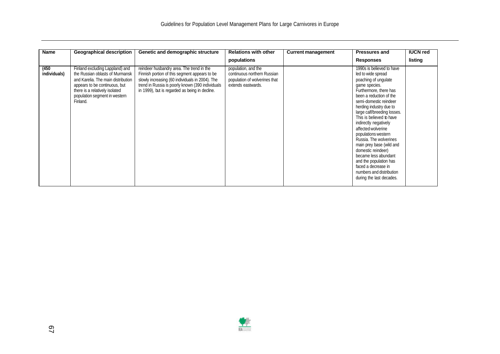| Name                  | <b>Geographical description</b>                                                                                                                                                                                          | Genetic and demographic structure                                                                                                                                                                                                                   | <b>Relations with other</b>                                                                               | <b>Current management</b> | <b>Pressures and</b>                                                                                                                                                                                                                                                                                                                                                                                                                                                                                                                             | <b>IUCN red</b> |
|-----------------------|--------------------------------------------------------------------------------------------------------------------------------------------------------------------------------------------------------------------------|-----------------------------------------------------------------------------------------------------------------------------------------------------------------------------------------------------------------------------------------------------|-----------------------------------------------------------------------------------------------------------|---------------------------|--------------------------------------------------------------------------------------------------------------------------------------------------------------------------------------------------------------------------------------------------------------------------------------------------------------------------------------------------------------------------------------------------------------------------------------------------------------------------------------------------------------------------------------------------|-----------------|
|                       |                                                                                                                                                                                                                          |                                                                                                                                                                                                                                                     | populations                                                                                               |                           | <b>Responses</b>                                                                                                                                                                                                                                                                                                                                                                                                                                                                                                                                 | listing         |
| (450)<br>individuals) | Finland excluding Lappland) and<br>the Russian oblasts of Murmansk<br>and Karelia. The main distribution<br>appears to be continuous, but<br>there is a relatively isolated<br>population segment in western<br>Finland. | reindeer husbandry area. The trend in the<br>Finnish portion of this segment appears to be<br>slowly increasing (60 individuals in 2004). The<br>trend in Russia is poorly known (390 individuals<br>in 1999), but is regarded as being in decline. | population, and the<br>continuous northern Russian<br>population of wolverines that<br>extends eastwards. |                           | 1990s is believed to have<br>led to wide spread<br>poaching of ungulate<br>game species.<br>Furthermore, there has<br>been a reduction of the<br>semi-domestic reindeer<br>herding industry due to<br>large calf/breeding losses.<br>This is believed to have<br>indirectly negatively<br>affected wolverine<br>populations western<br>Russia. The wolverines<br>main prey base (wild and<br>domestic reindeer)<br>became less abundant<br>and the population has<br>faced a decrease in<br>numbers and distribution<br>during the last decades. |                 |

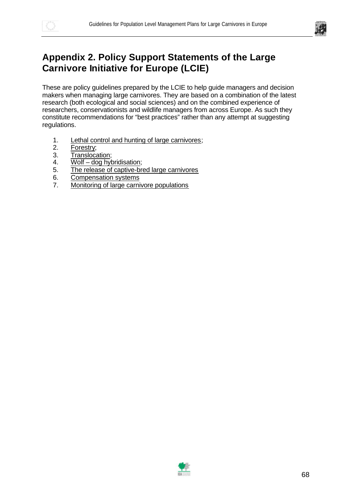



## **Appendix 2. Policy Support Statements of the Large Carnivore Initiative for Europe (LCIE)**

These are policy guidelines prepared by the LCIE to help guide managers and decision makers when managing large carnivores. They are based on a combination of the latest research (both ecological and social sciences) and on the combined experience of researchers, conservationists and wildlife managers from across Europe. As such they constitute recommendations for "best practices" rather than any attempt at suggesting regulations.

- 1. Lethal control and hunting of large carnivores;
- 2. Forestry;
- 3. Translocation;
- 4. Wolf dog hybridisation;
- 5. The release of captive-bred large carnivores
- 6. Compensation systems
- 7. Monitoring of large carnivore populations

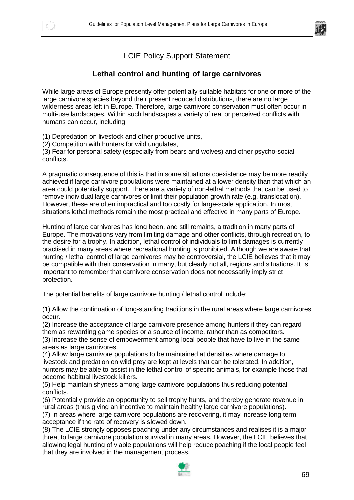



#### LCIE Policy Support Statement

#### **Lethal control and hunting of large carnivores**

While large areas of Europe presently offer potentially suitable habitats for one or more of the large carnivore species beyond their present reduced distributions, there are no large wilderness areas left in Europe. Therefore, large carnivore conservation must often occur in multi-use landscapes. Within such landscapes a variety of real or perceived conflicts with humans can occur, including:

(1) Depredation on livestock and other productive units,

(2) Competition with hunters for wild ungulates,

(3) Fear for personal safety (especially from bears and wolves) and other psycho-social conflicts.

A pragmatic consequence of this is that in some situations coexistence may be more readily achieved if large carnivore populations were maintained at a lower density than that which an area could potentially support. There are a variety of non-lethal methods that can be used to remove individual large carnivores or limit their population growth rate (e.g. translocation). However, these are often impractical and too costly for large-scale application. In most situations lethal methods remain the most practical and effective in many parts of Europe.

Hunting of large carnivores has long been, and still remains, a tradition in many parts of Europe. The motivations vary from limiting damage and other conflicts, through recreation, to the desire for a trophy. In addition, lethal control of individuals to limit damages is currently practised in many areas where recreational hunting is prohibited. Although we are aware that hunting / lethal control of large carnivores may be controversial, the LCIE believes that it may be compatible with their conservation in many, but clearly not all, regions and situations. It is important to remember that carnivore conservation does not necessarily imply strict protection.

The potential benefits of large carnivore hunting / lethal control include:

(1) Allow the continuation of long-standing traditions in the rural areas where large carnivores occur.

(2) Increase the acceptance of large carnivore presence among hunters if they can regard them as rewarding game species or a source of income, rather than as competitors*.* (3) Increase the sense of empowerment among local people that have to live in the same areas as large carnivores.

(4) Allow large carnivore populations to be maintained at densities where damage to livestock and predation on wild prey are kept at levels that can be tolerated. In addition, hunters may be able to assist in the lethal control of specific animals, for example those that become habitual livestock killers.

(5) Help maintain shyness among large carnivore populations thus reducing potential conflicts.

(6) Potentially provide an opportunity to sell trophy hunts, and thereby generate revenue in rural areas (thus giving an incentive to maintain healthy large carnivore populations).

(7) In areas where large carnivore populations are recovering, it may increase long term acceptance if the rate of recovery is slowed down.

(8) The LCIE strongly opposes poaching under any circumstances and realises it is a major threat to large carnivore population survival in many areas. However, the LCIE believes that allowing legal hunting of viable populations will help reduce poaching if the local people feel that they are involved in the management process.

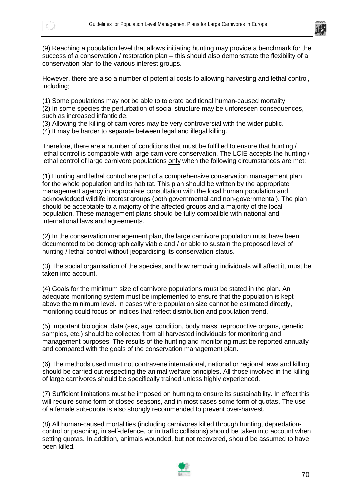



(9) Reaching a population level that allows initiating hunting may provide a benchmark for the success of a conservation / restoration plan – this should also demonstrate the flexibility of a conservation plan to the various interest groups.

However, there are also a number of potential costs to allowing harvesting and lethal control, including;

(1) Some populations may not be able to tolerate additional human-caused mortality.

(2) In some species the perturbation of social structure may be unforeseen consequences, such as increased infanticide.

(3) Allowing the killing of carnivores may be very controversial with the wider public.

(4) It may be harder to separate between legal and illegal killing.

Therefore, there are a number of conditions that must be fulfilled to ensure that hunting / lethal control is compatible with large carnivore conservation. The LCIE accepts the hunting / lethal control of large carnivore populations only when the following circumstances are met:

(1) Hunting and lethal control are part of a comprehensive conservation management plan for the whole population and its habitat. This plan should be written by the appropriate management agency in appropriate consultation with the local human population and acknowledged wildlife interest groups (both governmental and non-governmental). The plan should be acceptable to a majority of the affected groups and a majority of the local population. These management plans should be fully compatible with national and international laws and agreements.

(2) In the conservation management plan, the large carnivore population must have been documented to be demographically viable and / or able to sustain the proposed level of hunting / lethal control without jeopardising its conservation status.

(3) The social organisation of the species, and how removing individuals will affect it, must be taken into account.

(4) Goals for the minimum size of carnivore populations must be stated in the plan. An adequate monitoring system must be implemented to ensure that the population is kept above the minimum level. In cases where population size cannot be estimated directly, monitoring could focus on indices that reflect distribution and population trend.

(5) Important biological data (sex, age, condition, body mass, reproductive organs, genetic samples, etc.) should be collected from all harvested individuals for monitoring and management purposes. The results of the hunting and monitoring must be reported annually and compared with the goals of the conservation management plan.

(6) The methods used must not contravene international, national or regional laws and killing should be carried out respecting the animal welfare principles. All those involved in the killing of large carnivores should be specifically trained unless highly experienced.

(7) Sufficient limitations must be imposed on hunting to ensure its sustainability. In effect this will require some form of closed seasons, and in most cases some form of quotas. The use of a female sub-quota is also strongly recommended to prevent over-harvest.

(8) All human-caused mortalities (including carnivores killed through hunting, depredationcontrol or poaching, in self-defence, or in traffic collisions) should be taken into account when setting quotas. In addition, animals wounded, but not recovered, should be assumed to have been killed.

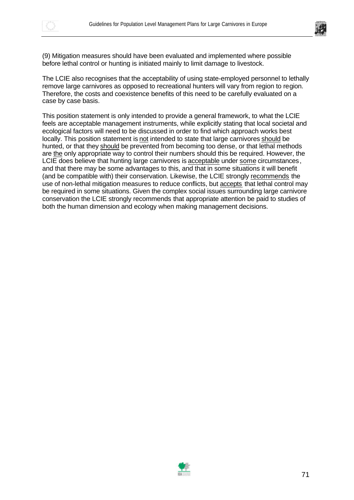

(9) Mitigation measures should have been evaluated and implemented where possible before lethal control or hunting is initiated mainly to limit damage to livestock.

The LCIE also recognises that the acceptability of using state-employed personnel to lethally remove large carnivores as opposed to recreational hunters will vary from region to region. Therefore, the costs and coexistence benefits of this need to be carefully evaluated on a case by case basis.

This position statement is only intended to provide a general framework, to what the LCIE feels are acceptable management instruments, while explicitly stating that local societal and ecological factors will need to be discussed in order to find which approach works best locally. This position statement is not intended to state that large carnivores should be hunted, or that they should be prevented from becoming too dense, or that lethal methods are the only appropriate way to control their numbers should this be required. However, the LCIE does believe that hunting large carnivores is acceptable under some circumstances, and that there may be some advantages to this, and that in some situations it will benefit (and be compatible with) their conservation. Likewise, the LCIE strongly recommends the use of non-lethal mitigation measures to reduce conflicts, but accepts that lethal control may be required in some situations. Given the complex social issues surrounding large carnivore conservation the LCIE strongly recommends that appropriate attention be paid to studies of both the human dimension and ecology when making management decisions.

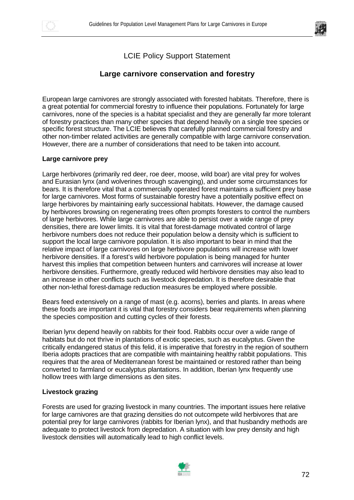



#### LCIE Policy Support Statement

#### **Large carnivore conservation and forestry**

European large carnivores are strongly associated with forested habitats. Therefore, there is a great potential for commercial forestry to influence their populations. Fortunately for large carnivores, none of the species is a habitat specialist and they are generally far more tolerant of forestry practices than many other species that depend heavily on a single tree species or specific forest structure. The LCIE believes that carefully planned commercial forestry and other non-timber related activities are generally compatible with large carnivore conservation. However, there are a number of considerations that need to be taken into account.

#### **Large carnivore prey**

Large herbivores (primarily red deer, roe deer, moose, wild boar) are vital prey for wolves and Eurasian lynx (and wolverines through scavenging), and under some circumstances for bears. It is therefore vital that a commercially operated forest maintains a sufficient prey base for large carnivores. Most forms of sustainable forestry have a potentially positive effect on large herbivores by maintaining early successional habitats. However, the damage caused by herbivores browsing on regenerating trees often prompts foresters to control the numbers of large herbivores. While large carnivores are able to persist over a wide range of prey densities, there are lower limits. It is vital that forest-damage motivated control of large herbivore numbers does not reduce their population below a density which is sufficient to support the local large carnivore population. It is also important to bear in mind that the relative impact of large carnivores on large herbivore populations will increase with lower herbivore densities. If a forest's wild herbivore population is being managed for hunter harvest this implies that competition between hunters and carnivores will increase at lower herbivore densities. Furthermore, greatly reduced wild herbivore densities may also lead to an increase in other conflicts such as livestock depredation. It is therefore desirable that other non-lethal forest-damage reduction measures be employed where possible.

Bears feed extensively on a range of mast (e.g. acorns), berries and plants. In areas where these foods are important it is vital that forestry considers bear requirements when planning the species composition and cutting cycles of their forests.

Iberian lynx depend heavily on rabbits for their food. Rabbits occur over a wide range of habitats but do not thrive in plantations of exotic species, such as eucalyptus. Given the critically endangered status of this felid, it is imperative that forestry in the region of southern Iberia adopts practices that are compatible with maintaining healthy rabbit populations. This requires that the area of Mediterranean forest be maintained or restored rather than being converted to farmland or eucalyptus plantations. In addition, Iberian lynx frequently use hollow trees with large dimensions as den sites.

#### **Livestock grazing**

Forests are used for grazing livestock in many countries. The important issues here relative for large carnivores are that grazing densities do not outcompete wild herbivores that are potential prey for large carnivores (rabbits for Iberian lynx), and that husbandry methods are adequate to protect livestock from depredation. A situation with low prey density and high livestock densities will automatically lead to high conflict levels.

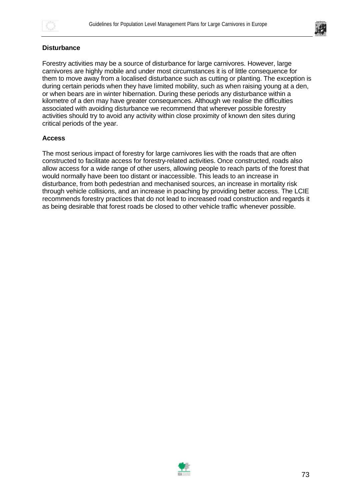



### **Disturbance**

Forestry activities may be a source of disturbance for large carnivores. However, large carnivores are highly mobile and under most circumstances it is of little consequence for them to move away from a localised disturbance such as cutting or planting. The exception is during certain periods when they have limited mobility, such as when raising young at a den, or when bears are in winter hibernation. During these periods any disturbance within a kilometre of a den may have greater consequences. Although we realise the difficulties associated with avoiding disturbance we recommend that wherever possible forestry activities should try to avoid any activity within close proximity of known den sites during critical periods of the year.

### **Access**

The most serious impact of forestry for large carnivores lies with the roads that are often constructed to facilitate access for forestry-related activities. Once constructed, roads also allow access for a wide range of other users, allowing people to reach parts of the forest that would normally have been too distant or inaccessible. This leads to an increase in disturbance, from both pedestrian and mechanised sources, an increase in mortality risk through vehicle collisions, and an increase in poaching by providing better access. The LCIE recommends forestry practices that do not lead to increased road construction and regards it as being desirable that forest roads be closed to other vehicle traffic whenever possible.

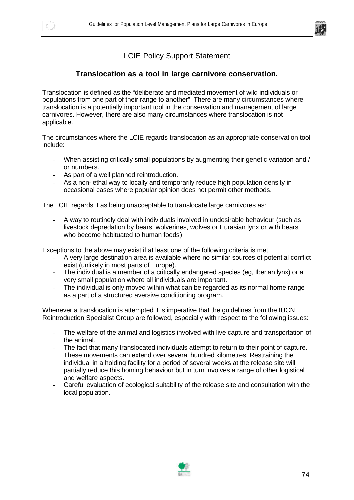



### **Translocation as a tool in large carnivore conservation.**

Translocation is defined as the "deliberate and mediated movement of wild individuals or populations from one part of their range to another". There are many circumstances where translocation is a potentially important tool in the conservation and management of large carnivores. However, there are also many circumstances where translocation is not applicable.

The circumstances where the LCIE regards translocation as an appropriate conservation tool include:

- When assisting critically small populations by augmenting their genetic variation and / or numbers.
- As part of a well planned reintroduction.
- As a non-lethal way to locally and temporarily reduce high population density in occasional cases where popular opinion does not permit other methods.

The LCIE regards it as being unacceptable to translocate large carnivores as:

- A way to routinely deal with individuals involved in undesirable behaviour (such as livestock depredation by bears, wolverines, wolves or Eurasian lynx or with bears who become habituated to human foods).

Exceptions to the above may exist if at least one of the following criteria is met:

- A very large destination area is available where no similar sources of potential conflict exist (unlikely in most parts of Europe).
- The individual is a member of a critically endangered species (eg, Iberian lynx) or a very small population where all individuals are important.
- The individual is only moved within what can be regarded as its normal home range as a part of a structured aversive conditioning program.

Whenever a translocation is attempted it is imperative that the guidelines from the IUCN Reintroduction Specialist Group are followed, especially with respect to the following issues:

- The welfare of the animal and logistics involved with live capture and transportation of the animal.
- The fact that many translocated individuals attempt to return to their point of capture. These movements can extend over several hundred kilometres. Restraining the individual in a holding facility for a period of several weeks at the release site will partially reduce this homing behaviour but in turn involves a range of other logistical and welfare aspects.
- Careful evaluation of ecological suitability of the release site and consultation with the local population.

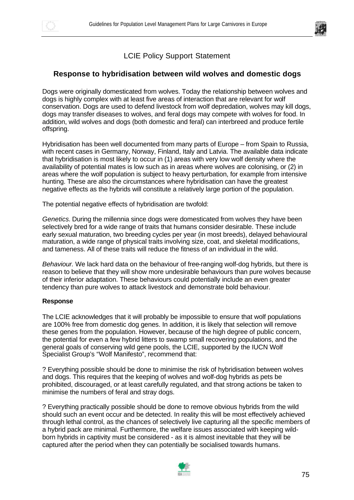



### **Response to hybridisation between wild wolves and domestic dogs**

Dogs were originally domesticated from wolves. Today the relationship between wolves and dogs is highly complex with at least five areas of interaction that are relevant for wolf conservation. Dogs are used to defend livestock from wolf depredation, wolves may kill dogs, dogs may transfer diseases to wolves, and feral dogs may compete with wolves for food. In addition, wild wolves and dogs (both domestic and feral) can interbreed and produce fertile offspring.

Hybridisation has been well documented from many parts of Europe – from Spain to Russia, with recent cases in Germany, Norway, Finland, Italy and Latvia. The available data indicate that hybridisation is most likely to occur in (1) areas with very low wolf density where the availability of potential mates is low such as in areas where wolves are colonising, or (2) in areas where the wolf population is subject to heavy perturbation, for example from intensive hunting. These are also the circumstances where hybridisation can have the greatest negative effects as the hybrids will constitute a relatively large portion of the population.

The potential negative effects of hybridisation are twofold:

*Genetics.* During the millennia since dogs were domesticated from wolves they have been selectively bred for a wide range of traits that humans consider desirable. These include early sexual maturation, two breeding cycles per year (in most breeds), delayed behavioural maturation, a wide range of physical traits involving size, coat, and skeletal modifications, and tameness. All of these traits will reduce the fitness of an individual in the wild.

*Behaviour.* We lack hard data on the behaviour of free-ranging wolf-dog hybrids, but there is reason to believe that they will show more undesirable behaviours than pure wolves because of their inferior adaptation. These behaviours could potentially include an even greater tendency than pure wolves to attack livestock and demonstrate bold behaviour.

### **Response**

The LCIE acknowledges that it will probably be impossible to ensure that wolf populations are 100% free from domestic dog genes. In addition, it is likely that selection will remove these genes from the population. However, because of the high degree of public concern, the potential for even a few hybrid litters to swamp small recovering populations, and the general goals of conserving wild gene pools, the LCIE, supported by the IUCN Wolf Specialist Group's "Wolf Manifesto", recommend that:

? Everything possible should be done to minimise the risk of hybridisation between wolves and dogs. This requires that the keeping of wolves and wolf-dog hybrids as pets be prohibited, discouraged, or at least carefully regulated, and that strong actions be taken to minimise the numbers of feral and stray dogs.

? Everything practically possible should be done to remove obvious hybrids from the wild should such an event occur and be detected. In reality this will be most effectively achieved through lethal control, as the chances of selectively live capturing all the specific members of a hybrid pack are minimal. Furthermore, the welfare issues associated with keeping wildborn hybrids in captivity must be considered - as it is almost inevitable that they will be captured after the period when they can potentially be socialised towards humans.

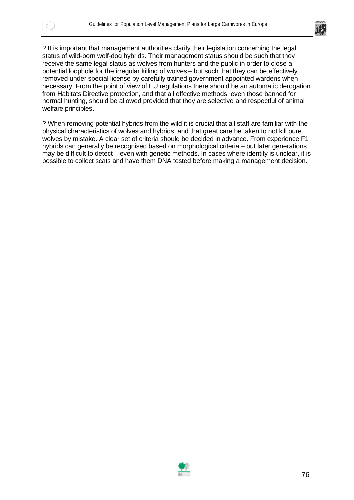



? It is important that management authorities clarify their legislation concerning the legal status of wild-born wolf-dog hybrids. Their management status should be such that they receive the same legal status as wolves from hunters and the public in order to close a potential loophole for the irregular killing of wolves – but such that they can be effectively removed under special license by carefully trained government appointed wardens when necessary. From the point of view of EU regulations there should be an automatic derogation from Habitats Directive protection, and that all effective methods, even those banned for normal hunting, should be allowed provided that they are selective and respectful of animal welfare principles.

? When removing potential hybrids from the wild it is crucial that all staff are familiar with the physical characteristics of wolves and hybrids, and that great care be taken to not kill pure wolves by mistake. A clear set of criteria should be decided in advance. From experience F1 hybrids can generally be recognised based on morphological criteria – but later generations may be difficult to detect – even with genetic methods. In cases where identity is unclear, it is possible to collect scats and have them DNA tested before making a management decision.

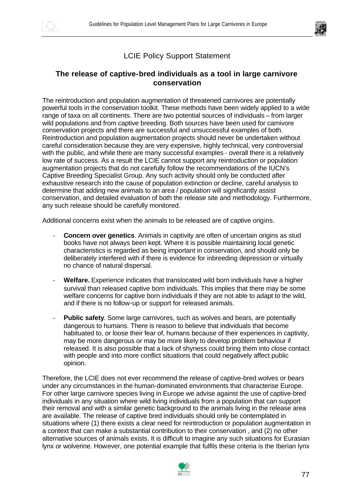



### **The release of captive-bred individuals as a tool in large carnivore conservation**

The reintroduction and population augmentation of threatened carnivores are potentially powerful tools in the conservation toolkit. These methods have been widely applied to a wide range of taxa on all continents. There are two potential sources of individuals – from larger wild populations and from captive breeding. Both sources have been used for carnivore conservation projects and there are successful and unsuccessful examples of both. Reintroduction and population augmentation projects should never be undertaken without careful consideration because they are very expensive, highly technical, very controversial with the public, and while there are many successful examples - overall there is a relatively low rate of success. As a result the LCIE cannot support any reintroduction or population augmentation projects that do not carefully follow the recommendations of the IUCN's Captive Breeding Specialist Group. Any such activity should only be conducted after exhaustive research into the cause of population extinction or decline, careful analysis to determine that adding new animals to an area / population will significantly assist conservation, and detailed evaluation of both the release site and methodology. Furthermore, any such release should be carefully monitored.

Additional concerns exist when the animals to be released are of captive origins.

- **Concern over genetics**. Animals in captivity are often of uncertain origins as stud books have not always been kept. Where it is possible maintaining local genetic characteristics is regarded as being important in conservation, and should only be deliberately interfered with if there is evidence for inbreeding depression or virtually no chance of natural dispersal.
- Welfare. Experience indicates that translocated wild born individuals have a higher survival than released captive born individuals. This implies that there may be some welfare concerns for captive born individuals if they are not able to adapt to the wild, and if there is no follow-up or support for released animals.
- **Public safety.** Some large carnivores, such as wolves and bears, are potentially dangerous to humans. There is reason to believe that individuals that become habituated to, or loose their fear of, humans because of their experiences in captivity, may be more dangerous or may be more likely to develop problem behaviour if released. It is also possible that a lack of shyness could bring them into close contact with people and into more conflict situations that could negatively affect public opinion.

Therefore, the LCIE does not ever recommend the release of captive-bred wolves or bears under any circumstances in the human-dominated environments that characterise Europe. For other large carnivore species living in Europe we advise against the use of captive-bred individuals in any situation where wild living individuals from a population that can support their removal and with a similar genetic background to the animals living in the release area are available. The release of captive bred individuals should only be contemplated in situations where (1) there exists a clear need for reintroduction or population augmentation in a context that can make a substantial contribution to their conservation , and (2) no other alternative sources of animals exists. It is difficult to imagine any such situations for Eurasian lynx or wolverine. However, one potential example that fulfils these criteria is the Iberian lynx

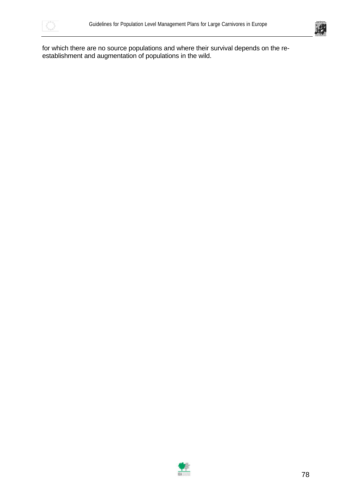



for which there are no source populations and where their survival depends on the reestablishment and augmentation of populations in the wild.

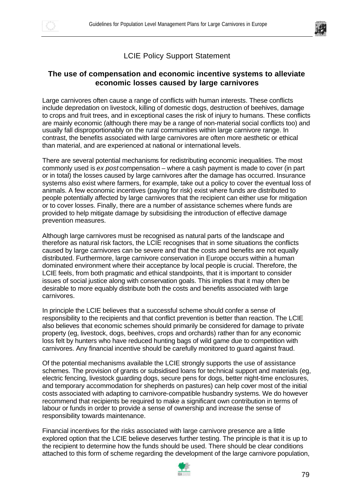



### **The use of compensation and economic incentive systems to alleviate economic losses caused by large carnivores**

Large carnivores often cause a range of conflicts with human interests. These conflicts include depredation on livestock, killing of domestic dogs, destruction of beehives, damage to crops and fruit trees, and in exceptional cases the risk of injury to humans. These conflicts are mainly economic (although there may be a range of non-material social conflicts too) and usually fall disproportionably on the rural communities within large carnivore range. In contrast, the benefits associated with large carnivores are often more aesthetic or ethical than material, and are experienced at national or international levels.

There are several potential mechanisms for redistributing economic inequalities. The most commonly used is *ex post* compensation – where a cash payment is made to cover (in part or in total) the losses caused by large carnivores after the damage has occurred. Insurance systems also exist where farmers, for example, take out a policy to cover the eventual loss of animals. A few economic incentives (paying for risk) exist where funds are distributed to people potentially affected by large carnivores that the recipient can either use for mitigation or to cover losses. Finally, there are a number of assistance schemes where funds are provided to help mitigate damage by subsidising the introduction of effective damage prevention measures.

Although large carnivores must be recognised as natural parts of the landscape and therefore as natural risk factors, the LCIE recognises that in some situations the conflicts caused by large carnivores can be severe and that the costs and benefits are not equally distributed. Furthermore, large carnivore conservation in Europe occurs within a human dominated environment where their acceptance by local people is crucial. Therefore, the LCIE feels, from both pragmatic and ethical standpoints, that it is important to consider issues of social justice along with conservation goals. This implies that it may often be desirable to more equably distribute both the costs and benefits associated with large carnivores.

In principle the LCIE believes that a successful scheme should confer a sense of responsibility to the recipients and that conflict prevention is better than reaction. The LCIE also believes that economic schemes should primarily be considered for damage to private property (eg, livestock, dogs, beehives, crops and orchards) rather than for any economic loss felt by hunters who have reduced hunting bags of wild game due to competition with carnivores. Any financial incentive should be carefully monitored to guard against fraud.

Of the potential mechanisms available the LCIE strongly supports the use of assistance schemes. The provision of grants or subsidised loans for technical support and materials (eg, electric fencing, livestock guarding dogs, secure pens for dogs, better night-time enclosures, and temporary accommodation for shepherds on pastures) can help cover most of the initial costs associated with adapting to carnivore-compatible husbandry systems. We do however recommend that recipients be required to make a significant own contribution in terms of labour or funds in order to provide a sense of ownership and increase the sense of responsibility towards maintenance.

Financial incentives for the risks associated with large carnivore presence are a little explored option that the LCIE believe deserves further testing. The principle is that it is up to the recipient to determine how the funds should be used. There should be clear conditions attached to this form of scheme regarding the development of the large carnivore population,

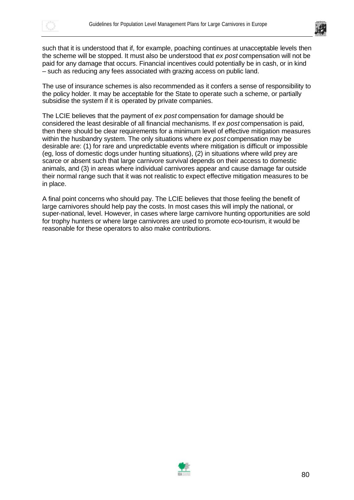



such that it is understood that if, for example, poaching continues at unacceptable levels then the scheme will be stopped. It must also be understood that *ex post* compensation will not be paid for any damage that occurs. Financial incentives could potentially be in cash, or in kind – such as reducing any fees associated with grazing access on public land.

The use of insurance schemes is also recommended as it confers a sense of responsibility to the policy holder. It may be acceptable for the State to operate such a scheme, or partially subsidise the system if it is operated by private companies.

The LCIE believes that the payment of *ex post* compensation for damage should be considered the least desirable of all financial mechanisms. If *ex post* compensation is paid, then there should be clear requirements for a minimum level of effective mitigation measures within the husbandry system. The only situations where *ex post* compensation may be desirable are: (1) for rare and unpredictable events where mitigation is difficult or impossible (eg, loss of domestic dogs under hunting situations), (2) in situations where wild prey are scarce or absent such that large carnivore survival depends on their access to domestic animals, and (3) in areas where individual carnivores appear and cause damage far outside their normal range such that it was not realistic to expect effective mitigation measures to be in place.

A final point concerns who should pay. The LCIE believes that those feeling the benefit of large carnivores should help pay the costs. In most cases this will imply the national, or super-national, level. However, in cases where large carnivore hunting opportunities are sold for trophy hunters or where large carnivores are used to promote eco-tourism, it would be reasonable for these operators to also make contributions.

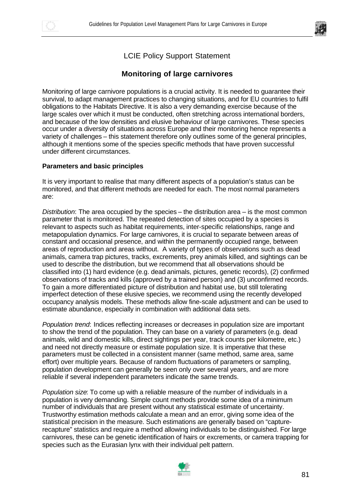

## **Monitoring of large carnivores**

Monitoring of large carnivore populations is a crucial activity. It is needed to guarantee their survival, to adapt management practices to changing situations, and for EU countries to fulfil obligations to the Habitats Directive. It is also a very demanding exercise because of the large scales over which it must be conducted, often stretching across international borders, and because of the low densities and elusive behaviour of large carnivores. These species occur under a diversity of situations across Europe and their monitoring hence represents a variety of challenges – this statement therefore only outlines some of the general principles, although it mentions some of the species specific methods that have proven successful under different circumstances.

### **Parameters and basic principles**

It is very important to realise that many different aspects of a population's status can be monitored, and that different methods are needed for each. The most normal parameters are:

*Distribution*: The area occupied by the species – the distribution area – is the most common parameter that is monitored. The repeated detection of sites occupied by a species is relevant to aspects such as habitat requirements, inter-specific relationships, range and metapopulation dynamics. For large carnivores, it is crucial to separate between areas of constant and occasional presence, and within the permanently occupied range, between areas of reproduction and areas without. A variety of types of observations such as dead animals, camera trap pictures, tracks, excrements, prey animals killed, and sightings can be used to describe the distribution, but we recommend that all observations should be classified into (1) hard evidence (e.g. dead animals, pictures, genetic records), (2) confirmed observations of tracks and kills (approved by a trained person) and (3) unconfirmed records. To gain a more differentiated picture of distribution and habitat use, but still tolerating imperfect detection of these elusive species, we recommend using the recently developed occupancy analysis models. These methods allow fine-scale adjustment and can be used to estimate abundance, especially in combination with additional data sets.

*Population trend*: Indices reflecting increases or decreases in population size are important to show the trend of the population. They can base on a variety of parameters (e.g. dead animals, wild and domestic kills, direct sightings per year, track counts per kilometre, etc.) and need not directly measure or estimate population size. It is imperative that these parameters must be collected in a consistent manner (same method, same area, same effort) over multiple years. Because of random fluctuations of parameters or sampling, population development can generally be seen only over several years, and are more reliable if several independent parameters indicate the same trends.

*Population size*: To come up with a reliable measure of the number of individuals in a population is very demanding. Simple count methods provide some idea of a minimum number of individuals that are present without any statistical estimate of uncertainty. Trustworthy estimation methods calculate a mean and an error, giving some idea of the statistical precision in the measure. Such estimations are generally based on "capturerecapture" statistics and require a method allowing individuals to be distinguished. For large carnivores, these can be genetic identification of hairs or excrements, or camera trapping for species such as the Eurasian lynx with their individual pelt pattern.

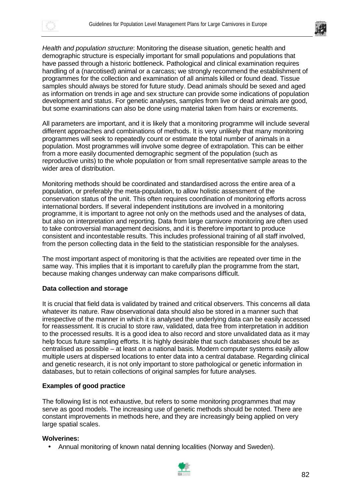



*Health and population structure*: Monitoring the disease situation, genetic health and demographic structure is especially important for small populations and populations that have passed through a historic bottleneck. Pathological and clinical examination requires handling of a (narcotised) animal or a carcass; we strongly recommend the establishment of programmes for the collection and examination of all animals killed or found dead. Tissue samples should always be stored for future study. Dead animals should be sexed and aged as information on trends in age and sex structure can provide some indications of population development and status. For genetic analyses, samples from live or dead animals are good, but some examinations can also be done using material taken from hairs or excrements.

All parameters are important, and it is likely that a monitoring programme will include several different approaches and combinations of methods. It is very unlikely that many monitoring programmes will seek to repeatedly count or estimate the total number of animals in a population. Most programmes will involve some degree of extrapolation. This can be either from a more easily documented demographic segment of the population (such as reproductive units) to the whole population or from small representative sample areas to the wider area of distribution.

Monitoring methods should be coordinated and standardised across the entire area of a population, or preferably the meta-population, to allow holistic assessment of the conservation status of the unit. This often requires coordination of monitoring efforts across international borders. If several independent institutions are involved in a monitoring programme, it is important to agree not only on the methods used and the analyses of data, but also on interpretation and reporting. Data from large carnivore monitoring are often used to take controversial management decisions, and it is therefore important to produce consistent and incontestable results. This includes professional training of all staff involved, from the person collecting data in the field to the statistician responsible for the analyses.

The most important aspect of monitoring is that the activities are repeated over time in the same way. This implies that it is important to carefully plan the programme from the start, because making changes underway can make comparisons difficult.

### **Data collection and storage**

It is crucial that field data is validated by trained and critical observers. This concerns all data whatever its nature. Raw observational data should also be stored in a manner such that irrespective of the manner in which it is analysed the underlying data can be easily accessed for reassessment. It is crucial to store raw, validated, data free from interpretation in addition to the processed results. It is a good idea to also record and store unvalidated data as it may help focus future sampling efforts. It is highly desirable that such databases should be as centralised as possible – at least on a national basis. Modern computer systems easily allow multiple users at dispersed locations to enter data into a central database. Regarding clinical and genetic research, it is not only important to store pathological or genetic information in databases, but to retain collections of original samples for future analyses.

### **Examples of good practice**

The following list is not exhaustive, but refers to some monitoring programmes that may serve as good models. The increasing use of genetic methods should be noted. There are constant improvements in methods here, and they are increasingly being applied on very large spatial scales.

### **Wolverines:**

• Annual monitoring of known natal denning localities (Norway and Sweden).